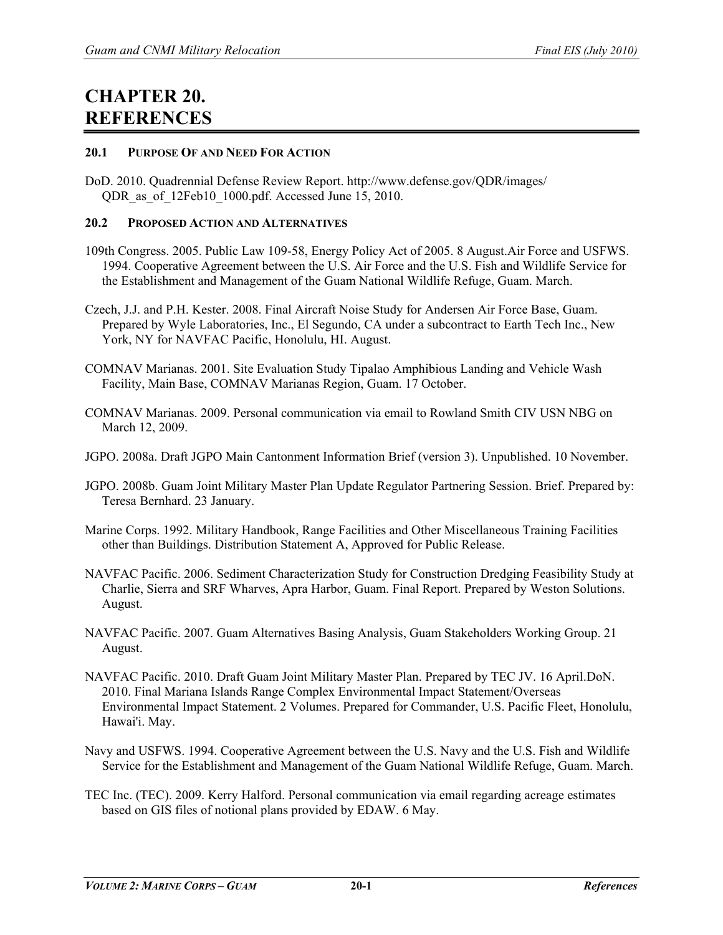# **CHAPTER 20. REFERENCES**

### **20.1 PURPOSE OF AND NEED FOR ACTION**

DoD. 2010. Quadrennial Defense Review Report. http://www.defense.gov/QDR/images/ QDR as of 12Feb10 1000.pdf. Accessed June 15, 2010.

### **20.2 PROPOSED ACTION AND ALTERNATIVES**

- 109th Congress. 2005. Public Law 109-58, Energy Policy Act of 2005. 8 August.Air Force and USFWS. 1994. Cooperative Agreement between the U.S. Air Force and the U.S. Fish and Wildlife Service for the Establishment and Management of the Guam National Wildlife Refuge, Guam. March.
- Czech, J.J. and P.H. Kester. 2008. Final Aircraft Noise Study for Andersen Air Force Base, Guam. Prepared by Wyle Laboratories, Inc., El Segundo, CA under a subcontract to Earth Tech Inc., New York, NY for NAVFAC Pacific, Honolulu, HI. August.
- COMNAV Marianas. 2001. Site Evaluation Study Tipalao Amphibious Landing and Vehicle Wash Facility, Main Base, COMNAV Marianas Region, Guam. 17 October.
- COMNAV Marianas. 2009. Personal communication via email to Rowland Smith CIV USN NBG on March 12, 2009.
- JGPO. 2008a. Draft JGPO Main Cantonment Information Brief (version 3). Unpublished. 10 November.
- JGPO. 2008b. Guam Joint Military Master Plan Update Regulator Partnering Session. Brief. Prepared by: Teresa Bernhard. 23 January.
- Marine Corps. 1992. Military Handbook, Range Facilities and Other Miscellaneous Training Facilities other than Buildings. Distribution Statement A, Approved for Public Release.
- NAVFAC Pacific. 2006. Sediment Characterization Study for Construction Dredging Feasibility Study at Charlie, Sierra and SRF Wharves, Apra Harbor, Guam. Final Report. Prepared by Weston Solutions. August.
- NAVFAC Pacific. 2007. Guam Alternatives Basing Analysis, Guam Stakeholders Working Group. 21 August.
- NAVFAC Pacific. 2010. Draft Guam Joint Military Master Plan. Prepared by TEC JV. 16 April.DoN. 2010. Final Mariana Islands Range Complex Environmental Impact Statement/Overseas Environmental Impact Statement. 2 Volumes. Prepared for Commander, U.S. Pacific Fleet, Honolulu, Hawai'i. May.
- Navy and USFWS. 1994. Cooperative Agreement between the U.S. Navy and the U.S. Fish and Wildlife Service for the Establishment and Management of the Guam National Wildlife Refuge, Guam. March.
- TEC Inc. (TEC). 2009. Kerry Halford. Personal communication via email regarding acreage estimates based on GIS files of notional plans provided by EDAW. 6 May.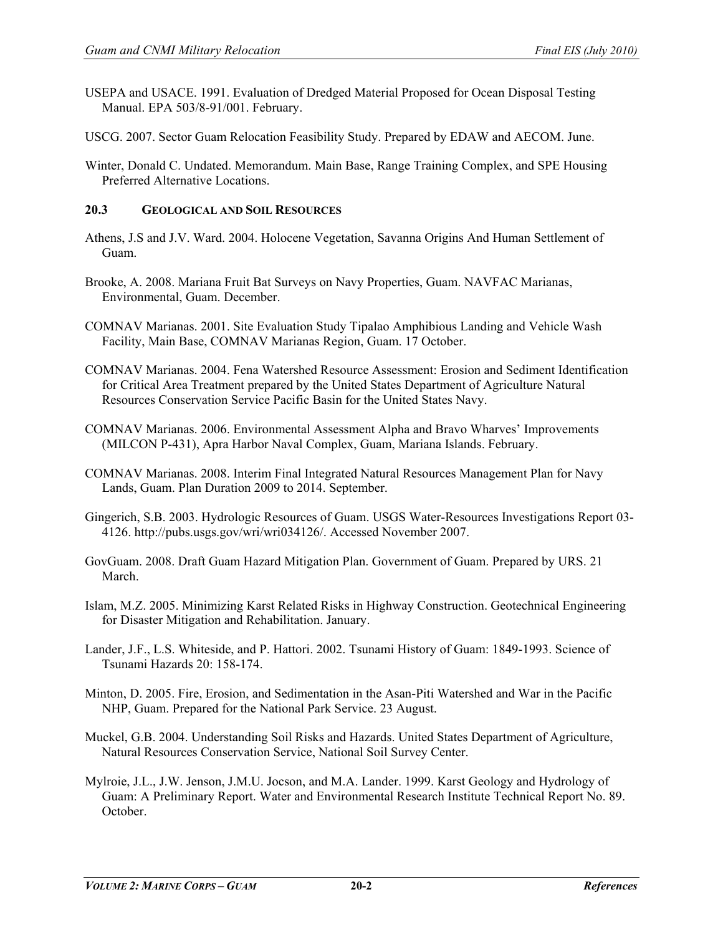- USEPA and USACE. 1991. Evaluation of Dredged Material Proposed for Ocean Disposal Testing Manual. EPA 503/8-91/001. February.
- USCG. 2007. Sector Guam Relocation Feasibility Study. Prepared by EDAW and AECOM. June.
- Winter, Donald C. Undated. Memorandum. Main Base, Range Training Complex, and SPE Housing Preferred Alternative Locations.

# **20.3 GEOLOGICAL AND SOIL RESOURCES**

- Athens, J.S and J.V. Ward. 2004. Holocene Vegetation, Savanna Origins And Human Settlement of Guam.
- Brooke, A. 2008. Mariana Fruit Bat Surveys on Navy Properties, Guam. NAVFAC Marianas, Environmental, Guam. December.
- COMNAV Marianas. 2001. Site Evaluation Study Tipalao Amphibious Landing and Vehicle Wash Facility, Main Base, COMNAV Marianas Region, Guam. 17 October.
- COMNAV Marianas. 2004. Fena Watershed Resource Assessment: Erosion and Sediment Identification for Critical Area Treatment prepared by the United States Department of Agriculture Natural Resources Conservation Service Pacific Basin for the United States Navy.
- COMNAV Marianas. 2006. Environmental Assessment Alpha and Bravo Wharves' Improvements (MILCON P-431), Apra Harbor Naval Complex, Guam, Mariana Islands. February.
- COMNAV Marianas. 2008. Interim Final Integrated Natural Resources Management Plan for Navy Lands, Guam. Plan Duration 2009 to 2014. September.
- Gingerich, S.B. 2003. Hydrologic Resources of Guam. USGS Water-Resources Investigations Report 03- 4126. http://pubs.usgs.gov/wri/wri034126/. Accessed November 2007.
- GovGuam. 2008. Draft Guam Hazard Mitigation Plan. Government of Guam. Prepared by URS. 21 March.
- Islam, M.Z. 2005. Minimizing Karst Related Risks in Highway Construction. Geotechnical Engineering for Disaster Mitigation and Rehabilitation. January.
- Lander, J.F., L.S. Whiteside, and P. Hattori. 2002. Tsunami History of Guam: 1849-1993. Science of Tsunami Hazards 20: 158-174.
- Minton, D. 2005. Fire, Erosion, and Sedimentation in the Asan-Piti Watershed and War in the Pacific NHP, Guam. Prepared for the National Park Service. 23 August.
- Muckel, G.B. 2004. Understanding Soil Risks and Hazards. United States Department of Agriculture, Natural Resources Conservation Service, National Soil Survey Center.
- Mylroie, J.L., J.W. Jenson, J.M.U. Jocson, and M.A. Lander. 1999. Karst Geology and Hydrology of Guam: A Preliminary Report. Water and Environmental Research Institute Technical Report No. 89. **October**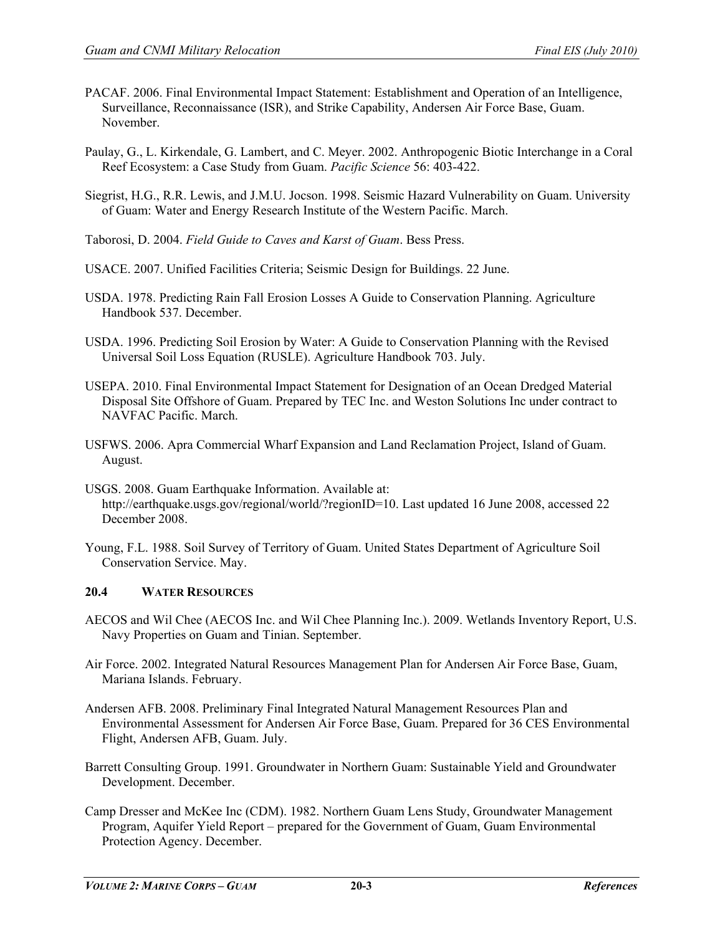- PACAF. 2006. Final Environmental Impact Statement: Establishment and Operation of an Intelligence, Surveillance, Reconnaissance (ISR), and Strike Capability, Andersen Air Force Base, Guam. November.
- Paulay, G., L. Kirkendale, G. Lambert, and C. Meyer. 2002. Anthropogenic Biotic Interchange in a Coral Reef Ecosystem: a Case Study from Guam. *Pacific Science* 56: 403-422.
- Siegrist, H.G., R.R. Lewis, and J.M.U. Jocson. 1998. Seismic Hazard Vulnerability on Guam. University of Guam: Water and Energy Research Institute of the Western Pacific. March.
- Taborosi, D. 2004. *Field Guide to Caves and Karst of Guam*. Bess Press.
- USACE. 2007. Unified Facilities Criteria; Seismic Design for Buildings. 22 June.
- USDA. 1978. Predicting Rain Fall Erosion Losses A Guide to Conservation Planning. Agriculture Handbook 537. December.
- USDA. 1996. Predicting Soil Erosion by Water: A Guide to Conservation Planning with the Revised Universal Soil Loss Equation (RUSLE). Agriculture Handbook 703. July.
- USEPA. 2010. Final Environmental Impact Statement for Designation of an Ocean Dredged Material Disposal Site Offshore of Guam. Prepared by TEC Inc. and Weston Solutions Inc under contract to NAVFAC Pacific. March.
- USFWS. 2006. Apra Commercial Wharf Expansion and Land Reclamation Project, Island of Guam. August.
- USGS. 2008. Guam Earthquake Information. Available at: [http://earthquake.usgs.gov/regional/world/?regionID=10.](http://earthquake.usgs.gov/regional/world/?regionID=10) Last updated 16 June 2008, accessed 22 December 2008.
- Young, F.L. 1988. Soil Survey of Territory of Guam. United States Department of Agriculture Soil Conservation Service. May.

#### **20.4 WATER RESOURCES**

- AECOS and Wil Chee (AECOS Inc. and Wil Chee Planning Inc.). 2009. Wetlands Inventory Report, U.S. Navy Properties on Guam and Tinian. September.
- Air Force. 2002. Integrated Natural Resources Management Plan for Andersen Air Force Base, Guam, Mariana Islands. February.
- Andersen AFB. 2008. Preliminary Final Integrated Natural Management Resources Plan and Environmental Assessment for Andersen Air Force Base, Guam. Prepared for 36 CES Environmental Flight, Andersen AFB, Guam. July.
- Barrett Consulting Group. 1991. Groundwater in Northern Guam: Sustainable Yield and Groundwater Development. December.
- Camp Dresser and McKee Inc (CDM). 1982. Northern Guam Lens Study, Groundwater Management Program, Aquifer Yield Report – prepared for the Government of Guam, Guam Environmental Protection Agency. December.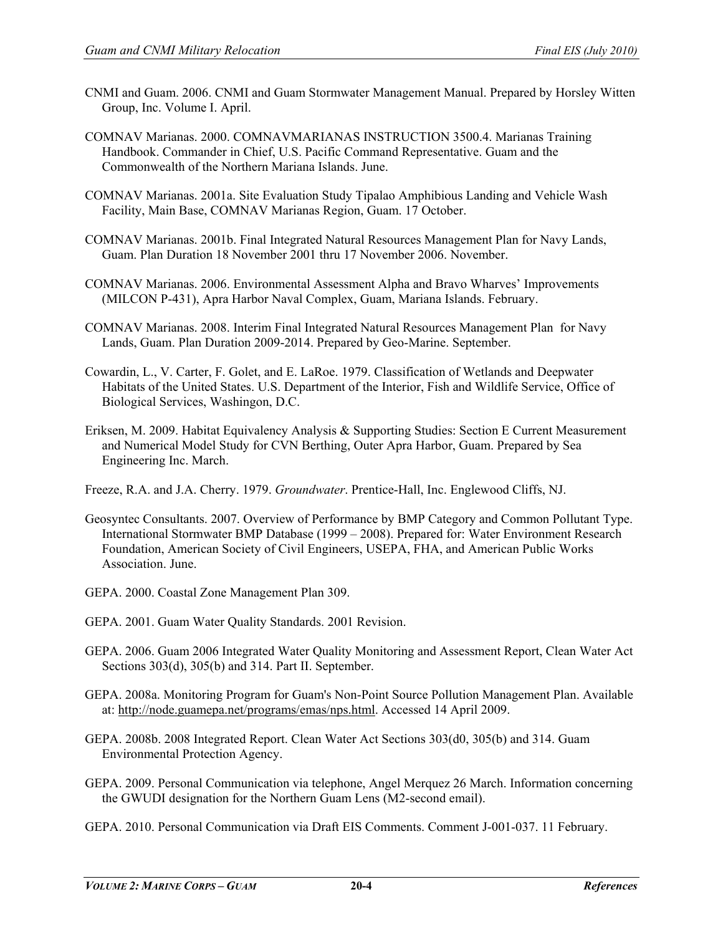- CNMI and Guam. 2006. CNMI and Guam Stormwater Management Manual. Prepared by Horsley Witten Group, Inc. Volume I. April.
- COMNAV Marianas. 2000. COMNAVMARIANAS INSTRUCTION 3500.4. Marianas Training Handbook. Commander in Chief, U.S. Pacific Command Representative. Guam and the Commonwealth of the Northern Mariana Islands. June.
- COMNAV Marianas. 2001a. Site Evaluation Study Tipalao Amphibious Landing and Vehicle Wash Facility, Main Base, COMNAV Marianas Region, Guam. 17 October.
- COMNAV Marianas. 2001b. Final Integrated Natural Resources Management Plan for Navy Lands, Guam. Plan Duration 18 November 2001 thru 17 November 2006. November.
- COMNAV Marianas. 2006. Environmental Assessment Alpha and Bravo Wharves' Improvements (MILCON P-431), Apra Harbor Naval Complex, Guam, Mariana Islands. February.
- COMNAV Marianas. 2008. Interim Final Integrated Natural Resources Management Plan for Navy Lands, Guam. Plan Duration 2009-2014. Prepared by Geo-Marine. September.
- Cowardin, L., V. Carter, F. Golet, and E. LaRoe. 1979. Classification of Wetlands and Deepwater Habitats of the United States. U.S. Department of the Interior, Fish and Wildlife Service, Office of Biological Services, Washingon, D.C.
- Eriksen, M. 2009. Habitat Equivalency Analysis & Supporting Studies: Section E Current Measurement and Numerical Model Study for CVN Berthing, Outer Apra Harbor, Guam. Prepared by Sea Engineering Inc. March.
- Freeze, R.A. and J.A. Cherry. 1979. *Groundwater*. Prentice-Hall, Inc. Englewood Cliffs, NJ.
- Geosyntec Consultants. 2007. Overview of Performance by BMP Category and Common Pollutant Type. International Stormwater BMP Database (1999 – 2008). Prepared for: Water Environment Research Foundation, American Society of Civil Engineers, USEPA, FHA, and American Public Works Association. June.
- GEPA. 2000. Coastal Zone Management Plan 309.
- GEPA. 2001. Guam Water Quality Standards. 2001 Revision.
- GEPA. 2006. Guam 2006 Integrated Water Quality Monitoring and Assessment Report, Clean Water Act Sections 303(d), 305(b) and 314. Part II. September.
- GEPA. 2008a. Monitoring Program for Guam's Non-Point Source Pollution Management Plan. Available at: [http://node.guamepa.net/programs/emas/nps.html.](http://node.guamepa.net/programs/emas/nps.html) Accessed 14 April 2009.
- GEPA. 2008b. 2008 Integrated Report. Clean Water Act Sections 303(d0, 305(b) and 314. Guam Environmental Protection Agency.
- GEPA. 2009. Personal Communication via telephone, Angel Merquez 26 March. Information concerning the GWUDI designation for the Northern Guam Lens (M2-second email).
- GEPA. 2010. Personal Communication via Draft EIS Comments. Comment J-001-037. 11 February.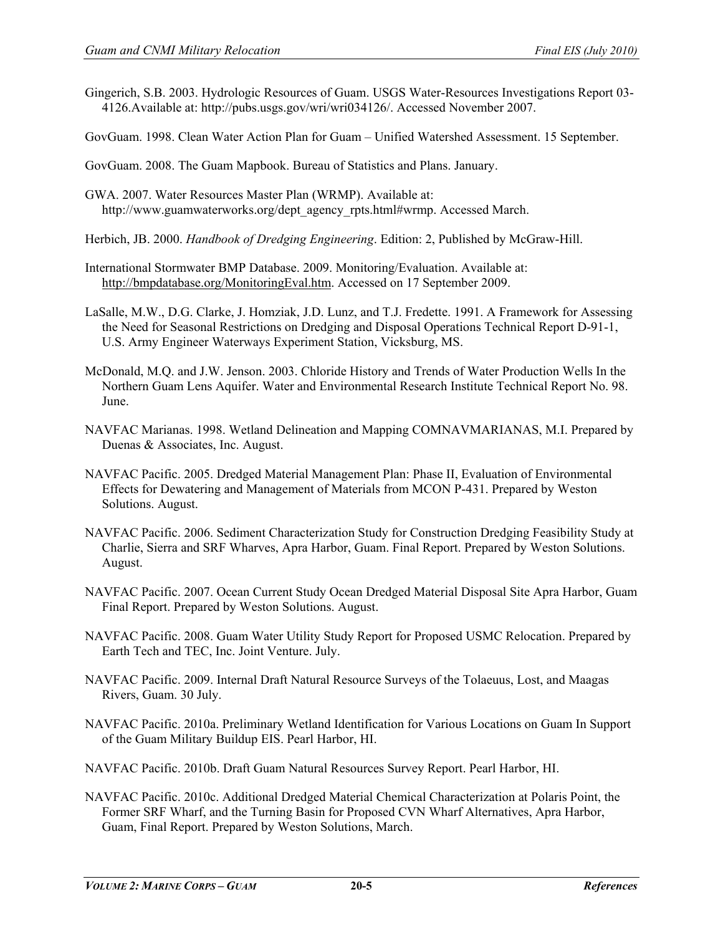- Gingerich, S.B. 2003. Hydrologic Resources of Guam. USGS Water-Resources Investigations Report 03- 4126.Available at: http://pubs.usgs.gov/wri/wri034126/. Accessed November 2007.
- GovGuam. 1998. Clean Water Action Plan for Guam Unified Watershed Assessment. 15 September.

GovGuam. 2008. The Guam Mapbook. Bureau of Statistics and Plans. January.

- GWA. 2007. Water Resources Master Plan (WRMP). Available at: http://www.guamwaterworks.org/dept\_agency\_rpts.html#wrmp. Accessed March.
- Herbich, JB. 2000. *Handbook of Dredging Engineering*. Edition: 2, Published by McGraw-Hill.
- International Stormwater BMP Database. 2009. Monitoring/Evaluation. Available at: [http://bmpdatabase.org/MonitoringEval.htm.](http://bmpdatabase.org/MonitoringEval.htm) Accessed on 17 September 2009.
- LaSalle, M.W., D.G. Clarke, J. Homziak, J.D. Lunz, and T.J. Fredette. 1991. A Framework for Assessing the Need for Seasonal Restrictions on Dredging and Disposal Operations Technical Report D-91-1, U.S. Army Engineer Waterways Experiment Station, Vicksburg, MS.
- McDonald, M.Q. and J.W. Jenson. 2003. Chloride History and Trends of Water Production Wells In the Northern Guam Lens Aquifer. Water and Environmental Research Institute Technical Report No. 98. June.
- NAVFAC Marianas. 1998. Wetland Delineation and Mapping COMNAVMARIANAS, M.I. Prepared by Duenas & Associates, Inc. August.
- NAVFAC Pacific. 2005. Dredged Material Management Plan: Phase II, Evaluation of Environmental Effects for Dewatering and Management of Materials from MCON P-431. Prepared by Weston Solutions. August.
- NAVFAC Pacific. 2006. Sediment Characterization Study for Construction Dredging Feasibility Study at Charlie, Sierra and SRF Wharves, Apra Harbor, Guam. Final Report. Prepared by Weston Solutions. August.
- NAVFAC Pacific. 2007. Ocean Current Study Ocean Dredged Material Disposal Site Apra Harbor, Guam Final Report. Prepared by Weston Solutions. August.
- NAVFAC Pacific. 2008. Guam Water Utility Study Report for Proposed USMC Relocation. Prepared by Earth Tech and TEC, Inc. Joint Venture. July.
- NAVFAC Pacific. 2009. Internal Draft Natural Resource Surveys of the Tolaeuus, Lost, and Maagas Rivers, Guam. 30 July.
- NAVFAC Pacific. 2010a. Preliminary Wetland Identification for Various Locations on Guam In Support of the Guam Military Buildup EIS. Pearl Harbor, HI.
- NAVFAC Pacific. 2010b. Draft Guam Natural Resources Survey Report. Pearl Harbor, HI.
- NAVFAC Pacific. 2010c. Additional Dredged Material Chemical Characterization at Polaris Point, the Former SRF Wharf, and the Turning Basin for Proposed CVN Wharf Alternatives, Apra Harbor, Guam, Final Report. Prepared by Weston Solutions, March.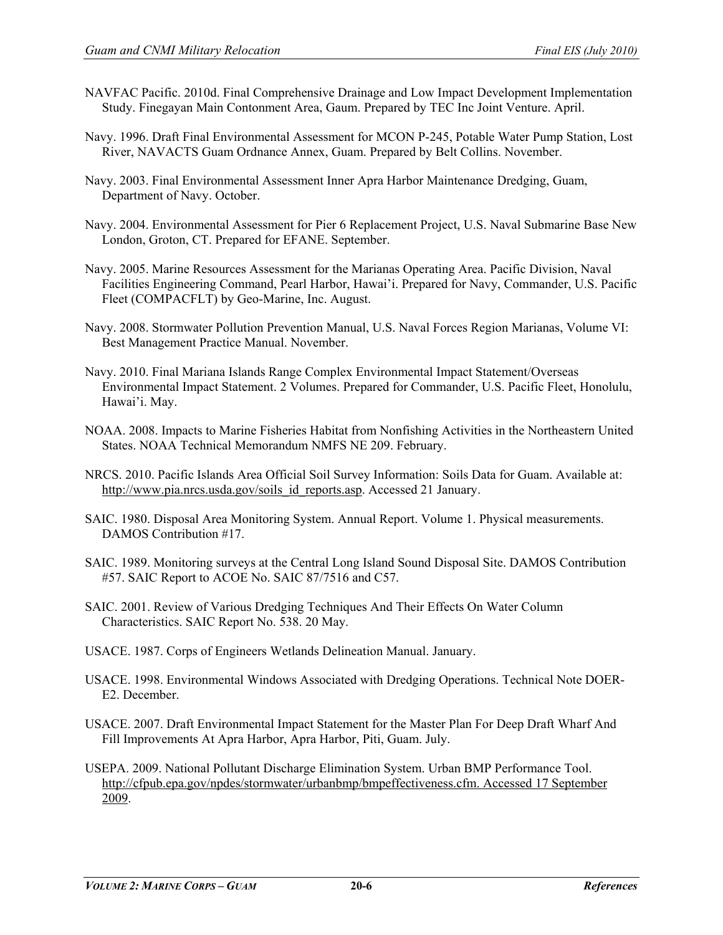- NAVFAC Pacific. 2010d. Final Comprehensive Drainage and Low Impact Development Implementation Study. Finegayan Main Contonment Area, Gaum. Prepared by TEC Inc Joint Venture. April.
- Navy. 1996. Draft Final Environmental Assessment for MCON P-245, Potable Water Pump Station, Lost River, NAVACTS Guam Ordnance Annex, Guam. Prepared by Belt Collins. November.
- Navy. 2003. Final Environmental Assessment Inner Apra Harbor Maintenance Dredging, Guam, Department of Navy. October.
- Navy. 2004. Environmental Assessment for Pier 6 Replacement Project, U.S. Naval Submarine Base New London, Groton, CT. Prepared for EFANE. September.
- Navy. 2005. Marine Resources Assessment for the Marianas Operating Area. Pacific Division, Naval Facilities Engineering Command, Pearl Harbor, Hawai'i. Prepared for Navy, Commander, U.S. Pacific Fleet (COMPACFLT) by Geo-Marine, Inc. August.
- Navy. 2008. Stormwater Pollution Prevention Manual, U.S. Naval Forces Region Marianas, Volume VI: Best Management Practice Manual. November.
- Navy. 2010. Final Mariana Islands Range Complex Environmental Impact Statement/Overseas Environmental Impact Statement. 2 Volumes. Prepared for Commander, U.S. Pacific Fleet, Honolulu, Hawai'i. May.
- NOAA. 2008. Impacts to Marine Fisheries Habitat from Nonfishing Activities in the Northeastern United States. NOAA Technical Memorandum NMFS NE 209. February.
- NRCS. 2010. Pacific Islands Area Official Soil Survey Information: Soils Data for Guam. Available at: [http://www.pia.nrcs.usda.gov/soils\\_id\\_reports.asp.](http://www.pia.nrcs.usda.gov/soils_id_reports.asp) Accessed 21 January.
- SAIC. 1980. Disposal Area Monitoring System. Annual Report. Volume 1. Physical measurements. DAMOS Contribution #17.
- SAIC. 1989. Monitoring surveys at the Central Long Island Sound Disposal Site. DAMOS Contribution #57. SAIC Report to ACOE No. SAIC 87/7516 and C57.
- SAIC. 2001. Review of Various Dredging Techniques And Their Effects On Water Column Characteristics. SAIC Report No. 538. 20 May.
- USACE. 1987. Corps of Engineers Wetlands Delineation Manual. January.
- USACE. 1998. Environmental Windows Associated with Dredging Operations. Technical Note DOER-E2. December.
- USACE. 2007. Draft Environmental Impact Statement for the Master Plan For Deep Draft Wharf And Fill Improvements At Apra Harbor, Apra Harbor, Piti, Guam. July.
- USEPA. 2009. National Pollutant Discharge Elimination System. Urban BMP Performance Tool. [http://cfpub.epa.gov/npdes/stormwater/urbanbmp/bmpeffectiveness.cfm. Accessed 17 September](http://cfpub.epa.gov/npdes/stormwater/urbanbmp/bmpeffectiveness.cfm.%20Accessed%2017%20September%202009)  [2009.](http://cfpub.epa.gov/npdes/stormwater/urbanbmp/bmpeffectiveness.cfm.%20Accessed%2017%20September%202009)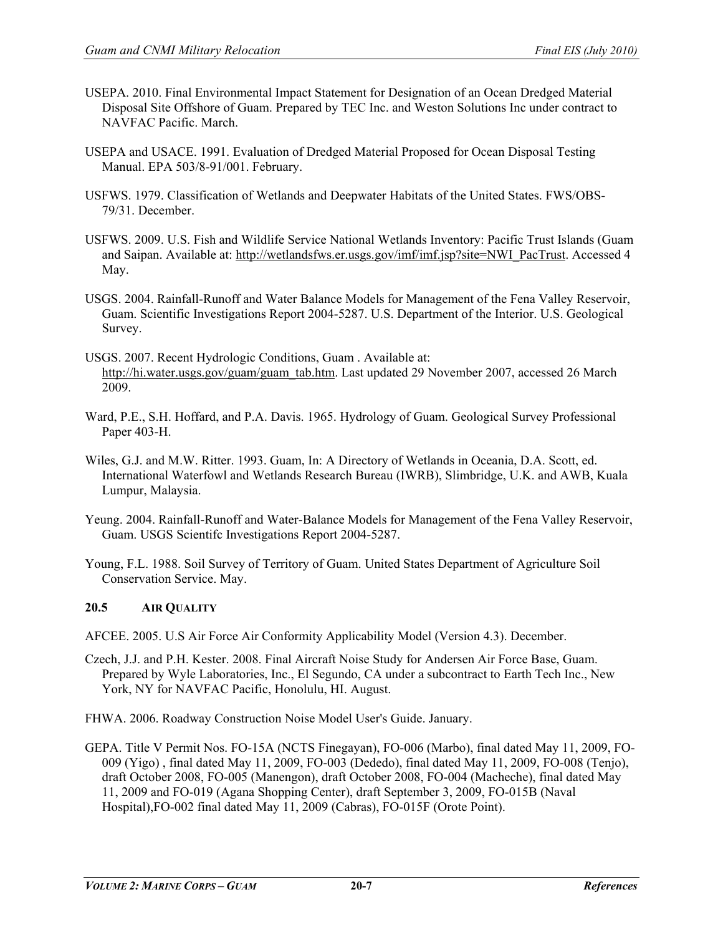- USEPA. 2010. Final Environmental Impact Statement for Designation of an Ocean Dredged Material Disposal Site Offshore of Guam. Prepared by TEC Inc. and Weston Solutions Inc under contract to NAVFAC Pacific. March.
- USEPA and USACE. 1991. Evaluation of Dredged Material Proposed for Ocean Disposal Testing Manual. EPA 503/8-91/001. February.
- USFWS. 1979. Classification of Wetlands and Deepwater Habitats of the United States. FWS/OBS-79/31. December.
- USFWS. 2009. U.S. Fish and Wildlife Service National Wetlands Inventory: Pacific Trust Islands (Guam and Saipan. Available at: [http://wetlandsfws.er.usgs.gov/imf/imf.jsp?site=NWI\\_PacTrust.](http://wetlandsfws.er.usgs.gov/imf/imf.jsp?site=NWI_PacTrust) Accessed 4 May.
- USGS. 2004. Rainfall-Runoff and Water Balance Models for Management of the Fena Valley Reservoir, Guam. Scientific Investigations Report 2004-5287. U.S. Department of the Interior. U.S. Geological Survey.
- USGS. 2007. Recent Hydrologic Conditions, Guam . Available at: [http://hi.water.usgs.gov/guam/guam\\_tab.htm.](http://hi.water.usgs.gov/guam/guam_tab.htm) Last updated 29 November 2007, accessed 26 March 2009.
- Ward, P.E., S.H. Hoffard, and P.A. Davis. 1965. Hydrology of Guam. Geological Survey Professional Paper 403-H.
- Wiles, G.J. and M.W. Ritter. 1993. Guam, In: A Directory of Wetlands in Oceania, D.A. Scott, ed. International Waterfowl and Wetlands Research Bureau (IWRB), Slimbridge, U.K. and AWB, Kuala Lumpur, Malaysia.
- Yeung. 2004. Rainfall-Runoff and Water-Balance Models for Management of the Fena Valley Reservoir, Guam. USGS Scientifc Investigations Report 2004-5287.
- Young, F.L. 1988. Soil Survey of Territory of Guam. United States Department of Agriculture Soil Conservation Service. May.

# **20.5 AIR QUALITY**

- AFCEE. 2005. U.S Air Force Air Conformity Applicability Model (Version 4.3). December.
- Czech, J.J. and P.H. Kester. 2008. Final Aircraft Noise Study for Andersen Air Force Base, Guam. Prepared by Wyle Laboratories, Inc., El Segundo, CA under a subcontract to Earth Tech Inc., New York, NY for NAVFAC Pacific, Honolulu, HI. August.
- FHWA. 2006. Roadway Construction Noise Model User's Guide. January.
- GEPA. Title V Permit Nos. FO-15A (NCTS Finegayan), FO-006 (Marbo), final dated May 11, 2009, FO-009 (Yigo) , final dated May 11, 2009, FO-003 (Dededo), final dated May 11, 2009, FO-008 (Tenjo), draft October 2008, FO-005 (Manengon), draft October 2008, FO-004 (Macheche), final dated May 11, 2009 and FO-019 (Agana Shopping Center), draft September 3, 2009, FO-015B (Naval Hospital),FO-002 final dated May 11, 2009 (Cabras), FO-015F (Orote Point).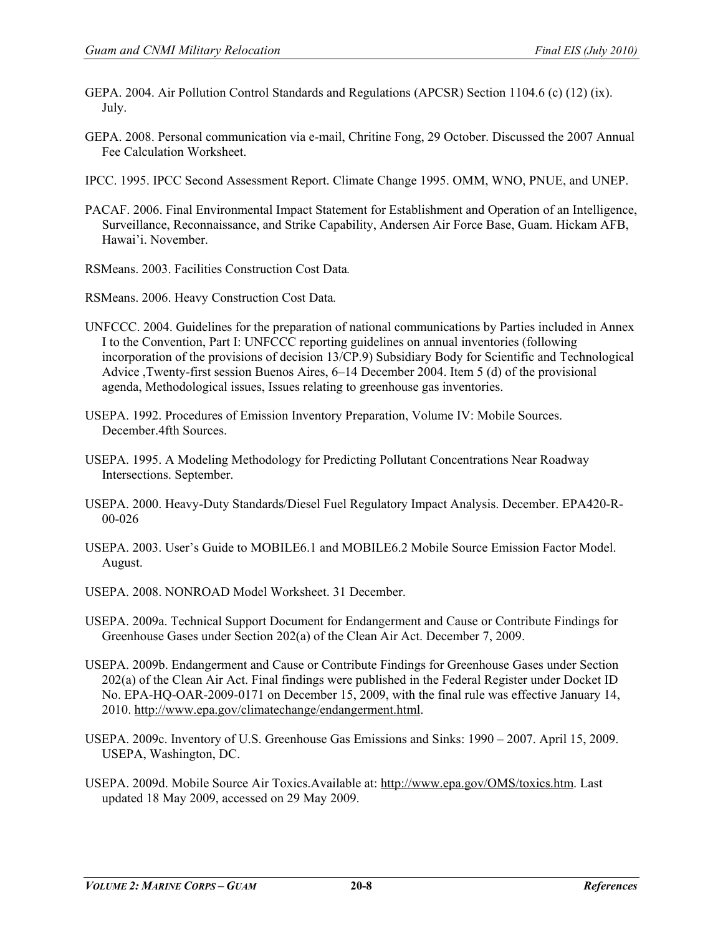- GEPA. 2004. Air Pollution Control Standards and Regulations (APCSR) Section 1104.6 (c) (12) (ix). July.
- GEPA. 2008. Personal communication via e-mail, Chritine Fong, 29 October. Discussed the 2007 Annual Fee Calculation Worksheet.
- IPCC. 1995. IPCC Second Assessment Report. Climate Change 1995. OMM, WNO, PNUE, and UNEP.
- PACAF. 2006. Final Environmental Impact Statement for Establishment and Operation of an Intelligence, Surveillance, Reconnaissance, and Strike Capability, Andersen Air Force Base, Guam. Hickam AFB, Hawai'i. November.
- RSMeans. 2003. Facilities Construction Cost Data*.*

RSMeans. 2006. Heavy Construction Cost Data*.*

- UNFCCC. 2004. Guidelines for the preparation of national communications by Parties included in Annex I to the Convention, Part I: UNFCCC reporting guidelines on annual inventories (following incorporation of the provisions of decision 13/CP.9) Subsidiary Body for Scientific and Technological Advice ,Twenty-first session Buenos Aires, 6–14 December 2004. Item 5 (d) of the provisional agenda, Methodological issues, Issues relating to greenhouse gas inventories.
- USEPA. 1992. Procedures of Emission Inventory Preparation, Volume IV: Mobile Sources. December.4fth Sources.
- USEPA. 1995. A Modeling Methodology for Predicting Pollutant Concentrations Near Roadway Intersections. September.
- USEPA. 2000. Heavy-Duty Standards/Diesel Fuel Regulatory Impact Analysis. December. EPA420-R-00-026
- USEPA. 2003. User's Guide to MOBILE6.1 and MOBILE6.2 Mobile Source Emission Factor Model. August.
- USEPA. 2008. NONROAD Model Worksheet. 31 December.
- USEPA. 2009a. Technical Support Document for Endangerment and Cause or Contribute Findings for Greenhouse Gases under Section 202(a) of the Clean Air Act. December 7, 2009.
- USEPA. 2009b. Endangerment and Cause or Contribute Findings for Greenhouse Gases under Section 202(a) of the Clean Air Act. Final findings were published in the Federal Register under Docket ID No. EPA-HQ-OAR-2009-0171 on December 15, 2009, with the final rule was effective January 14, 2010. [http://www.epa.gov/climatechange/endangerment.html.](http://www.epa.gov/climatechange/endangerment.html)
- USEPA. 2009c. Inventory of U.S. Greenhouse Gas Emissions and Sinks: 1990 2007. April 15, 2009. USEPA, Washington, DC.
- USEPA. 2009d. Mobile Source Air Toxics.Available at: [http://www.epa.gov/OMS/toxics.htm.](http://www.epa.gov/OMS/toxics.htm) Last updated 18 May 2009, accessed on 29 May 2009.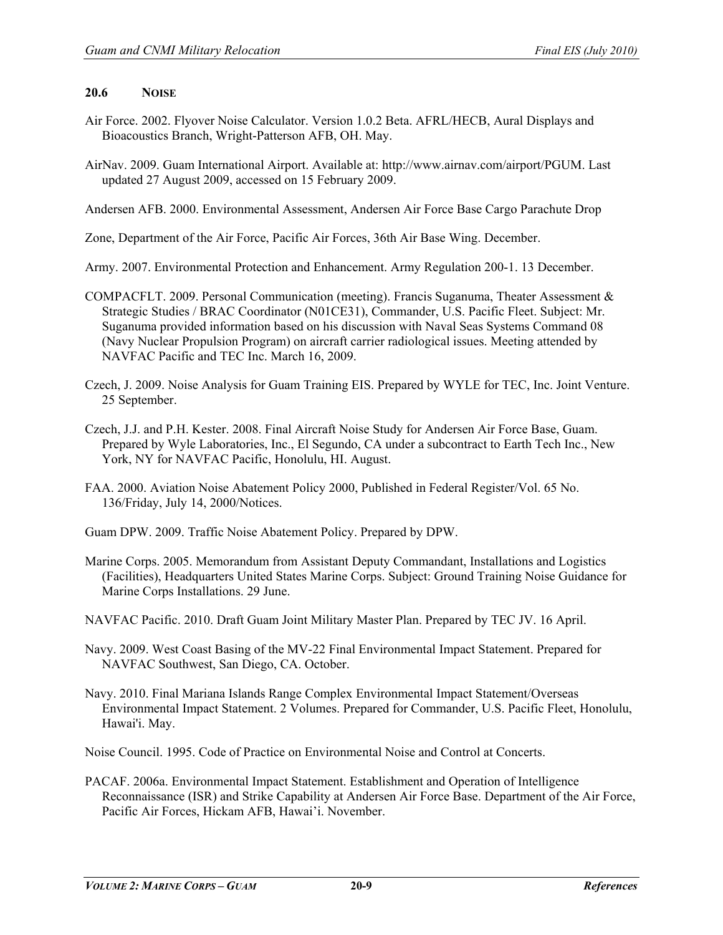# **20.6 NOISE**

- Air Force. 2002. Flyover Noise Calculator. Version 1.0.2 Beta. AFRL/HECB, Aural Displays and Bioacoustics Branch, Wright-Patterson AFB, OH. May.
- AirNav. 2009. Guam International Airport. Available at: http://www.airnav.com/airport/PGUM. Last updated 27 August 2009, accessed on 15 February 2009.
- Andersen AFB. 2000. Environmental Assessment, Andersen Air Force Base Cargo Parachute Drop

Zone, Department of the Air Force, Pacific Air Forces, 36th Air Base Wing. December.

Army. 2007. Environmental Protection and Enhancement. Army Regulation 200-1. 13 December.

- COMPACFLT. 2009. Personal Communication (meeting). Francis Suganuma, Theater Assessment & Strategic Studies / BRAC Coordinator (N01CE31), Commander, U.S. Pacific Fleet. Subject: Mr. Suganuma provided information based on his discussion with Naval Seas Systems Command 08 (Navy Nuclear Propulsion Program) on aircraft carrier radiological issues. Meeting attended by NAVFAC Pacific and TEC Inc. March 16, 2009.
- Czech, J. 2009. Noise Analysis for Guam Training EIS. Prepared by WYLE for TEC, Inc. Joint Venture. 25 September.
- Czech, J.J. and P.H. Kester. 2008. Final Aircraft Noise Study for Andersen Air Force Base, Guam. Prepared by Wyle Laboratories, Inc., El Segundo, CA under a subcontract to Earth Tech Inc., New York, NY for NAVFAC Pacific, Honolulu, HI. August.
- FAA. 2000. Aviation Noise Abatement Policy 2000, Published in Federal Register/Vol. 65 No. 136/Friday, July 14, 2000/Notices.

Guam DPW. 2009. Traffic Noise Abatement Policy. Prepared by DPW.

- Marine Corps. 2005. Memorandum from Assistant Deputy Commandant, Installations and Logistics (Facilities), Headquarters United States Marine Corps. Subject: Ground Training Noise Guidance for Marine Corps Installations. 29 June.
- NAVFAC Pacific. 2010. Draft Guam Joint Military Master Plan. Prepared by TEC JV. 16 April.
- Navy. 2009. West Coast Basing of the MV-22 Final Environmental Impact Statement. Prepared for NAVFAC Southwest, San Diego, CA. October.
- Navy. 2010. Final Mariana Islands Range Complex Environmental Impact Statement/Overseas Environmental Impact Statement. 2 Volumes. Prepared for Commander, U.S. Pacific Fleet, Honolulu, Hawai'i. May.

Noise Council. 1995. Code of Practice on Environmental Noise and Control at Concerts.

PACAF. 2006a. Environmental Impact Statement. Establishment and Operation of Intelligence Reconnaissance (ISR) and Strike Capability at Andersen Air Force Base. Department of the Air Force, Pacific Air Forces, Hickam AFB, Hawai'i. November.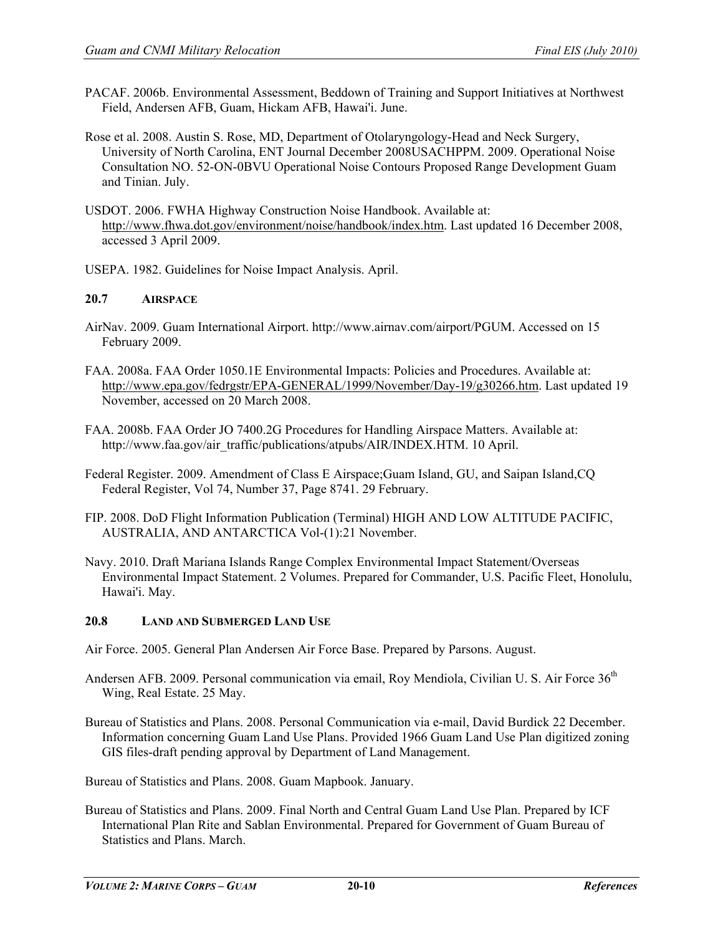- PACAF. 2006b. Environmental Assessment, Beddown of Training and Support Initiatives at Northwest Field, Andersen AFB, Guam, Hickam AFB, Hawai'i. June.
- Rose et al. 2008. Austin S. Rose, MD, Department of Otolaryngology-Head and Neck Surgery, University of North Carolina, ENT Journal December 2008USACHPPM. 2009. Operational Noise Consultation NO. 52-ON-0BVU Operational Noise Contours Proposed Range Development Guam and Tinian. July.
- USDOT. 2006. FWHA Highway Construction Noise Handbook. Available at: [http://www.fhwa.dot.gov/environment/noise/handbook/index.htm.](http://www.fhwa.dot.gov/environment/noise/handbook/index.htm) Last updated 16 December 2008, accessed 3 April 2009.
- USEPA. 1982. Guidelines for Noise Impact Analysis. April.

# **20.7 AIRSPACE**

- AirNav. 2009. Guam International Airport. http://www.airnav.com/airport/PGUM. Accessed on 15 February 2009.
- FAA. 2008a. FAA Order 1050.1E Environmental Impacts: Policies and Procedures. Available at: [http://www.epa.gov/fedrgstr/EPA-GENERAL/1999/November/Day-19/g30266.htm.](http://www.epa.gov/fedrgstr/EPA-GENERAL/1999/November/Day-19/g30266.htm) Last updated 19 November, accessed on 20 March 2008.
- FAA. 2008b. FAA Order JO 7400.2G Procedures for Handling Airspace Matters. Available at: http://www.faa.gov/air\_traffic/publications/atpubs/AIR/INDEX.HTM. 10 April.
- Federal Register. 2009. Amendment of Class E Airspace;Guam Island, GU, and Saipan Island,CQ Federal Register, Vol 74, Number 37, Page 8741. 29 February.
- FIP. 2008. DoD Flight Information Publication (Terminal) HIGH AND LOW ALTITUDE PACIFIC, AUSTRALIA, AND ANTARCTICA Vol-(1):21 November.
- Navy. 2010. Draft Mariana Islands Range Complex Environmental Impact Statement/Overseas Environmental Impact Statement. 2 Volumes. Prepared for Commander, U.S. Pacific Fleet, Honolulu, Hawai'i. May.

#### **20.8 LAND AND SUBMERGED LAND USE**

- Air Force. 2005. General Plan Andersen Air Force Base. Prepared by Parsons. August.
- Andersen AFB. 2009. Personal communication via email, Roy Mendiola, Civilian U. S. Air Force 36<sup>th</sup> Wing, Real Estate. 25 May.
- Bureau of Statistics and Plans. 2008. Personal Communication via e-mail, David Burdick 22 December. Information concerning Guam Land Use Plans. Provided 1966 Guam Land Use Plan digitized zoning GIS files-draft pending approval by Department of Land Management.

Bureau of Statistics and Plans. 2008. Guam Mapbook. January.

Bureau of Statistics and Plans. 2009. Final North and Central Guam Land Use Plan. Prepared by ICF International Plan Rite and Sablan Environmental. Prepared for Government of Guam Bureau of Statistics and Plans. March.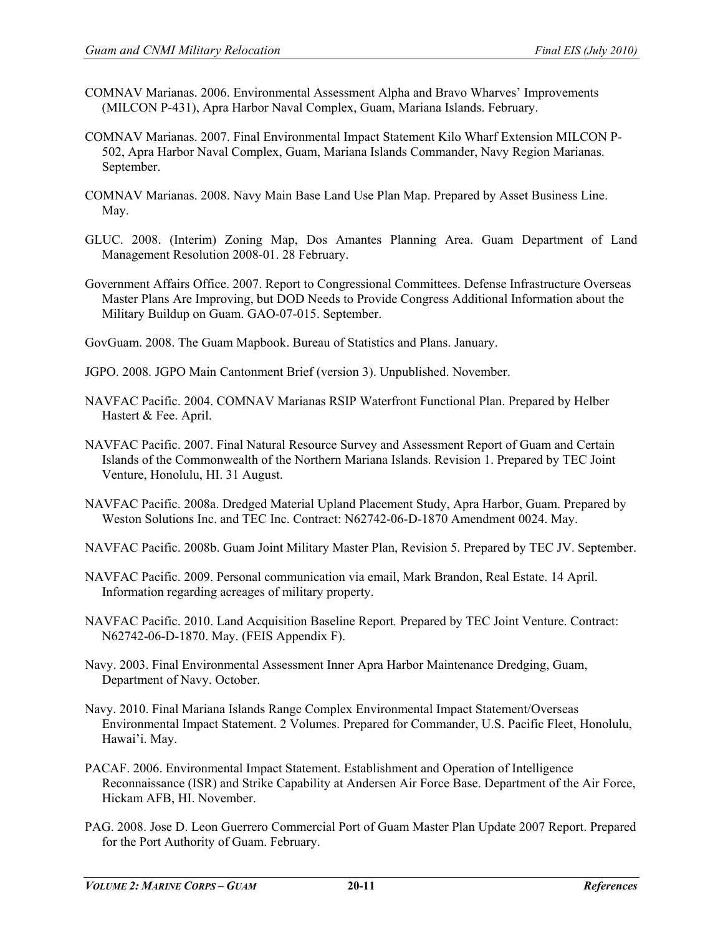- COMNAV Marianas. 2006. Environmental Assessment Alpha and Bravo Wharves' Improvements (MILCON P-431), Apra Harbor Naval Complex, Guam, Mariana Islands. February.
- COMNAV Marianas. 2007. Final Environmental Impact Statement Kilo Wharf Extension MILCON P-502, Apra Harbor Naval Complex, Guam, Mariana Islands Commander, Navy Region Marianas. September.
- COMNAV Marianas. 2008. Navy Main Base Land Use Plan Map. Prepared by Asset Business Line. May.
- GLUC. 2008. (Interim) Zoning Map, Dos Amantes Planning Area. Guam Department of Land Management Resolution 2008-01. 28 February.
- Government Affairs Office. 2007. Report to Congressional Committees. Defense Infrastructure Overseas Master Plans Are Improving, but DOD Needs to Provide Congress Additional Information about the Military Buildup on Guam. GAO-07-015. September.
- GovGuam. 2008. The Guam Mapbook. Bureau of Statistics and Plans. January.
- JGPO. 2008. JGPO Main Cantonment Brief (version 3). Unpublished. November.
- NAVFAC Pacific. 2004. COMNAV Marianas RSIP Waterfront Functional Plan. Prepared by Helber Hastert & Fee. April.
- NAVFAC Pacific. 2007. Final Natural Resource Survey and Assessment Report of Guam and Certain Islands of the Commonwealth of the Northern Mariana Islands. Revision 1. Prepared by TEC Joint Venture, Honolulu, HI. 31 August.
- NAVFAC Pacific. 2008a. Dredged Material Upland Placement Study, Apra Harbor, Guam. Prepared by Weston Solutions Inc. and TEC Inc. Contract: N62742-06-D-1870 Amendment 0024. May.
- NAVFAC Pacific. 2008b. Guam Joint Military Master Plan, Revision 5. Prepared by TEC JV. September.
- NAVFAC Pacific. 2009. Personal communication via email, Mark Brandon, Real Estate. 14 April. Information regarding acreages of military property.
- NAVFAC Pacific. 2010. Land Acquisition Baseline Report*.* Prepared by TEC Joint Venture. Contract: N62742-06-D-1870. May. (FEIS Appendix F).
- Navy. 2003. Final Environmental Assessment Inner Apra Harbor Maintenance Dredging, Guam, Department of Navy. October.
- Navy. 2010. Final Mariana Islands Range Complex Environmental Impact Statement/Overseas Environmental Impact Statement. 2 Volumes. Prepared for Commander, U.S. Pacific Fleet, Honolulu, Hawai'i. May.
- PACAF. 2006. Environmental Impact Statement. Establishment and Operation of Intelligence Reconnaissance (ISR) and Strike Capability at Andersen Air Force Base. Department of the Air Force, Hickam AFB, HI. November.
- PAG. 2008. Jose D. Leon Guerrero Commercial Port of Guam Master Plan Update 2007 Report. Prepared for the Port Authority of Guam. February.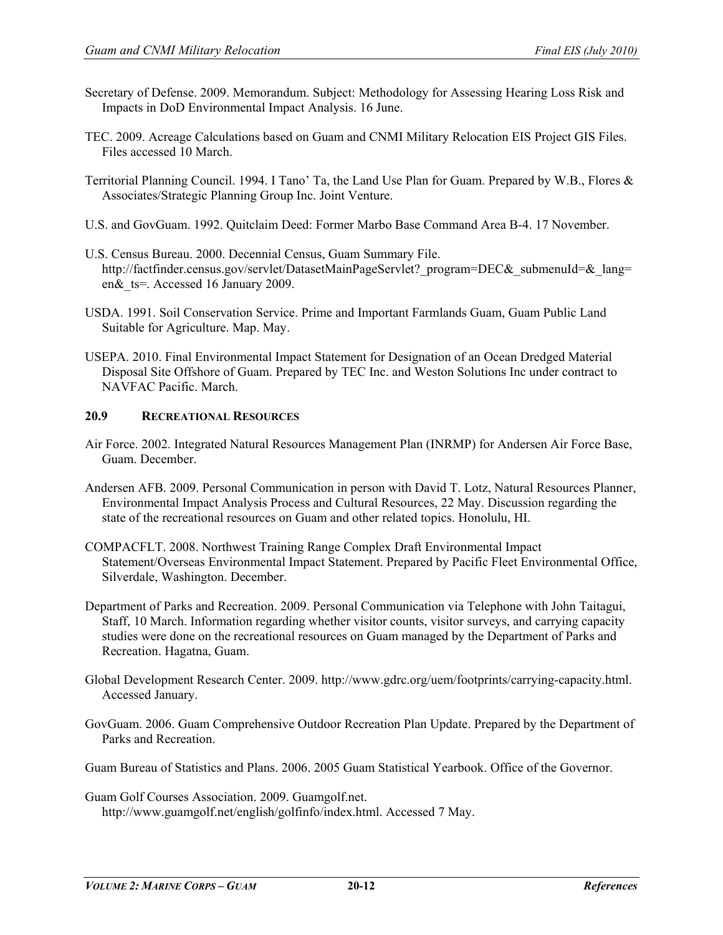- Secretary of Defense. 2009. Memorandum. Subject: Methodology for Assessing Hearing Loss Risk and Impacts in DoD Environmental Impact Analysis. 16 June.
- TEC. 2009. Acreage Calculations based on Guam and CNMI Military Relocation EIS Project GIS Files. Files accessed 10 March.
- Territorial Planning Council. 1994. I Tano' Ta, the Land Use Plan for Guam. Prepared by W.B., Flores & Associates/Strategic Planning Group Inc. Joint Venture.
- U.S. and GovGuam. 1992. Quitclaim Deed: Former Marbo Base Command Area B-4. 17 November.
- U.S. Census Bureau. 2000. Decennial Census, Guam Summary File. http://factfinder.census.gov/servlet/DatasetMainPageServlet? program=DEC& submenuId=& lang= en&\_ts=. Accessed 16 January 2009.
- USDA. 1991. Soil Conservation Service. Prime and Important Farmlands Guam, Guam Public Land Suitable for Agriculture. Map. May.
- USEPA. 2010. Final Environmental Impact Statement for Designation of an Ocean Dredged Material Disposal Site Offshore of Guam. Prepared by TEC Inc. and Weston Solutions Inc under contract to NAVFAC Pacific. March.

# **20.9 RECREATIONAL RESOURCES**

- Air Force. 2002. Integrated Natural Resources Management Plan (INRMP) for Andersen Air Force Base, Guam. December.
- Andersen AFB. 2009. Personal Communication in person with David T. Lotz, Natural Resources Planner, Environmental Impact Analysis Process and Cultural Resources, 22 May. Discussion regarding the state of the recreational resources on Guam and other related topics. Honolulu, HI.
- COMPACFLT. 2008. Northwest Training Range Complex Draft Environmental Impact Statement/Overseas Environmental Impact Statement. Prepared by Pacific Fleet Environmental Office, Silverdale, Washington. December.
- Department of Parks and Recreation. 2009. Personal Communication via Telephone with John Taitagui, Staff, 10 March. Information regarding whether visitor counts, visitor surveys, and carrying capacity studies were done on the recreational resources on Guam managed by the Department of Parks and Recreation. Hagatna, Guam.
- Global Development Research Center. 2009. http://www.gdrc.org/uem/footprints/carrying-capacity.html. Accessed January.
- GovGuam. 2006. Guam Comprehensive Outdoor Recreation Plan Update. Prepared by the Department of Parks and Recreation.
- Guam Bureau of Statistics and Plans. 2006. 2005 Guam Statistical Yearbook. Office of the Governor.
- Guam Golf Courses Association. 2009. Guamgolf.net. http://www.guamgolf.net/english/golfinfo/index.html. Accessed 7 May.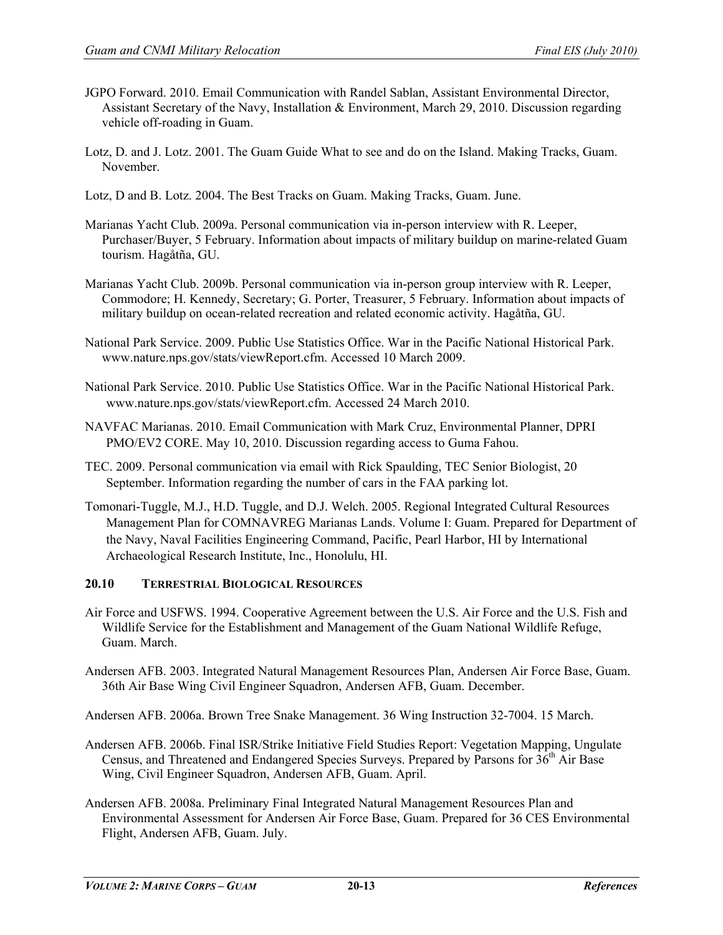- JGPO Forward. 2010. Email Communication with Randel Sablan, Assistant Environmental Director, Assistant Secretary of the Navy, Installation & Environment, March 29, 2010. Discussion regarding vehicle off-roading in Guam.
- Lotz, D. and J. Lotz. 2001. The Guam Guide What to see and do on the Island. Making Tracks, Guam. November.

Lotz, D and B. Lotz. 2004. The Best Tracks on Guam. Making Tracks, Guam. June.

- Marianas Yacht Club. 2009a. Personal communication via in-person interview with R. Leeper, Purchaser/Buyer, 5 February. Information about impacts of military buildup on marine-related Guam tourism. Hagåtña, GU.
- Marianas Yacht Club. 2009b. Personal communication via in-person group interview with R. Leeper, Commodore; H. Kennedy, Secretary; G. Porter, Treasurer, 5 February. Information about impacts of military buildup on ocean-related recreation and related economic activity. Hagåtña, GU.
- National Park Service. 2009. Public Use Statistics Office. War in the Pacific National Historical Park. [www.nature.nps.gov/stats/viewReport.cfm. Accessed 10 March 2009.](http://www.nature.nps.gov/stats/viewReport.cfm.%20Accessed%2010%20March%202009)
- National Park Service. 2010. Public Use Statistics Office. War in the Pacific National Historical Park. [www.nature.nps.gov/stats/viewReport.cfm. Accessed 24 March 2010.](http://www.nature.nps.gov/stats/viewReport.cfm.%20Accessed%2024%20March%202010)
- NAVFAC Marianas. 2010. Email Communication with Mark Cruz, Environmental Planner, DPRI PMO/EV2 CORE. May 10, 2010. Discussion regarding access to Guma Fahou.
- TEC. 2009. Personal communication via email with Rick Spaulding, TEC Senior Biologist, 20 September. Information regarding the number of cars in the FAA parking lot.
- Tomonari-Tuggle, M.J., H.D. Tuggle, and D.J. Welch. 2005. Regional Integrated Cultural Resources Management Plan for COMNAVREG Marianas Lands. Volume I: Guam. Prepared for Department of the Navy, Naval Facilities Engineering Command, Pacific, Pearl Harbor, HI by International Archaeological Research Institute, Inc., Honolulu, HI.

### **20.10 TERRESTRIAL BIOLOGICAL RESOURCES**

- Air Force and USFWS. 1994. Cooperative Agreement between the U.S. Air Force and the U.S. Fish and Wildlife Service for the Establishment and Management of the Guam National Wildlife Refuge, Guam. March.
- Andersen AFB. 2003. Integrated Natural Management Resources Plan, Andersen Air Force Base, Guam. 36th Air Base Wing Civil Engineer Squadron, Andersen AFB, Guam. December.

Andersen AFB. 2006a. Brown Tree Snake Management. 36 Wing Instruction 32-7004. 15 March.

- Andersen AFB. 2006b. Final ISR/Strike Initiative Field Studies Report: Vegetation Mapping, Ungulate Census, and Threatened and Endangered Species Surveys. Prepared by Parsons for 36<sup>th</sup> Air Base Wing, Civil Engineer Squadron, Andersen AFB, Guam. April.
- Andersen AFB. 2008a. Preliminary Final Integrated Natural Management Resources Plan and Environmental Assessment for Andersen Air Force Base, Guam. Prepared for 36 CES Environmental Flight, Andersen AFB, Guam. July.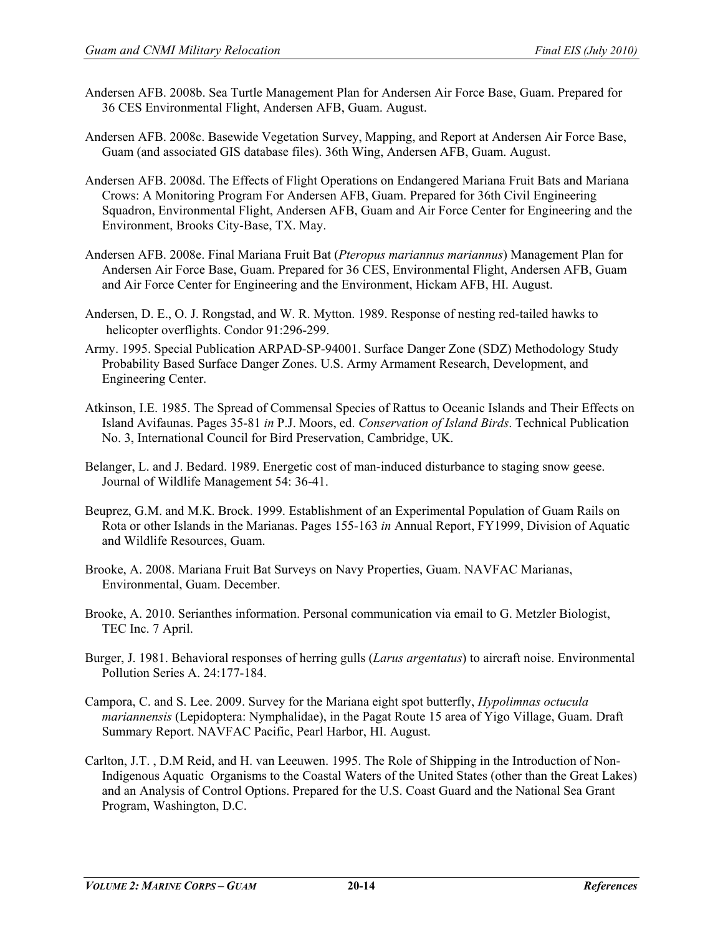- Andersen AFB. 2008b. Sea Turtle Management Plan for Andersen Air Force Base, Guam. Prepared for 36 CES Environmental Flight, Andersen AFB, Guam. August.
- Andersen AFB. 2008c. Basewide Vegetation Survey, Mapping, and Report at Andersen Air Force Base, Guam (and associated GIS database files). 36th Wing, Andersen AFB, Guam. August.
- Andersen AFB. 2008d. The Effects of Flight Operations on Endangered Mariana Fruit Bats and Mariana Crows: A Monitoring Program For Andersen AFB, Guam. Prepared for 36th Civil Engineering Squadron, Environmental Flight, Andersen AFB, Guam and Air Force Center for Engineering and the Environment, Brooks City-Base, TX. May.
- Andersen AFB. 2008e. Final Mariana Fruit Bat (*Pteropus mariannus mariannus*) Management Plan for Andersen Air Force Base, Guam. Prepared for 36 CES, Environmental Flight, Andersen AFB, Guam and Air Force Center for Engineering and the Environment, Hickam AFB, HI. August.
- Andersen, D. E., O. J. Rongstad, and W. R. Mytton. 1989. Response of nesting red-tailed hawks to helicopter overflights. Condor 91:296-299.
- Army. 1995. Special Publication ARPAD-SP-94001. Surface Danger Zone (SDZ) Methodology Study Probability Based Surface Danger Zones. U.S. Army Armament Research, Development, and Engineering Center.
- Atkinson, I.E. 1985. The Spread of Commensal Species of Rattus to Oceanic Islands and Their Effects on Island Avifaunas. Pages 35-81 *in* P.J. Moors, ed. *Conservation of Island Birds*. Technical Publication No. 3, International Council for Bird Preservation, Cambridge, UK.
- Belanger, L. and J. Bedard. 1989. Energetic cost of man-induced disturbance to staging snow geese. Journal of Wildlife Management 54: 36-41.
- Beuprez, G.M. and M.K. Brock. 1999. Establishment of an Experimental Population of Guam Rails on Rota or other Islands in the Marianas. Pages 155-163 *in* Annual Report, FY1999, Division of Aquatic and Wildlife Resources, Guam.
- Brooke, A. 2008. Mariana Fruit Bat Surveys on Navy Properties, Guam. NAVFAC Marianas, Environmental, Guam. December.
- Brooke, A. 2010. Serianthes information. Personal communication via email to G. Metzler Biologist, TEC Inc. 7 April.
- Burger, J. 1981. Behavioral responses of herring gulls (*Larus argentatus*) to aircraft noise. Environmental Pollution Series A. 24:177-184.
- Campora, C. and S. Lee. 2009. Survey for the Mariana eight spot butterfly, *Hypolimnas octucula mariannensis* (Lepidoptera: Nymphalidae), in the Pagat Route 15 area of Yigo Village, Guam. Draft Summary Report. NAVFAC Pacific, Pearl Harbor, HI. August.
- Carlton, J.T. , D.M Reid, and H. van Leeuwen. 1995. The Role of Shipping in the Introduction of Non-Indigenous Aquatic Organisms to the Coastal Waters of the United States (other than the Great Lakes) and an Analysis of Control Options. Prepared for the U.S. Coast Guard and the National Sea Grant Program, Washington, D.C.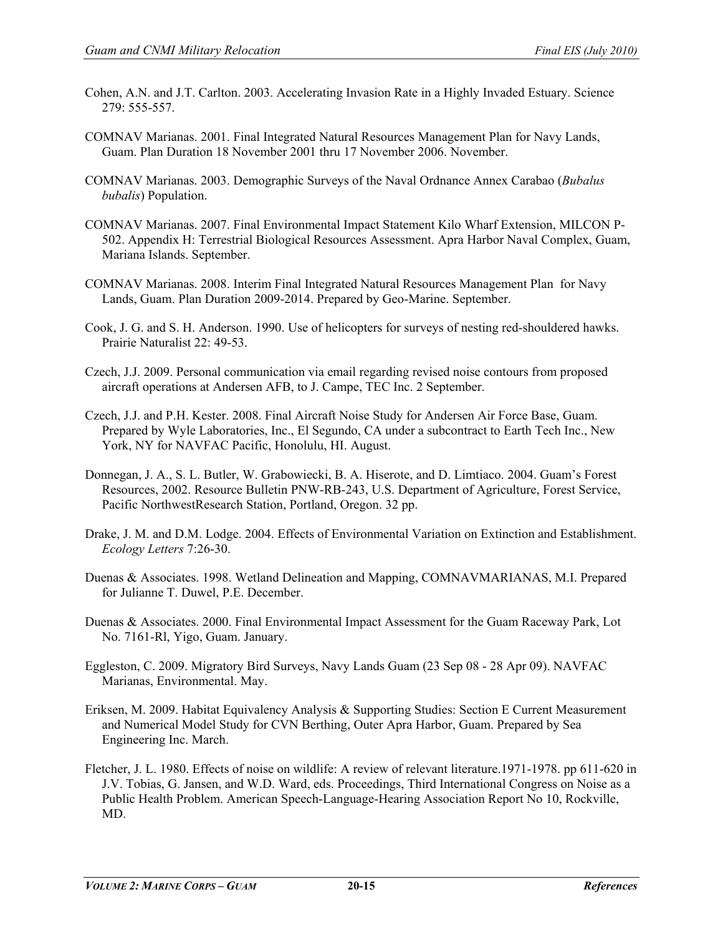- Cohen, A.N. and J.T. Carlton. 2003. Accelerating Invasion Rate in a Highly Invaded Estuary. Science 279: 555-557.
- COMNAV Marianas. 2001. Final Integrated Natural Resources Management Plan for Navy Lands, Guam. Plan Duration 18 November 2001 thru 17 November 2006. November.
- COMNAV Marianas. 2003. Demographic Surveys of the Naval Ordnance Annex Carabao (*Bubalus bubalis*) Population.
- COMNAV Marianas. 2007. Final Environmental Impact Statement Kilo Wharf Extension, MILCON P-502. Appendix H: Terrestrial Biological Resources Assessment. Apra Harbor Naval Complex, Guam, Mariana Islands. September.
- COMNAV Marianas. 2008. Interim Final Integrated Natural Resources Management Plan for Navy Lands, Guam. Plan Duration 2009-2014. Prepared by Geo-Marine. September.
- Cook, J. G. and S. H. Anderson. 1990. Use of helicopters for surveys of nesting red-shouldered hawks. Prairie Naturalist 22: 49-53.
- Czech, J.J. 2009. Personal communication via email regarding revised noise contours from proposed aircraft operations at Andersen AFB, to J. Campe, TEC Inc. 2 September.
- Czech, J.J. and P.H. Kester. 2008. Final Aircraft Noise Study for Andersen Air Force Base, Guam. Prepared by Wyle Laboratories, Inc., El Segundo, CA under a subcontract to Earth Tech Inc., New York, NY for NAVFAC Pacific, Honolulu, HI. August.
- Donnegan, J. A., S. L. Butler, W. Grabowiecki, B. A. Hiserote, and D. Limtiaco. 2004. Guam's Forest Resources, 2002. Resource Bulletin PNW-RB-243, U.S. Department of Agriculture, Forest Service, Pacific NorthwestResearch Station, Portland, Oregon. 32 pp.
- Drake, J. M. and D.M. Lodge. 2004. Effects of Environmental Variation on Extinction and Establishment. *Ecology Letters* 7:26-30.
- Duenas & Associates. 1998. Wetland Delineation and Mapping, COMNAVMARIANAS, M.I. Prepared for Julianne T. Duwel, P.E. December.
- Duenas & Associates. 2000. Final Environmental Impact Assessment for the Guam Raceway Park, Lot No. 7161-Rl, Yigo, Guam. January.
- Eggleston, C. 2009. Migratory Bird Surveys, Navy Lands Guam (23 Sep 08 28 Apr 09). NAVFAC Marianas, Environmental. May.
- Eriksen, M. 2009. Habitat Equivalency Analysis & Supporting Studies: Section E Current Measurement and Numerical Model Study for CVN Berthing, Outer Apra Harbor, Guam. Prepared by Sea Engineering Inc. March.
- Fletcher, J. L. 1980. Effects of noise on wildlife: A review of relevant literature.1971-1978. pp 611-620 in J.V. Tobias, G. Jansen, and W.D. Ward, eds. Proceedings, Third International Congress on Noise as a Public Health Problem. American Speech-Language-Hearing Association Report No 10, Rockville, MD.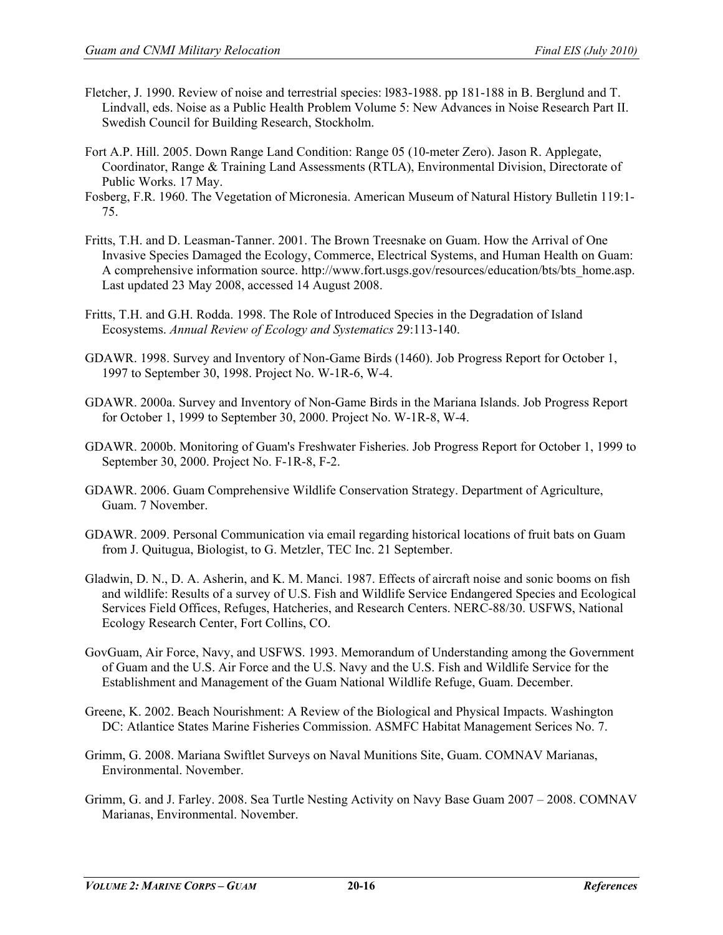- Fletcher, J. 1990. Review of noise and terrestrial species: l983-1988. pp 181-188 in B. Berglund and T. Lindvall, eds. Noise as a Public Health Problem Volume 5: New Advances in Noise Research Part II. Swedish Council for Building Research, Stockholm.
- Fort A.P. Hill. 2005. Down Range Land Condition: Range 05 (10-meter Zero). Jason R. Applegate, Coordinator, Range & Training Land Assessments (RTLA), Environmental Division, Directorate of Public Works. 17 May.
- Fosberg, F.R. 1960. The Vegetation of Micronesia. American Museum of Natural History Bulletin 119:1- 75.
- Fritts, T.H. and D. Leasman-Tanner. 2001. The Brown Treesnake on Guam. How the Arrival of One Invasive Species Damaged the Ecology, Commerce, Electrical Systems, and Human Health on Guam: A comprehensive information source. http://www.fort.usgs.gov/resources/education/bts/bts\_home.asp. Last updated 23 May 2008, accessed 14 August 2008.
- Fritts, T.H. and G.H. Rodda. 1998. The Role of Introduced Species in the Degradation of Island Ecosystems. *Annual Review of Ecology and Systematics* 29:113-140.
- GDAWR. 1998. Survey and Inventory of Non-Game Birds (1460). Job Progress Report for October 1, 1997 to September 30, 1998. Project No. W-1R-6, W-4.
- GDAWR. 2000a. Survey and Inventory of Non-Game Birds in the Mariana Islands. Job Progress Report for October 1, 1999 to September 30, 2000. Project No. W-1R-8, W-4.
- GDAWR. 2000b. Monitoring of Guam's Freshwater Fisheries. Job Progress Report for October 1, 1999 to September 30, 2000. Project No. F-1R-8, F-2.
- GDAWR. 2006. Guam Comprehensive Wildlife Conservation Strategy. Department of Agriculture, Guam. 7 November.
- GDAWR. 2009. Personal Communication via email regarding historical locations of fruit bats on Guam from J. Quitugua, Biologist, to G. Metzler, TEC Inc. 21 September.
- Gladwin, D. N., D. A. Asherin, and K. M. Manci. 1987. Effects of aircraft noise and sonic booms on fish and wildlife: Results of a survey of U.S. Fish and Wildlife Service Endangered Species and Ecological Services Field Offices, Refuges, Hatcheries, and Research Centers. NERC-88/30. USFWS, National Ecology Research Center, Fort Collins, CO.
- GovGuam, Air Force, Navy, and USFWS. 1993. Memorandum of Understanding among the Government of Guam and the U.S. Air Force and the U.S. Navy and the U.S. Fish and Wildlife Service for the Establishment and Management of the Guam National Wildlife Refuge, Guam. December.
- Greene, K. 2002. Beach Nourishment: A Review of the Biological and Physical Impacts. Washington DC: Atlantice States Marine Fisheries Commission. ASMFC Habitat Management Serices No. 7.
- Grimm, G. 2008. Mariana Swiftlet Surveys on Naval Munitions Site, Guam. COMNAV Marianas, Environmental. November.
- Grimm, G. and J. Farley. 2008. Sea Turtle Nesting Activity on Navy Base Guam 2007 2008. COMNAV Marianas, Environmental. November.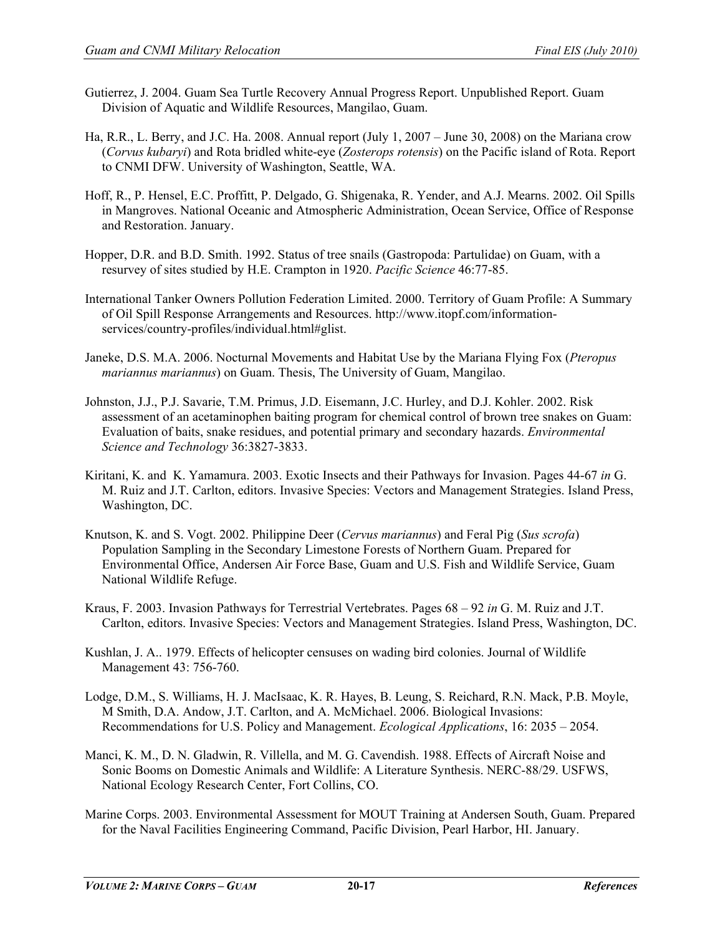- Gutierrez, J. 2004. Guam Sea Turtle Recovery Annual Progress Report. Unpublished Report. Guam Division of Aquatic and Wildlife Resources, Mangilao, Guam.
- Ha, R.R., L. Berry, and J.C. Ha. 2008. Annual report (July 1, 2007 June 30, 2008) on the Mariana crow (*Corvus kubaryi*) and Rota bridled white-eye (*Zosterops rotensis*) on the Pacific island of Rota. Report to CNMI DFW. University of Washington, Seattle, WA.
- Hoff, R., P. Hensel, E.C. Proffitt, P. Delgado, G. Shigenaka, R. Yender, and A.J. Mearns. 2002. Oil Spills in Mangroves. National Oceanic and Atmospheric Administration, Ocean Service, Office of Response and Restoration. January.
- Hopper, D.R. and B.D. Smith. 1992. Status of tree snails (Gastropoda: Partulidae) on Guam, with a resurvey of sites studied by H.E. Crampton in 1920. *Pacific Science* 46:77-85.
- International Tanker Owners Pollution Federation Limited. 2000. Territory of Guam Profile: A Summary of Oil Spill Response Arrangements and Resources. http://www.itopf.com/informationservices/country-profiles/individual.html#glist.
- Janeke, D.S. M.A. 2006. Nocturnal Movements and Habitat Use by the Mariana Flying Fox (*Pteropus mariannus mariannus*) on Guam. Thesis, The University of Guam, Mangilao.
- Johnston, J.J., P.J. Savarie, T.M. Primus, J.D. Eisemann, J.C. Hurley, and D.J. Kohler. 2002. Risk assessment of an acetaminophen baiting program for chemical control of brown tree snakes on Guam: Evaluation of baits, snake residues, and potential primary and secondary hazards. *Environmental Science and Technology* 36:3827-3833.
- Kiritani, K. and K. Yamamura. 2003. Exotic Insects and their Pathways for Invasion. Pages 44-67 *in* G. M. Ruiz and J.T. Carlton, editors. Invasive Species: Vectors and Management Strategies. Island Press, Washington, DC.
- Knutson, K. and S. Vogt. 2002. Philippine Deer (*Cervus mariannus*) and Feral Pig (*Sus scrofa*) Population Sampling in the Secondary Limestone Forests of Northern Guam. Prepared for Environmental Office, Andersen Air Force Base, Guam and U.S. Fish and Wildlife Service, Guam National Wildlife Refuge.
- Kraus, F. 2003. Invasion Pathways for Terrestrial Vertebrates. Pages 68 92 *in* G. M. Ruiz and J.T. Carlton, editors. Invasive Species: Vectors and Management Strategies. Island Press, Washington, DC.
- Kushlan, J. A.. 1979. Effects of helicopter censuses on wading bird colonies. Journal of Wildlife Management 43: 756-760.
- Lodge, D.M., S. Williams, H. J. MacIsaac, K. R. Hayes, B. Leung, S. Reichard, R.N. Mack, P.B. Moyle, M Smith, D.A. Andow, J.T. Carlton, and A. McMichael. 2006. Biological Invasions: Recommendations for U.S. Policy and Management. *Ecological Applications*, 16: 2035 – 2054.
- Manci, K. M., D. N. Gladwin, R. Villella, and M. G. Cavendish. 1988. Effects of Aircraft Noise and Sonic Booms on Domestic Animals and Wildlife: A Literature Synthesis. NERC-88/29. USFWS, National Ecology Research Center, Fort Collins, CO.
- Marine Corps. 2003. Environmental Assessment for MOUT Training at Andersen South, Guam. Prepared for the Naval Facilities Engineering Command, Pacific Division, Pearl Harbor, HI. January.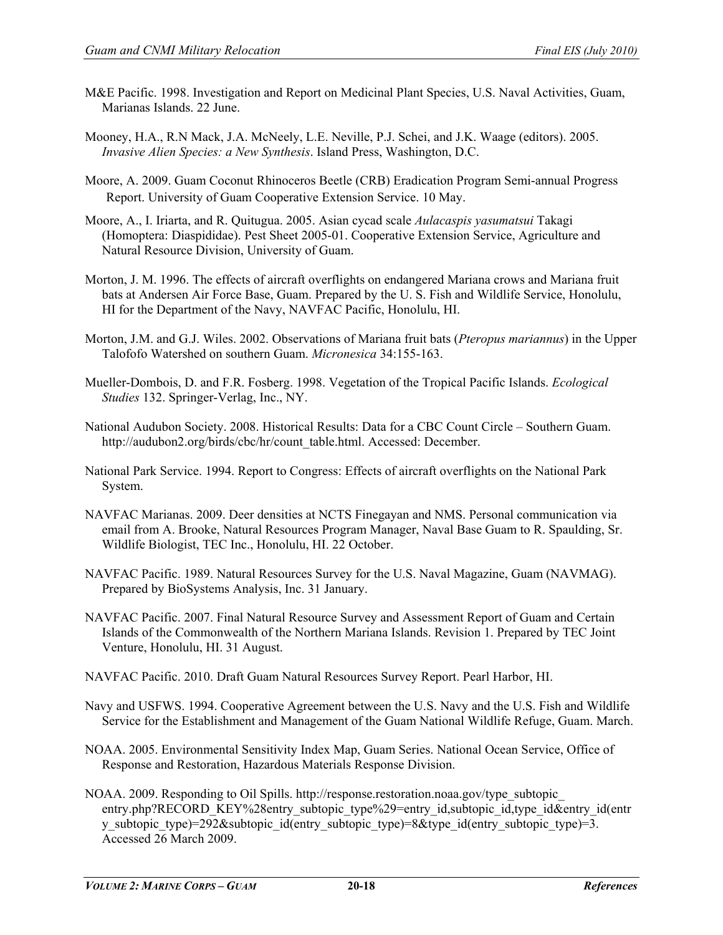- M&E Pacific. 1998. Investigation and Report on Medicinal Plant Species, U.S. Naval Activities, Guam, Marianas Islands. 22 June.
- Mooney, H.A., R.N Mack, J.A. McNeely, L.E. Neville, P.J. Schei, and J.K. Waage (editors). 2005. *Invasive Alien Species: a New Synthesis*. Island Press, Washington, D.C.
- Moore, A. 2009. Guam Coconut Rhinoceros Beetle (CRB) Eradication Program Semi-annual Progress Report. University of Guam Cooperative Extension Service. 10 May.
- Moore, A., I. Iriarta, and R. Quitugua. 2005. Asian cycad scale *Aulacaspis yasumatsui* Takagi (Homoptera: Diaspididae). Pest Sheet 2005-01. Cooperative Extension Service, Agriculture and Natural Resource Division, University of Guam.
- Morton, J. M. 1996. The effects of aircraft overflights on endangered Mariana crows and Mariana fruit bats at Andersen Air Force Base, Guam. Prepared by the U. S. Fish and Wildlife Service, Honolulu, HI for the Department of the Navy, NAVFAC Pacific, Honolulu, HI.
- Morton, J.M. and G.J. Wiles. 2002. Observations of Mariana fruit bats (*Pteropus mariannus*) in the Upper Talofofo Watershed on southern Guam. *Micronesica* 34:155-163.
- Mueller-Dombois, D. and F.R. Fosberg. 1998. Vegetation of the Tropical Pacific Islands. *Ecological Studies* 132. Springer-Verlag, Inc., NY.
- National Audubon Society. 2008. Historical Results: Data for a CBC Count Circle Southern Guam. http://audubon2.org/birds/cbc/hr/count\_table.html. Accessed: December.
- National Park Service. 1994. Report to Congress: Effects of aircraft overflights on the National Park System.
- NAVFAC Marianas. 2009. Deer densities at NCTS Finegayan and NMS. Personal communication via email from A. Brooke, Natural Resources Program Manager, Naval Base Guam to R. Spaulding, Sr. Wildlife Biologist, TEC Inc., Honolulu, HI. 22 October.
- NAVFAC Pacific. 1989. Natural Resources Survey for the U.S. Naval Magazine, Guam (NAVMAG). Prepared by BioSystems Analysis, Inc. 31 January.
- NAVFAC Pacific. 2007. Final Natural Resource Survey and Assessment Report of Guam and Certain Islands of the Commonwealth of the Northern Mariana Islands. Revision 1. Prepared by TEC Joint Venture, Honolulu, HI. 31 August.
- NAVFAC Pacific. 2010. Draft Guam Natural Resources Survey Report. Pearl Harbor, HI.
- Navy and USFWS. 1994. Cooperative Agreement between the U.S. Navy and the U.S. Fish and Wildlife Service for the Establishment and Management of the Guam National Wildlife Refuge, Guam. March.
- NOAA. 2005. Environmental Sensitivity Index Map, Guam Series. National Ocean Service, Office of Response and Restoration, Hazardous Materials Response Division.
- NOAA. 2009. Responding to Oil Spills. http://response.restoration.noaa.gov/type\_subtopic\_ entry.php?RECORD\_KEY%28entry\_subtopic\_type%29=entry\_id,subtopic\_id,type\_id&entry\_id(entr y\_subtopic\_type)=292&subtopic\_id(entry\_subtopic\_type)=8&type\_id(entry\_subtopic\_type)=3. Accessed 26 March 2009.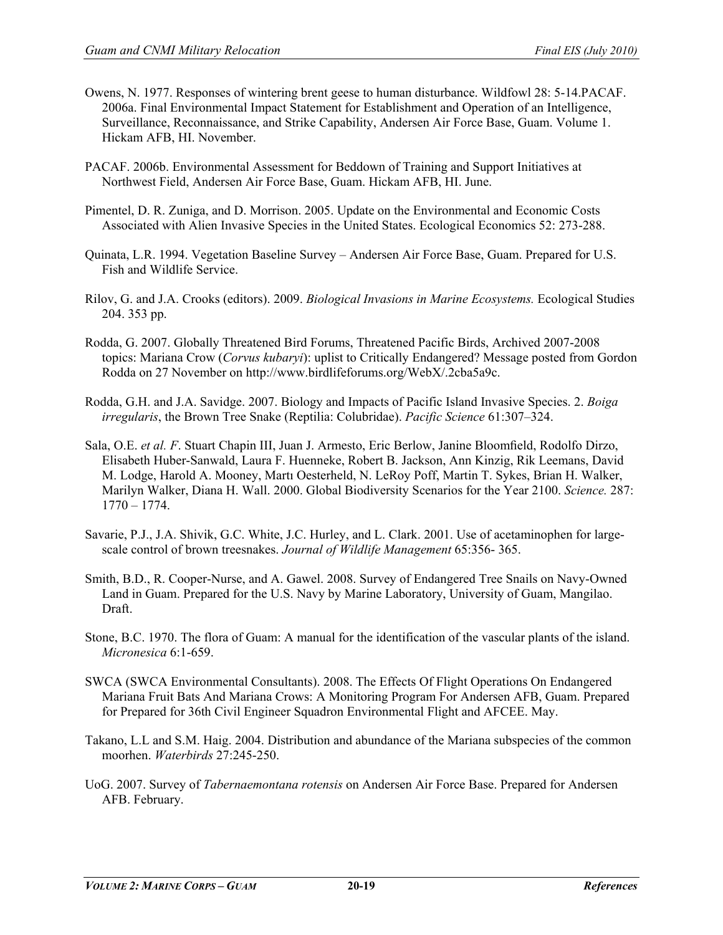- Owens, N. 1977. Responses of wintering brent geese to human disturbance. Wildfowl 28: 5-14.PACAF. 2006a. Final Environmental Impact Statement for Establishment and Operation of an Intelligence, Surveillance, Reconnaissance, and Strike Capability, Andersen Air Force Base, Guam. Volume 1. Hickam AFB, HI. November.
- PACAF. 2006b. Environmental Assessment for Beddown of Training and Support Initiatives at Northwest Field, Andersen Air Force Base, Guam. Hickam AFB, HI. June.
- Pimentel, D. R. Zuniga, and D. Morrison. 2005. Update on the Environmental and Economic Costs Associated with Alien Invasive Species in the United States. Ecological Economics 52: 273-288.
- Quinata, L.R. 1994. Vegetation Baseline Survey Andersen Air Force Base, Guam. Prepared for U.S. Fish and Wildlife Service.
- Rilov, G. and J.A. Crooks (editors). 2009. *Biological Invasions in Marine Ecosystems.* Ecological Studies 204. 353 pp.
- Rodda, G. 2007. Globally Threatened Bird Forums, Threatened Pacific Birds, Archived 2007-2008 topics: Mariana Crow (*Corvus kubaryi*): uplist to Critically Endangered? Message posted from Gordon Rodda on 27 November on http://www.birdlifeforums.org/WebX/.2cba5a9c.
- Rodda, G.H. and J.A. Savidge. 2007. Biology and Impacts of Pacific Island Invasive Species. 2. *Boiga irregularis*, the Brown Tree Snake (Reptilia: Colubridae). *Pacific Science* 61:307–324.
- Sala, O.E. *et al. F*. Stuart Chapin III, Juan J. Armesto, Eric Berlow, Janine Bloomfield, Rodolfo Dirzo, Elisabeth Huber-Sanwald, Laura F. Huenneke, Robert B. Jackson, Ann Kinzig, Rik Leemans, David M. Lodge, Harold A. Mooney, Martı Oesterheld, N. LeRoy Poff, Martin T. Sykes, Brian H. Walker, Marilyn Walker, Diana H. Wall. 2000. Global Biodiversity Scenarios for the Year 2100. *Science.* 287: 1770 – 1774.
- Savarie, P.J., J.A. Shivik, G.C. White, J.C. Hurley, and L. Clark. 2001. Use of acetaminophen for largescale control of brown treesnakes. *Journal of Wildlife Management* 65:356- 365.
- Smith, B.D., R. Cooper-Nurse, and A. Gawel. 2008. Survey of Endangered Tree Snails on Navy-Owned Land in Guam. Prepared for the U.S. Navy by Marine Laboratory, University of Guam, Mangilao. Draft.
- Stone, B.C. 1970. The flora of Guam: A manual for the identification of the vascular plants of the island. *Micronesica* 6:1-659.
- SWCA (SWCA Environmental Consultants). 2008. The Effects Of Flight Operations On Endangered Mariana Fruit Bats And Mariana Crows: A Monitoring Program For Andersen AFB, Guam. Prepared for Prepared for 36th Civil Engineer Squadron Environmental Flight and AFCEE. May.
- Takano, L.L and S.M. Haig. 2004. Distribution and abundance of the Mariana subspecies of the common moorhen. *Waterbirds* 27:245-250.
- UoG. 2007. Survey of *Tabernaemontana rotensis* on Andersen Air Force Base. Prepared for Andersen AFB. February.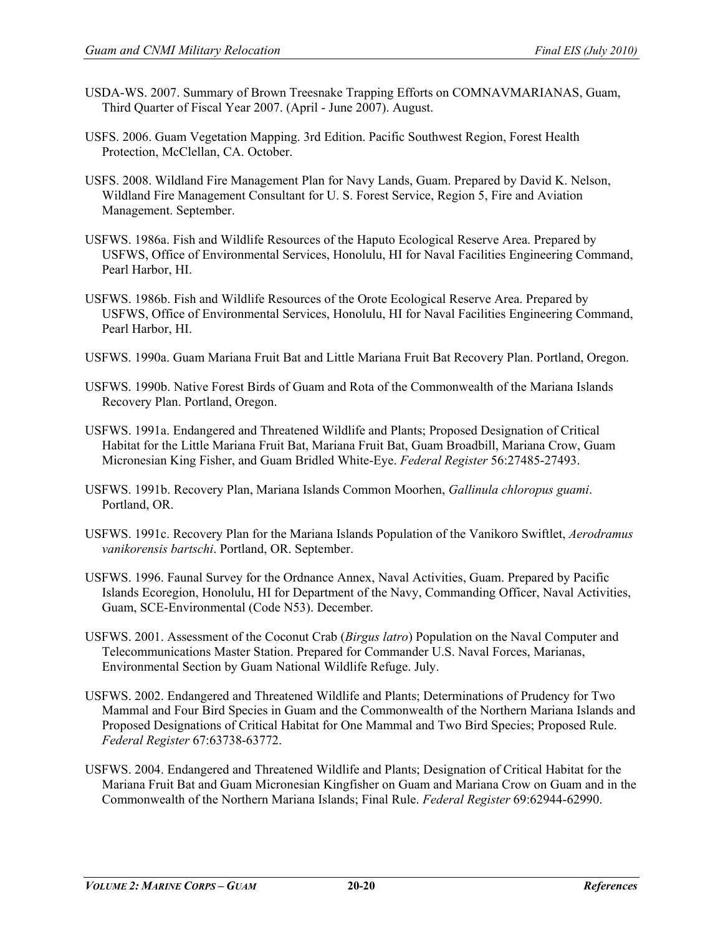- USDA-WS. 2007. Summary of Brown Treesnake Trapping Efforts on COMNAVMARIANAS, Guam, Third Quarter of Fiscal Year 2007. (April - June 2007). August.
- USFS. 2006. Guam Vegetation Mapping. 3rd Edition. Pacific Southwest Region, Forest Health Protection, McClellan, CA. October.
- USFS. 2008. Wildland Fire Management Plan for Navy Lands, Guam. Prepared by David K. Nelson, Wildland Fire Management Consultant for U. S. Forest Service, Region 5, Fire and Aviation Management. September.
- USFWS. 1986a. Fish and Wildlife Resources of the Haputo Ecological Reserve Area. Prepared by USFWS, Office of Environmental Services, Honolulu, HI for Naval Facilities Engineering Command, Pearl Harbor, HI.
- USFWS. 1986b. Fish and Wildlife Resources of the Orote Ecological Reserve Area. Prepared by USFWS, Office of Environmental Services, Honolulu, HI for Naval Facilities Engineering Command, Pearl Harbor, HI.
- USFWS. 1990a. Guam Mariana Fruit Bat and Little Mariana Fruit Bat Recovery Plan. Portland, Oregon.
- USFWS. 1990b. Native Forest Birds of Guam and Rota of the Commonwealth of the Mariana Islands Recovery Plan. Portland, Oregon.
- USFWS. 1991a. Endangered and Threatened Wildlife and Plants; Proposed Designation of Critical Habitat for the Little Mariana Fruit Bat, Mariana Fruit Bat, Guam Broadbill, Mariana Crow, Guam Micronesian King Fisher, and Guam Bridled White-Eye. *Federal Register* 56:27485-27493.
- USFWS. 1991b. Recovery Plan, Mariana Islands Common Moorhen, *Gallinula chloropus guami*. Portland, OR.
- USFWS. 1991c. Recovery Plan for the Mariana Islands Population of the Vanikoro Swiftlet, *Aerodramus vanikorensis bartschi*. Portland, OR. September.
- USFWS. 1996. Faunal Survey for the Ordnance Annex, Naval Activities, Guam. Prepared by Pacific Islands Ecoregion, Honolulu, HI for Department of the Navy, Commanding Officer, Naval Activities, Guam, SCE-Environmental (Code N53). December.
- USFWS. 2001. Assessment of the Coconut Crab (*Birgus latro*) Population on the Naval Computer and Telecommunications Master Station. Prepared for Commander U.S. Naval Forces, Marianas, Environmental Section by Guam National Wildlife Refuge. July.
- USFWS. 2002. Endangered and Threatened Wildlife and Plants; Determinations of Prudency for Two Mammal and Four Bird Species in Guam and the Commonwealth of the Northern Mariana Islands and Proposed Designations of Critical Habitat for One Mammal and Two Bird Species; Proposed Rule. *Federal Register* 67:63738-63772.
- USFWS. 2004. Endangered and Threatened Wildlife and Plants; Designation of Critical Habitat for the Mariana Fruit Bat and Guam Micronesian Kingfisher on Guam and Mariana Crow on Guam and in the Commonwealth of the Northern Mariana Islands; Final Rule. *Federal Register* 69:62944-62990.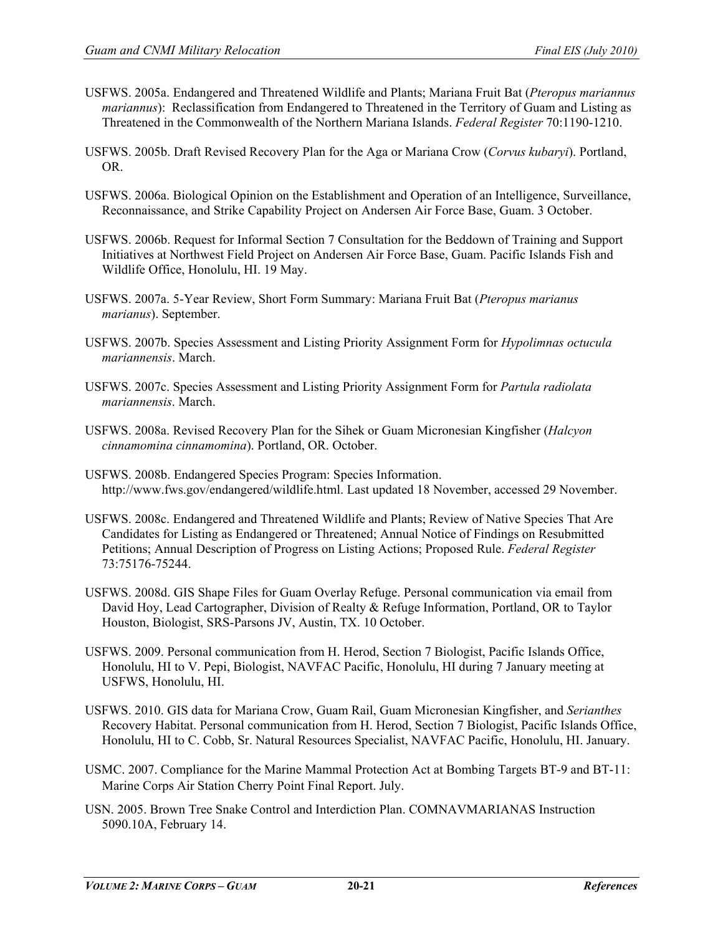- USFWS. 2005a. Endangered and Threatened Wildlife and Plants; Mariana Fruit Bat (*Pteropus mariannus mariannus*): Reclassification from Endangered to Threatened in the Territory of Guam and Listing as Threatened in the Commonwealth of the Northern Mariana Islands. *Federal Register* 70:1190-1210.
- USFWS. 2005b. Draft Revised Recovery Plan for the Aga or Mariana Crow (*Corvus kubaryi*). Portland, OR.
- USFWS. 2006a. Biological Opinion on the Establishment and Operation of an Intelligence, Surveillance, Reconnaissance, and Strike Capability Project on Andersen Air Force Base, Guam. 3 October.
- USFWS. 2006b. Request for Informal Section 7 Consultation for the Beddown of Training and Support Initiatives at Northwest Field Project on Andersen Air Force Base, Guam. Pacific Islands Fish and Wildlife Office, Honolulu, HI. 19 May.
- USFWS. 2007a. 5-Year Review, Short Form Summary: Mariana Fruit Bat (*Pteropus marianus marianus*). September.
- USFWS. 2007b. Species Assessment and Listing Priority Assignment Form for *Hypolimnas octucula mariannensis*. March.
- USFWS. 2007c. Species Assessment and Listing Priority Assignment Form for *Partula radiolata mariannensis*. March.
- USFWS. 2008a. Revised Recovery Plan for the Sihek or Guam Micronesian Kingfisher (*Halcyon cinnamomina cinnamomina*). Portland, OR. October.
- USFWS. 2008b. Endangered Species Program: Species Information. http://www.fws.gov/endangered/wildlife.html. Last updated 18 November, accessed 29 November.
- USFWS. 2008c. Endangered and Threatened Wildlife and Plants; Review of Native Species That Are Candidates for Listing as Endangered or Threatened; Annual Notice of Findings on Resubmitted Petitions; Annual Description of Progress on Listing Actions; Proposed Rule. *Federal Register* 73:75176-75244.
- USFWS. 2008d. GIS Shape Files for Guam Overlay Refuge. Personal communication via email from David Hoy, Lead Cartographer, Division of Realty & Refuge Information, Portland, OR to Taylor Houston, Biologist, SRS-Parsons JV, Austin, TX. 10 October.
- USFWS. 2009. Personal communication from H. Herod, Section 7 Biologist, Pacific Islands Office, Honolulu, HI to V. Pepi, Biologist, NAVFAC Pacific, Honolulu, HI during 7 January meeting at USFWS, Honolulu, HI.
- USFWS. 2010. GIS data for Mariana Crow, Guam Rail, Guam Micronesian Kingfisher, and *Serianthes* Recovery Habitat. Personal communication from H. Herod, Section 7 Biologist, Pacific Islands Office, Honolulu, HI to C. Cobb, Sr. Natural Resources Specialist, NAVFAC Pacific, Honolulu, HI. January.
- USMC. 2007. Compliance for the Marine Mammal Protection Act at Bombing Targets BT-9 and BT-11: Marine Corps Air Station Cherry Point Final Report. July.
- USN. 2005. Brown Tree Snake Control and Interdiction Plan. COMNAVMARIANAS Instruction 5090.10A, February 14.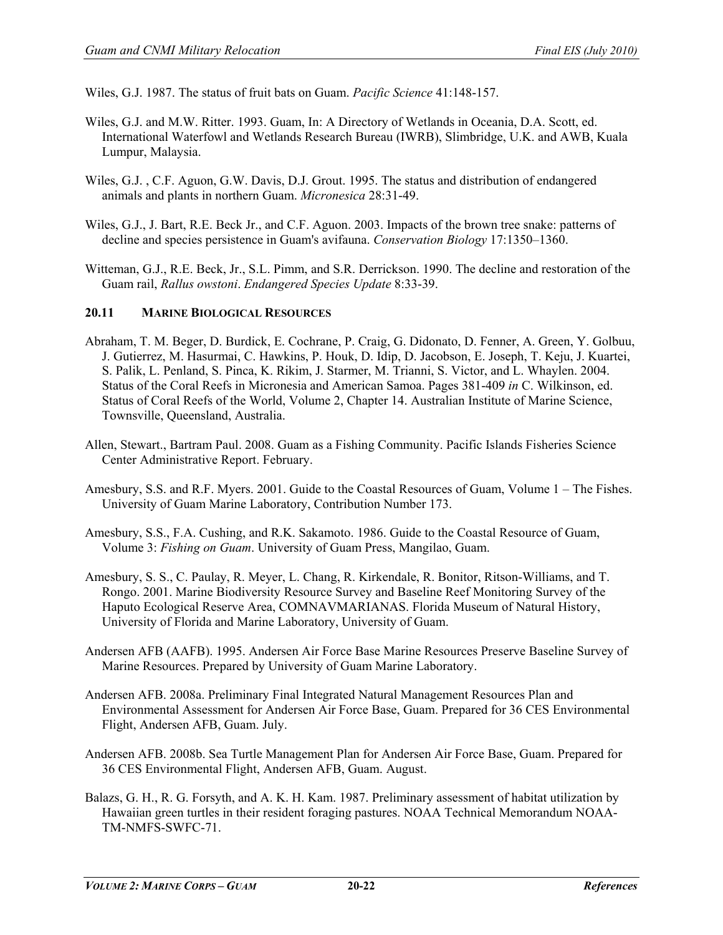Wiles, G.J. 1987. The status of fruit bats on Guam. *Pacific Science* 41:148-157.

- Wiles, G.J. and M.W. Ritter. 1993. Guam, In: A Directory of Wetlands in Oceania, D.A. Scott, ed. International Waterfowl and Wetlands Research Bureau (IWRB), Slimbridge, U.K. and AWB, Kuala Lumpur, Malaysia.
- Wiles, G.J. , C.F. Aguon, G.W. Davis, D.J. Grout. 1995. The status and distribution of endangered animals and plants in northern Guam. *Micronesica* 28:31-49.
- Wiles, G.J., J. Bart, R.E. Beck Jr., and C.F. Aguon. 2003. Impacts of the brown tree snake: patterns of decline and species persistence in Guam's avifauna. *Conservation Biology* 17:1350–1360.
- Witteman, G.J., R.E. Beck, Jr., S.L. Pimm, and S.R. Derrickson. 1990. The decline and restoration of the Guam rail, *Rallus owstoni*. *Endangered Species Update* 8:33-39.

# **20.11 MARINE BIOLOGICAL RESOURCES**

- Abraham, T. M. Beger, D. Burdick, E. Cochrane, P. Craig, G. Didonato, D. Fenner, A. Green, Y. Golbuu, J. Gutierrez, M. Hasurmai, C. Hawkins, P. Houk, D. Idip, D. Jacobson, E. Joseph, T. Keju, J. Kuartei, S. Palik, L. Penland, S. Pinca, K. Rikim, J. Starmer, M. Trianni, S. Victor, and L. Whaylen. 2004. Status of the Coral Reefs in Micronesia and American Samoa. Pages 381-409 *in* C. Wilkinson, ed. Status of Coral Reefs of the World, Volume 2, Chapter 14. Australian Institute of Marine Science, Townsville, Queensland, Australia.
- Allen, Stewart., Bartram Paul. 2008. Guam as a Fishing Community. Pacific Islands Fisheries Science Center Administrative Report. February.
- Amesbury, S.S. and R.F. Myers. 2001. Guide to the Coastal Resources of Guam, Volume 1 The Fishes. University of Guam Marine Laboratory, Contribution Number 173.
- Amesbury, S.S., F.A. Cushing, and R.K. Sakamoto. 1986. Guide to the Coastal Resource of Guam, Volume 3: *Fishing on Guam*. University of Guam Press, Mangilao, Guam.
- Amesbury, S. S., C. Paulay, R. Meyer, L. Chang, R. Kirkendale, R. Bonitor, Ritson-Williams, and T. Rongo. 2001. Marine Biodiversity Resource Survey and Baseline Reef Monitoring Survey of the Haputo Ecological Reserve Area, COMNAVMARIANAS. Florida Museum of Natural History, University of Florida and Marine Laboratory, University of Guam.
- Andersen AFB (AAFB). 1995. Andersen Air Force Base Marine Resources Preserve Baseline Survey of Marine Resources. Prepared by University of Guam Marine Laboratory.
- Andersen AFB. 2008a. Preliminary Final Integrated Natural Management Resources Plan and Environmental Assessment for Andersen Air Force Base, Guam. Prepared for 36 CES Environmental Flight, Andersen AFB, Guam. July.
- Andersen AFB. 2008b. Sea Turtle Management Plan for Andersen Air Force Base, Guam. Prepared for 36 CES Environmental Flight, Andersen AFB, Guam. August.
- Balazs, G. H., R. G. Forsyth, and A. K. H. Kam. 1987. Preliminary assessment of habitat utilization by Hawaiian green turtles in their resident foraging pastures. NOAA Technical Memorandum NOAA-TM-NMFS-SWFC-71.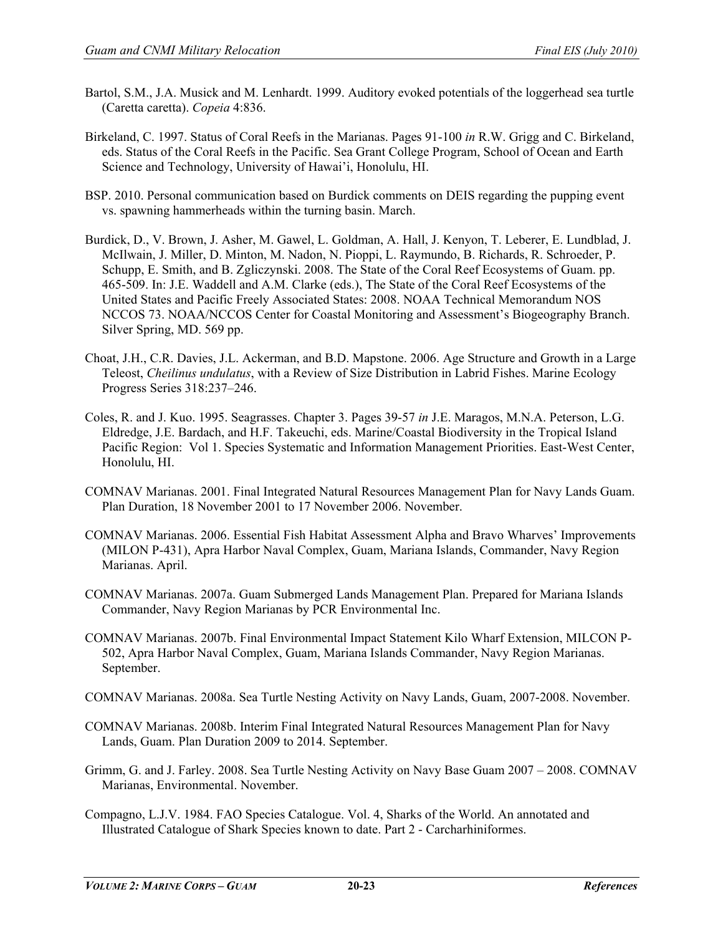- Bartol, S.M., J.A. Musick and M. Lenhardt. 1999. Auditory evoked potentials of the loggerhead sea turtle (Caretta caretta). *Copeia* 4:836.
- Birkeland, C. 1997. Status of Coral Reefs in the Marianas. Pages 91-100 *in* R.W. Grigg and C. Birkeland, eds. Status of the Coral Reefs in the Pacific. Sea Grant College Program, School of Ocean and Earth Science and Technology, University of Hawai'i, Honolulu, HI.
- BSP. 2010. Personal communication based on Burdick comments on DEIS regarding the pupping event vs. spawning hammerheads within the turning basin. March.
- Burdick, D., V. Brown, J. Asher, M. Gawel, L. Goldman, A. Hall, J. Kenyon, T. Leberer, E. Lundblad, J. McIlwain, J. Miller, D. Minton, M. Nadon, N. Pioppi, L. Raymundo, B. Richards, R. Schroeder, P. Schupp, E. Smith, and B. Zgliczynski. 2008. The State of the Coral Reef Ecosystems of Guam. pp. 465-509. In: J.E. Waddell and A.M. Clarke (eds.), The State of the Coral Reef Ecosystems of the United States and Pacific Freely Associated States: 2008. NOAA Technical Memorandum NOS NCCOS 73. NOAA/NCCOS Center for Coastal Monitoring and Assessment's Biogeography Branch. Silver Spring, MD. 569 pp.
- Choat, J.H., C.R. Davies, J.L. Ackerman, and B.D. Mapstone. 2006. Age Structure and Growth in a Large Teleost, *Cheilinus undulatus*, with a Review of Size Distribution in Labrid Fishes. Marine Ecology Progress Series 318:237–246.
- Coles, R. and J. Kuo. 1995. Seagrasses. Chapter 3. Pages 39-57 *in* J.E. Maragos, M.N.A. Peterson, L.G. Eldredge, J.E. Bardach, and H.F. Takeuchi, eds. Marine/Coastal Biodiversity in the Tropical Island Pacific Region: Vol 1. Species Systematic and Information Management Priorities. East-West Center, Honolulu, HI.
- COMNAV Marianas. 2001. Final Integrated Natural Resources Management Plan for Navy Lands Guam. Plan Duration, 18 November 2001 to 17 November 2006. November.
- COMNAV Marianas. 2006. Essential Fish Habitat Assessment Alpha and Bravo Wharves' Improvements (MILON P-431), Apra Harbor Naval Complex, Guam, Mariana Islands, Commander, Navy Region Marianas. April.
- COMNAV Marianas. 2007a. Guam Submerged Lands Management Plan. Prepared for Mariana Islands Commander, Navy Region Marianas by PCR Environmental Inc.
- COMNAV Marianas. 2007b. Final Environmental Impact Statement Kilo Wharf Extension, MILCON P-502, Apra Harbor Naval Complex, Guam, Mariana Islands Commander, Navy Region Marianas. September.
- COMNAV Marianas. 2008a. Sea Turtle Nesting Activity on Navy Lands, Guam, 2007-2008. November.
- COMNAV Marianas. 2008b. Interim Final Integrated Natural Resources Management Plan for Navy Lands, Guam. Plan Duration 2009 to 2014. September.
- Grimm, G. and J. Farley. 2008. Sea Turtle Nesting Activity on Navy Base Guam 2007 2008. COMNAV Marianas, Environmental. November.
- Compagno, L.J.V. 1984. FAO Species Catalogue. Vol. 4, Sharks of the World. An annotated and Illustrated Catalogue of Shark Species known to date. Part 2 - Carcharhiniformes.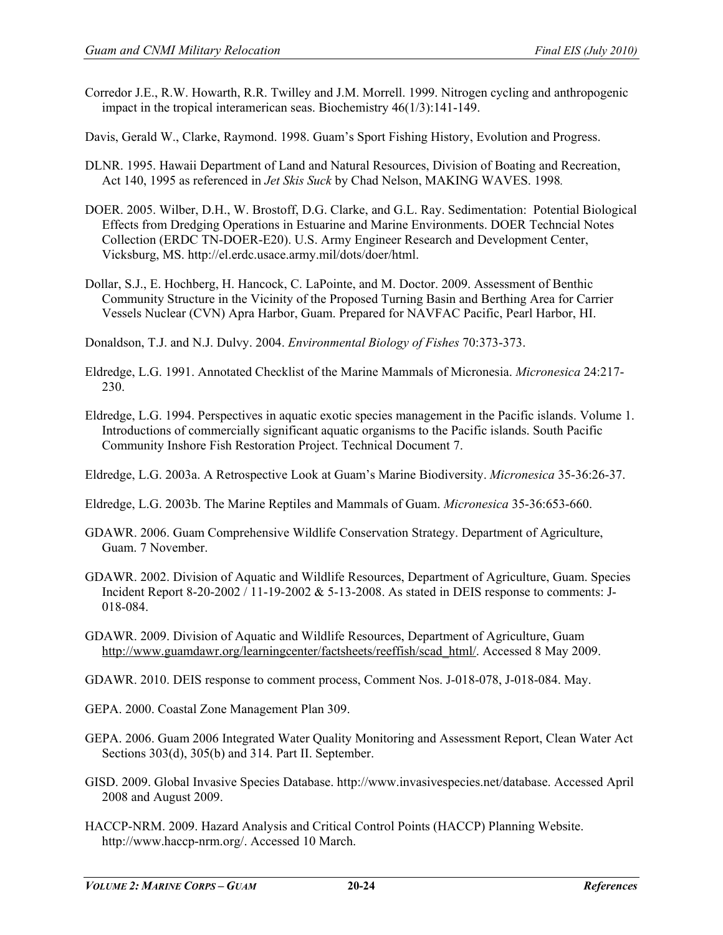- Corredor J.E., R.W. Howarth, R.R. Twilley and J.M. Morrell. 1999. Nitrogen cycling and anthropogenic impact in the tropical interamerican seas. Biochemistry 46(1/3):141-149.
- Davis, Gerald W., Clarke, Raymond. 1998. Guam's Sport Fishing History, Evolution and Progress.
- DLNR. 1995. Hawaii Department of Land and Natural Resources, Division of Boating and Recreation, Act 140, 1995 as referenced in *Jet Skis Suck* by Chad Nelson, MAKING WAVES. 1998*.*
- DOER. 2005. Wilber, D.H., W. Brostoff, D.G. Clarke, and G.L. Ray. Sedimentation: Potential Biological Effects from Dredging Operations in Estuarine and Marine Environments. DOER Techncial Notes Collection (ERDC TN-DOER-E20). U.S. Army Engineer Research and Development Center, Vicksburg, MS. http://el.erdc.usace.army.mil/dots/doer/html.
- Dollar, S.J., E. Hochberg, H. Hancock, C. LaPointe, and M. Doctor. 2009. Assessment of Benthic Community Structure in the Vicinity of the Proposed Turning Basin and Berthing Area for Carrier Vessels Nuclear (CVN) Apra Harbor, Guam. Prepared for NAVFAC Pacific, Pearl Harbor, HI.
- Donaldson, T.J. and N.J. Dulvy. 2004. *Environmental Biology of Fishes* 70:373-373.
- Eldredge, L.G. 1991. Annotated Checklist of the Marine Mammals of Micronesia. *Micronesica* 24:217- 230.
- Eldredge, L.G. 1994. Perspectives in aquatic exotic species management in the Pacific islands. Volume 1. Introductions of commercially significant aquatic organisms to the Pacific islands. South Pacific Community Inshore Fish Restoration Project. Technical Document 7.
- Eldredge, L.G. 2003a. A Retrospective Look at Guam's Marine Biodiversity. *Micronesica* 35-36:26-37.
- Eldredge, L.G. 2003b. The Marine Reptiles and Mammals of Guam. *Micronesica* 35-36:653-660.
- GDAWR. 2006. Guam Comprehensive Wildlife Conservation Strategy. Department of Agriculture, Guam. 7 November.
- GDAWR. 2002. Division of Aquatic and Wildlife Resources, Department of Agriculture, Guam. Species Incident Report 8-20-2002 / 11-19-2002 & 5-13-2008. As stated in DEIS response to comments: J-018-084.
- GDAWR. 2009. Division of Aquatic and Wildlife Resources, Department of Agriculture, Guam [http://www.guamdawr.org/learningcenter/factsheets/reeffish/scad\\_html/.](http://www.guamdawr.org/learningcenter/factsheets/reeffish/scad_html/) Accessed 8 May 2009.
- GDAWR. 2010. DEIS response to comment process, Comment Nos. J-018-078, J-018-084. May.
- GEPA. 2000. Coastal Zone Management Plan 309.
- GEPA. 2006. Guam 2006 Integrated Water Quality Monitoring and Assessment Report, Clean Water Act Sections 303(d), 305(b) and 314. Part II. September.
- GISD. 2009. Global Invasive Species Database. http://www.invasivespecies.net/database. Accessed April 2008 and August 2009.
- HACCP-NRM. 2009. Hazard Analysis and Critical Control Points (HACCP) Planning Website. http://www.haccp-nrm.org/. Accessed 10 March.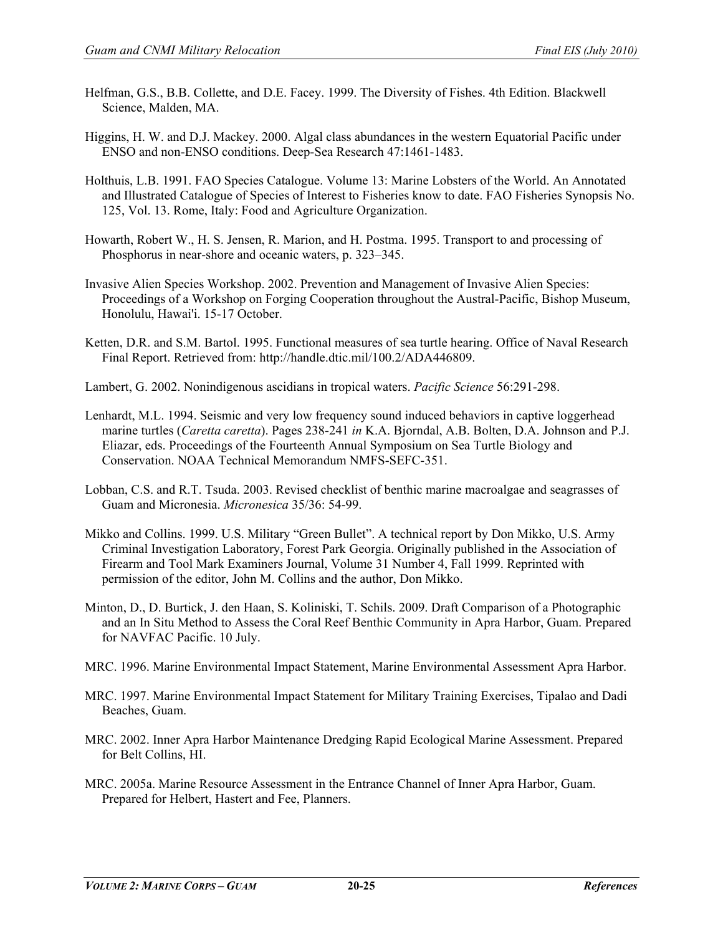- Helfman, G.S., B.B. Collette, and D.E. Facey. 1999. The Diversity of Fishes. 4th Edition. Blackwell Science, Malden, MA.
- Higgins, H. W. and D.J. Mackey. 2000. Algal class abundances in the western Equatorial Pacific under ENSO and non-ENSO conditions. Deep-Sea Research 47:1461-1483.
- Holthuis, L.B. 1991. FAO Species Catalogue. Volume 13: Marine Lobsters of the World. An Annotated and Illustrated Catalogue of Species of Interest to Fisheries know to date. FAO Fisheries Synopsis No. 125, Vol. 13. Rome, Italy: Food and Agriculture Organization.
- Howarth, Robert W., H. S. Jensen, R. Marion, and H. Postma. 1995. Transport to and processing of Phosphorus in near-shore and oceanic waters, p. 323–345.
- Invasive Alien Species Workshop. 2002. Prevention and Management of Invasive Alien Species: Proceedings of a Workshop on Forging Cooperation throughout the Austral-Pacific, Bishop Museum, Honolulu, Hawai'i. 15-17 October.
- Ketten, D.R. and S.M. Bartol. 1995. Functional measures of sea turtle hearing. Office of Naval Research Final Report. Retrieved from: http://handle.dtic.mil/100.2/ADA446809.
- Lambert, G. 2002. Nonindigenous ascidians in tropical waters. *Pacific Science* 56:291-298.
- Lenhardt, M.L. 1994. Seismic and very low frequency sound induced behaviors in captive loggerhead marine turtles (*Caretta caretta*). Pages 238-241 *in* K.A. Bjorndal, A.B. Bolten, D.A. Johnson and P.J. Eliazar, eds. Proceedings of the Fourteenth Annual Symposium on Sea Turtle Biology and Conservation. NOAA Technical Memorandum NMFS-SEFC-351.
- Lobban, C.S. and R.T. Tsuda. 2003. Revised checklist of benthic marine macroalgae and seagrasses of Guam and Micronesia. *Micronesica* 35/36: 54-99.
- Mikko and Collins. 1999. U.S. Military "Green Bullet". A technical report by Don Mikko, U.S. Army Criminal Investigation Laboratory, Forest Park Georgia. Originally published in the Association of Firearm and Tool Mark Examiners Journal, Volume 31 Number 4, Fall 1999. Reprinted with permission of the editor, John M. Collins and the author, Don Mikko.
- Minton, D., D. Burtick, J. den Haan, S. Koliniski, T. Schils. 2009. Draft Comparison of a Photographic and an In Situ Method to Assess the Coral Reef Benthic Community in Apra Harbor, Guam. Prepared for NAVFAC Pacific. 10 July.
- MRC. 1996. Marine Environmental Impact Statement, Marine Environmental Assessment Apra Harbor.
- MRC. 1997. Marine Environmental Impact Statement for Military Training Exercises, Tipalao and Dadi Beaches, Guam.
- MRC. 2002. Inner Apra Harbor Maintenance Dredging Rapid Ecological Marine Assessment. Prepared for Belt Collins, HI.
- MRC. 2005a. Marine Resource Assessment in the Entrance Channel of Inner Apra Harbor, Guam. Prepared for Helbert, Hastert and Fee, Planners.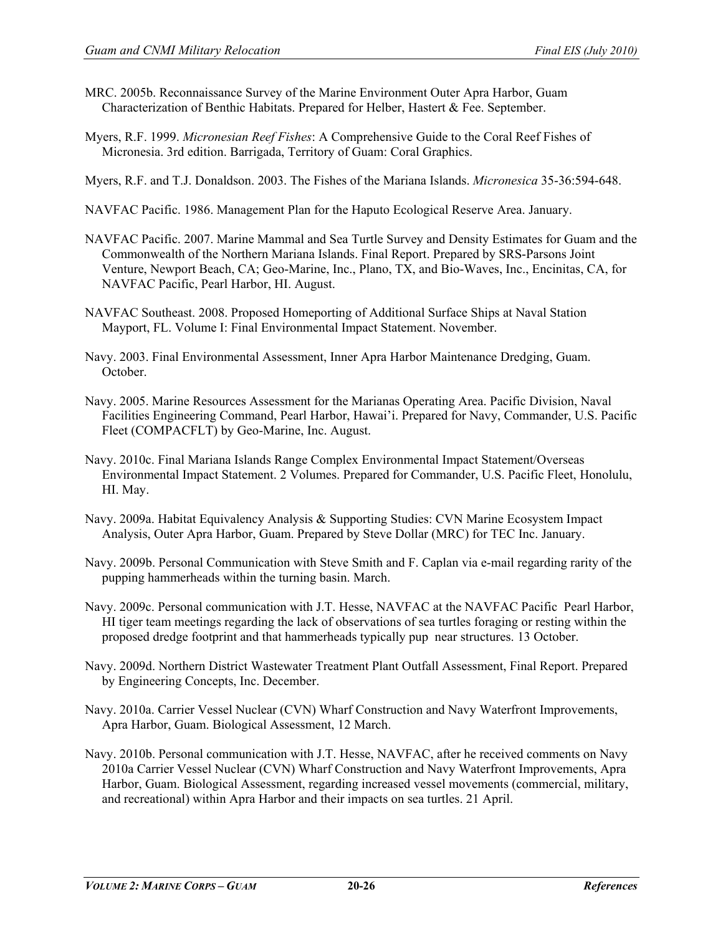- MRC. 2005b. Reconnaissance Survey of the Marine Environment Outer Apra Harbor, Guam Characterization of Benthic Habitats. Prepared for Helber, Hastert & Fee. September.
- Myers, R.F. 1999. *Micronesian Reef Fishes*: A Comprehensive Guide to the Coral Reef Fishes of Micronesia. 3rd edition. Barrigada, Territory of Guam: Coral Graphics.
- Myers, R.F. and T.J. Donaldson. 2003. The Fishes of the Mariana Islands. *Micronesica* 35-36:594-648.
- NAVFAC Pacific. 1986. Management Plan for the Haputo Ecological Reserve Area. January.
- NAVFAC Pacific. 2007. Marine Mammal and Sea Turtle Survey and Density Estimates for Guam and the Commonwealth of the Northern Mariana Islands. Final Report. Prepared by SRS-Parsons Joint Venture, Newport Beach, CA; Geo-Marine, Inc., Plano, TX, and Bio-Waves, Inc., Encinitas, CA, for NAVFAC Pacific, Pearl Harbor, HI. August.
- NAVFAC Southeast. 2008. Proposed Homeporting of Additional Surface Ships at Naval Station Mayport, FL. Volume I: Final Environmental Impact Statement. November.
- Navy. 2003. Final Environmental Assessment, Inner Apra Harbor Maintenance Dredging, Guam. October.
- Navy. 2005. Marine Resources Assessment for the Marianas Operating Area. Pacific Division, Naval Facilities Engineering Command, Pearl Harbor, Hawai'i. Prepared for Navy, Commander, U.S. Pacific Fleet (COMPACFLT) by Geo-Marine, Inc. August.
- Navy. 2010c. Final Mariana Islands Range Complex Environmental Impact Statement/Overseas Environmental Impact Statement. 2 Volumes. Prepared for Commander, U.S. Pacific Fleet, Honolulu, HI. May.
- Navy. 2009a. Habitat Equivalency Analysis & Supporting Studies: CVN Marine Ecosystem Impact Analysis, Outer Apra Harbor, Guam. Prepared by Steve Dollar (MRC) for TEC Inc. January.
- Navy. 2009b. Personal Communication with Steve Smith and F. Caplan via e-mail regarding rarity of the pupping hammerheads within the turning basin. March.
- Navy. 2009c. Personal communication with J.T. Hesse, NAVFAC at the NAVFAC Pacific Pearl Harbor, HI tiger team meetings regarding the lack of observations of sea turtles foraging or resting within the proposed dredge footprint and that hammerheads typically pup near structures. 13 October.
- Navy. 2009d. Northern District Wastewater Treatment Plant Outfall Assessment, Final Report. Prepared by Engineering Concepts, Inc. December.
- Navy. 2010a. Carrier Vessel Nuclear (CVN) Wharf Construction and Navy Waterfront Improvements, Apra Harbor, Guam. Biological Assessment, 12 March.
- Navy. 2010b. Personal communication with J.T. Hesse, NAVFAC, after he received comments on Navy 2010a Carrier Vessel Nuclear (CVN) Wharf Construction and Navy Waterfront Improvements, Apra Harbor, Guam. Biological Assessment, regarding increased vessel movements (commercial, military, and recreational) within Apra Harbor and their impacts on sea turtles. 21 April.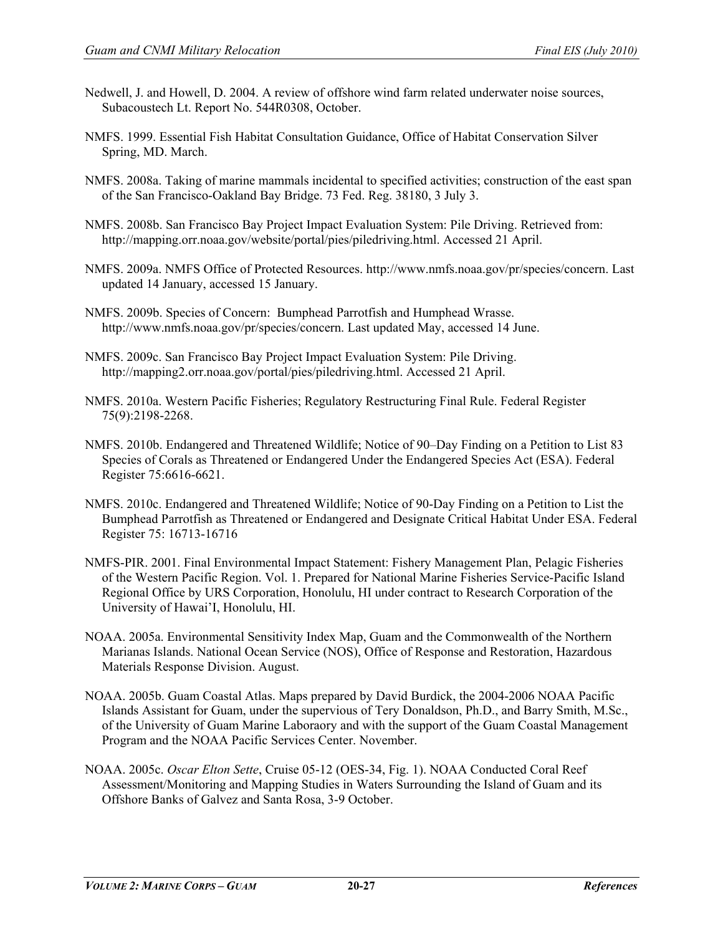- Nedwell, J. and Howell, D. 2004. A review of offshore wind farm related underwater noise sources, Subacoustech Lt. Report No. 544R0308, October.
- NMFS. 1999. Essential Fish Habitat Consultation Guidance, Office of Habitat Conservation Silver Spring, MD. March.
- NMFS. 2008a. Taking of marine mammals incidental to specified activities; construction of the east span of the San Francisco-Oakland Bay Bridge. 73 Fed. Reg. 38180, 3 July 3.
- NMFS. 2008b. San Francisco Bay Project Impact Evaluation System: Pile Driving. Retrieved from: http://mapping.orr.noaa.gov/website/portal/pies/piledriving.html. Accessed 21 April.
- NMFS. 2009a. NMFS Office of Protected Resources. http://www.nmfs.noaa.gov/pr/species/concern. Last updated 14 January, accessed 15 January.
- NMFS. 2009b. Species of Concern: Bumphead Parrotfish and Humphead Wrasse. [http://www.nmfs.noaa.gov/pr/species/concern.](http://www.nmfs.noaa.gov/pr/species/concern) Last updated May, accessed 14 June.
- NMFS. 2009c. San Francisco Bay Project Impact Evaluation System: Pile Driving. http://mapping2.orr.noaa.gov/portal/pies/piledriving.html. Accessed 21 April.
- NMFS. 2010a. Western Pacific Fisheries; Regulatory Restructuring Final Rule. Federal Register 75(9):2198-2268.
- NMFS. 2010b. Endangered and Threatened Wildlife; Notice of 90–Day Finding on a Petition to List 83 Species of Corals as Threatened or Endangered Under the Endangered Species Act (ESA). Federal Register 75:6616-6621.
- NMFS. 2010c. Endangered and Threatened Wildlife; Notice of 90-Day Finding on a Petition to List the Bumphead Parrotfish as Threatened or Endangered and Designate Critical Habitat Under ESA. Federal Register 75: 16713-16716
- NMFS-PIR. 2001. Final Environmental Impact Statement: Fishery Management Plan, Pelagic Fisheries of the Western Pacific Region. Vol. 1. Prepared for National Marine Fisheries Service-Pacific Island Regional Office by URS Corporation, Honolulu, HI under contract to Research Corporation of the University of Hawai'I, Honolulu, HI.
- NOAA. 2005a. Environmental Sensitivity Index Map, Guam and the Commonwealth of the Northern Marianas Islands. National Ocean Service (NOS), Office of Response and Restoration, Hazardous Materials Response Division. August.
- NOAA. 2005b. Guam Coastal Atlas. Maps prepared by David Burdick, the 2004-2006 NOAA Pacific Islands Assistant for Guam, under the supervious of Tery Donaldson, Ph.D., and Barry Smith, M.Sc., of the University of Guam Marine Laboraory and with the support of the Guam Coastal Management Program and the NOAA Pacific Services Center. November.
- NOAA. 2005c. *Oscar Elton Sette*, Cruise 05-12 (OES-34, Fig. 1). NOAA Conducted Coral Reef Assessment/Monitoring and Mapping Studies in Waters Surrounding the Island of Guam and its Offshore Banks of Galvez and Santa Rosa, 3-9 October.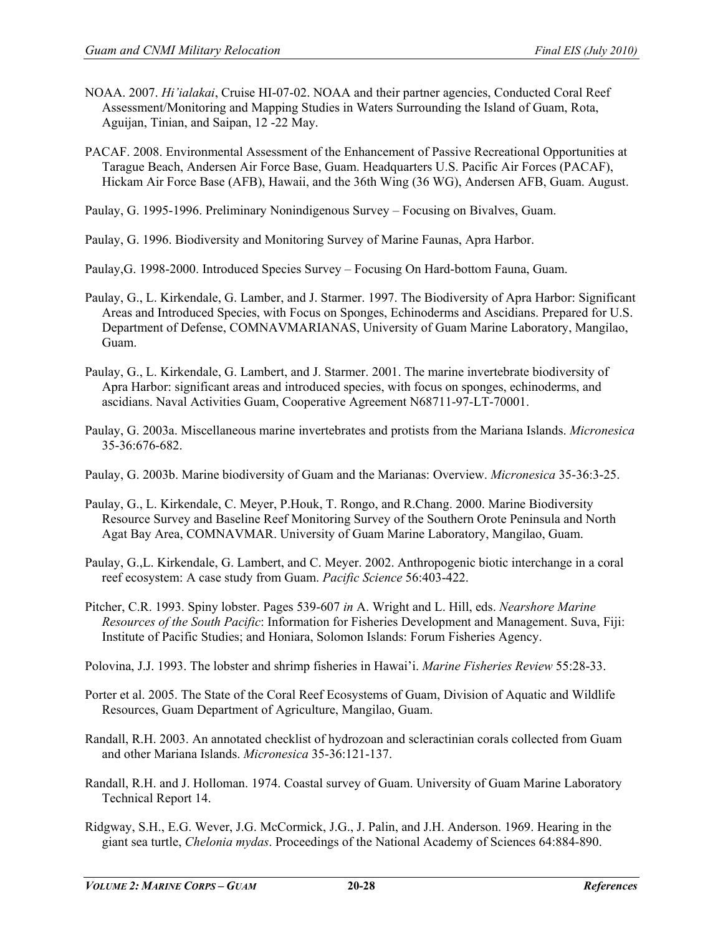- NOAA. 2007. *Hi'ialakai*, Cruise HI-07-02. NOAA and their partner agencies, Conducted Coral Reef Assessment/Monitoring and Mapping Studies in Waters Surrounding the Island of Guam, Rota, Aguijan, Tinian, and Saipan, 12 -22 May.
- PACAF. 2008. Environmental Assessment of the Enhancement of Passive Recreational Opportunities at Tarague Beach, Andersen Air Force Base, Guam. Headquarters U.S. Pacific Air Forces (PACAF), Hickam Air Force Base (AFB), Hawaii, and the 36th Wing (36 WG), Andersen AFB, Guam. August.
- Paulay, G. 1995-1996. Preliminary Nonindigenous Survey Focusing on Bivalves, Guam.
- Paulay, G. 1996. Biodiversity and Monitoring Survey of Marine Faunas, Apra Harbor.
- Paulay,G. 1998-2000. Introduced Species Survey Focusing On Hard-bottom Fauna, Guam.
- Paulay, G., L. Kirkendale, G. Lamber, and J. Starmer. 1997. The Biodiversity of Apra Harbor: Significant Areas and Introduced Species, with Focus on Sponges, Echinoderms and Ascidians. Prepared for U.S. Department of Defense, COMNAVMARIANAS, University of Guam Marine Laboratory, Mangilao, Guam.
- Paulay, G., L. Kirkendale, G. Lambert, and J. Starmer. 2001. The marine invertebrate biodiversity of Apra Harbor: significant areas and introduced species, with focus on sponges, echinoderms, and ascidians. Naval Activities Guam, Cooperative Agreement N68711-97-LT-70001.
- Paulay, G. 2003a. Miscellaneous marine invertebrates and protists from the Mariana Islands. *Micronesica*  35-36:676-682.
- Paulay, G. 2003b. Marine biodiversity of Guam and the Marianas: Overview. *Micronesica* 35-36:3-25.
- Paulay, G., L. Kirkendale, C. Meyer, P.Houk, T. Rongo, and R.Chang. 2000. Marine Biodiversity Resource Survey and Baseline Reef Monitoring Survey of the Southern Orote Peninsula and North Agat Bay Area, COMNAVMAR. University of Guam Marine Laboratory, Mangilao, Guam.
- Paulay, G.,L. Kirkendale, G. Lambert, and C. Meyer. 2002. Anthropogenic biotic interchange in a coral reef ecosystem: A case study from Guam. *Pacific Science* 56:403-422.
- Pitcher, C.R. 1993. Spiny lobster. Pages 539-607 *in* A. Wright and L. Hill, eds. *Nearshore Marine Resources of the South Pacific*: Information for Fisheries Development and Management. Suva, Fiji: Institute of Pacific Studies; and Honiara, Solomon Islands: Forum Fisheries Agency.
- Polovina, J.J. 1993. The lobster and shrimp fisheries in Hawai'i. *Marine Fisheries Review* 55:28-33.
- Porter et al. 2005. The State of the Coral Reef Ecosystems of Guam, Division of Aquatic and Wildlife Resources, Guam Department of Agriculture, Mangilao, Guam.
- Randall, R.H. 2003. An annotated checklist of hydrozoan and scleractinian corals collected from Guam and other Mariana Islands. *Micronesica* 35-36:121-137.
- Randall, R.H. and J. Holloman. 1974. Coastal survey of Guam. University of Guam Marine Laboratory Technical Report 14.
- Ridgway, S.H., E.G. Wever, J.G. McCormick, J.G., J. Palin, and J.H. Anderson. 1969. Hearing in the giant sea turtle, *Chelonia mydas*. Proceedings of the National Academy of Sciences 64:884-890.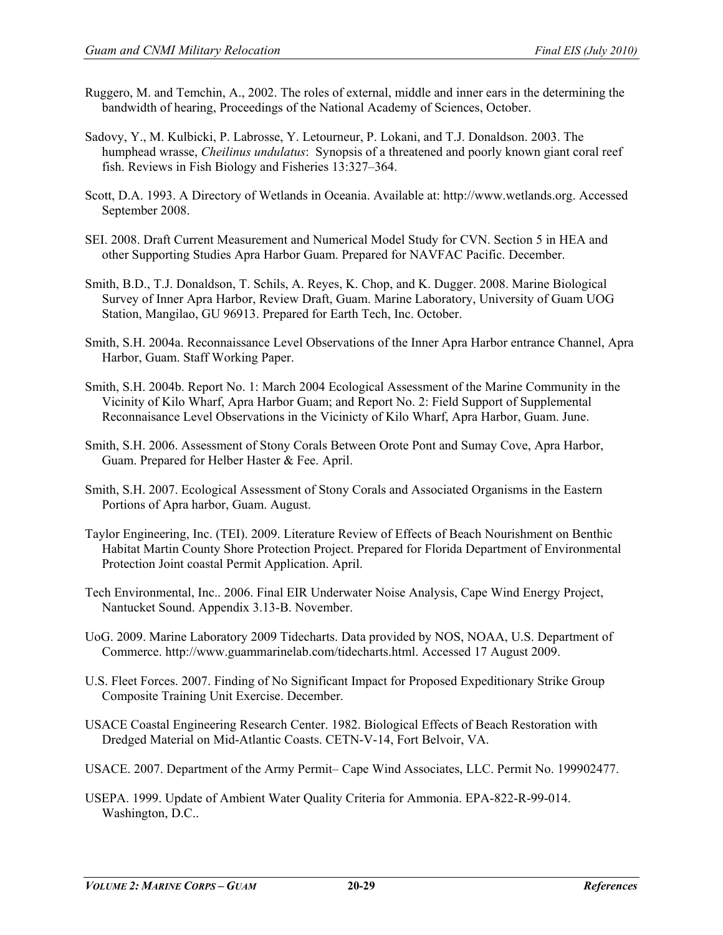- Ruggero, M. and Temchin, A., 2002. The roles of external, middle and inner ears in the determining the bandwidth of hearing, Proceedings of the National Academy of Sciences, October.
- Sadovy, Y., M. Kulbicki, P. Labrosse, Y. Letourneur, P. Lokani, and T.J. Donaldson. 2003. The humphead wrasse, *Cheilinus undulatus*: Synopsis of a threatened and poorly known giant coral reef fish. Reviews in Fish Biology and Fisheries 13:327–364.
- Scott, D.A. 1993. A Directory of Wetlands in Oceania. Available at: http://www.wetlands.org. Accessed September 2008.
- SEI. 2008. Draft Current Measurement and Numerical Model Study for CVN. Section 5 in HEA and other Supporting Studies Apra Harbor Guam. Prepared for NAVFAC Pacific. December.
- Smith, B.D., T.J. Donaldson, T. Schils, A. Reyes, K. Chop, and K. Dugger. 2008. Marine Biological Survey of Inner Apra Harbor, Review Draft, Guam. Marine Laboratory, University of Guam UOG Station, Mangilao, GU 96913. Prepared for Earth Tech, Inc. October.
- Smith, S.H. 2004a. Reconnaissance Level Observations of the Inner Apra Harbor entrance Channel, Apra Harbor, Guam. Staff Working Paper.
- Smith, S.H. 2004b. Report No. 1: March 2004 Ecological Assessment of the Marine Community in the Vicinity of Kilo Wharf, Apra Harbor Guam; and Report No. 2: Field Support of Supplemental Reconnaisance Level Observations in the Vicinicty of Kilo Wharf, Apra Harbor, Guam. June.
- Smith, S.H. 2006. Assessment of Stony Corals Between Orote Pont and Sumay Cove, Apra Harbor, Guam. Prepared for Helber Haster & Fee. April.
- Smith, S.H. 2007. Ecological Assessment of Stony Corals and Associated Organisms in the Eastern Portions of Apra harbor, Guam. August.
- Taylor Engineering, Inc. (TEI). 2009. Literature Review of Effects of Beach Nourishment on Benthic Habitat Martin County Shore Protection Project. Prepared for Florida Department of Environmental Protection Joint coastal Permit Application. April.
- Tech Environmental, Inc.. 2006. Final EIR Underwater Noise Analysis, Cape Wind Energy Project, Nantucket Sound. Appendix 3.13-B. November.
- UoG. 2009. Marine Laboratory 2009 Tidecharts. Data provided by NOS, NOAA, U.S. Department of Commerce. http://www.guammarinelab.com/tidecharts.html. Accessed 17 August 2009.
- U.S. Fleet Forces. 2007. Finding of No Significant Impact for Proposed Expeditionary Strike Group Composite Training Unit Exercise. December.
- USACE Coastal Engineering Research Center. 1982. Biological Effects of Beach Restoration with Dredged Material on Mid-Atlantic Coasts. CETN-V-14, Fort Belvoir, VA.
- USACE. 2007. Department of the Army Permit– Cape Wind Associates, LLC. Permit No. 199902477.
- USEPA. 1999. Update of Ambient Water Quality Criteria for Ammonia. EPA-822-R-99-014. Washington, D.C..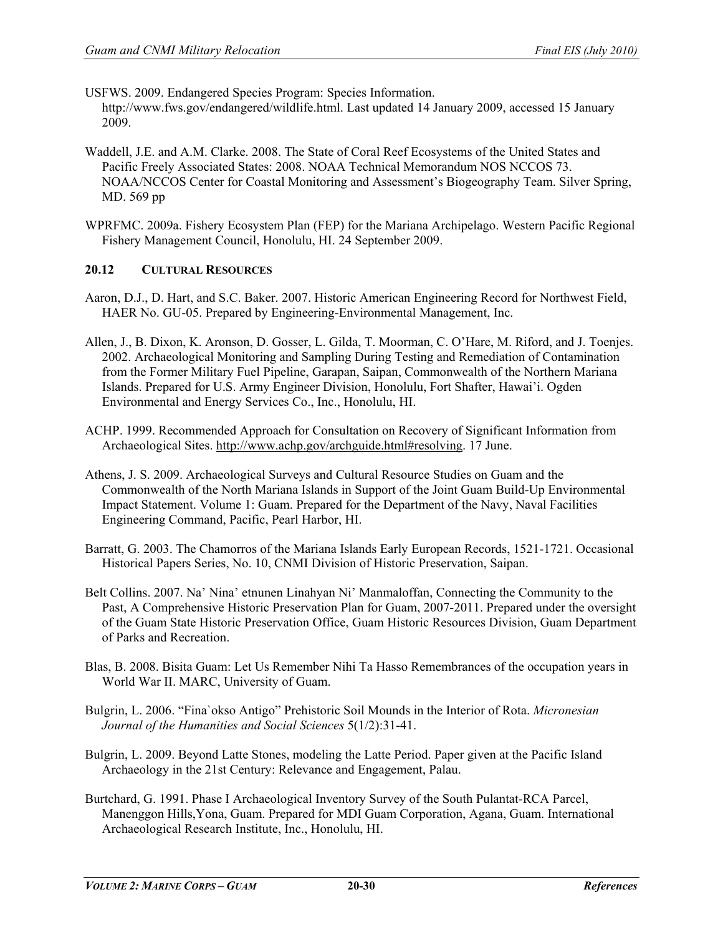USFWS. 2009. Endangered Species Program: Species Information. http://www.fws.gov/endangered/wildlife.html. Last updated 14 January 2009, accessed 15 January 2009.

- Waddell, J.E. and A.M. Clarke. 2008. The State of Coral Reef Ecosystems of the United States and Pacific Freely Associated States: 2008. NOAA Technical Memorandum NOS NCCOS 73. NOAA/NCCOS Center for Coastal Monitoring and Assessment's Biogeography Team. Silver Spring, MD. 569 pp
- WPRFMC. 2009a. Fishery Ecosystem Plan (FEP) for the Mariana Archipelago. Western Pacific Regional Fishery Management Council, Honolulu, HI. 24 September 2009.

# **20.12 CULTURAL RESOURCES**

- Aaron, D.J., D. Hart, and S.C. Baker. 2007. Historic American Engineering Record for Northwest Field, HAER No. GU-05. Prepared by Engineering-Environmental Management, Inc.
- Allen, J., B. Dixon, K. Aronson, D. Gosser, L. Gilda, T. Moorman, C. O'Hare, M. Riford, and J. Toenjes. 2002. Archaeological Monitoring and Sampling During Testing and Remediation of Contamination from the Former Military Fuel Pipeline, Garapan, Saipan, Commonwealth of the Northern Mariana Islands. Prepared for U.S. Army Engineer Division, Honolulu, Fort Shafter, Hawai'i. Ogden Environmental and Energy Services Co., Inc., Honolulu, HI.
- ACHP. 1999. Recommended Approach for Consultation on Recovery of Significant Information from Archaeological Sites. [http://www.achp.gov/archguide.html#resolving.](http://www.achp.gov/archguide.html#resolving) 17 June.
- Athens, J. S. 2009. Archaeological Surveys and Cultural Resource Studies on Guam and the Commonwealth of the North Mariana Islands in Support of the Joint Guam Build-Up Environmental Impact Statement. Volume 1: Guam. Prepared for the Department of the Navy, Naval Facilities Engineering Command, Pacific, Pearl Harbor, HI.
- Barratt, G. 2003. The Chamorros of the Mariana Islands Early European Records, 1521-1721. Occasional Historical Papers Series, No. 10, CNMI Division of Historic Preservation, Saipan.
- Belt Collins. 2007. Na' Nina' etnunen Linahyan Ni' Manmaloffan, Connecting the Community to the Past, A Comprehensive Historic Preservation Plan for Guam, 2007-2011. Prepared under the oversight of the Guam State Historic Preservation Office, Guam Historic Resources Division, Guam Department of Parks and Recreation.
- Blas, B. 2008. Bisita Guam: Let Us Remember Nihi Ta Hasso Remembrances of the occupation years in World War II. MARC, University of Guam.
- Bulgrin, L. 2006. "Fina`okso Antigo" Prehistoric Soil Mounds in the Interior of Rota. *Micronesian Journal of the Humanities and Social Sciences* 5(1/2):31-41.
- Bulgrin, L. 2009. Beyond Latte Stones, modeling the Latte Period. Paper given at the Pacific Island Archaeology in the 21st Century: Relevance and Engagement, Palau.
- Burtchard, G. 1991. Phase I Archaeological Inventory Survey of the South Pulantat-RCA Parcel, Manenggon Hills,Yona, Guam. Prepared for MDI Guam Corporation, Agana, Guam. International Archaeological Research Institute, Inc., Honolulu, HI.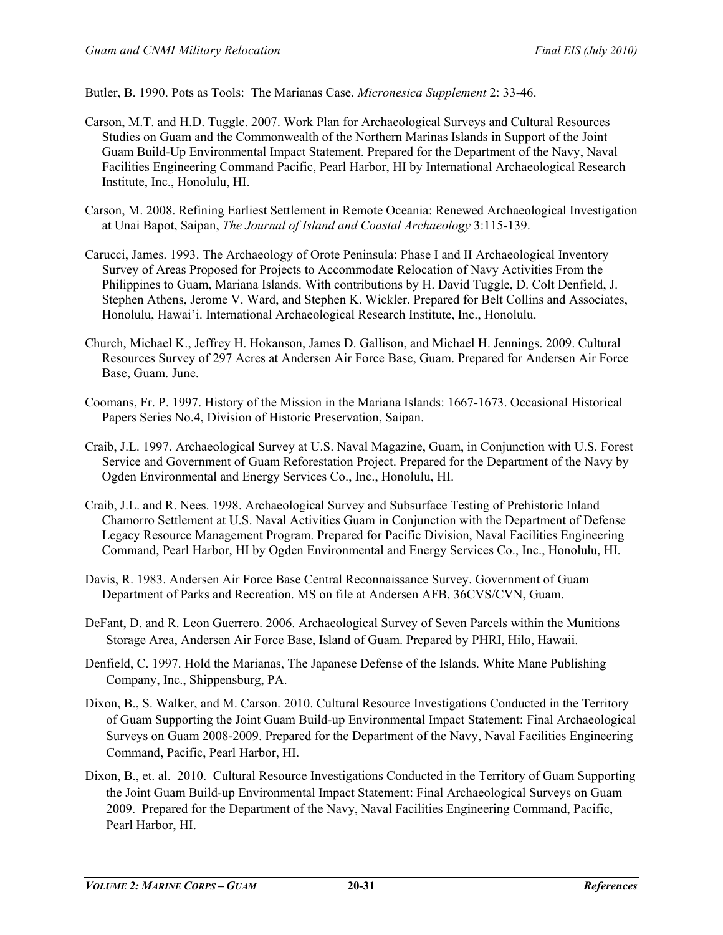Butler, B. 1990. Pots as Tools: The Marianas Case. *Micronesica Supplement* 2: 33-46.

- Carson, M.T. and H.D. Tuggle. 2007. Work Plan for Archaeological Surveys and Cultural Resources Studies on Guam and the Commonwealth of the Northern Marinas Islands in Support of the Joint Guam Build-Up Environmental Impact Statement. Prepared for the Department of the Navy, Naval Facilities Engineering Command Pacific, Pearl Harbor, HI by International Archaeological Research Institute, Inc., Honolulu, HI.
- Carson, M. 2008. Refining Earliest Settlement in Remote Oceania: Renewed Archaeological Investigation at Unai Bapot, Saipan, *The Journal of Island and Coastal Archaeology* 3:115-139.
- Carucci, James. 1993. The Archaeology of Orote Peninsula: Phase I and II Archaeological Inventory Survey of Areas Proposed for Projects to Accommodate Relocation of Navy Activities From the Philippines to Guam, Mariana Islands. With contributions by H. David Tuggle, D. Colt Denfield, J. Stephen Athens, Jerome V. Ward, and Stephen K. Wickler. Prepared for Belt Collins and Associates, Honolulu, Hawai'i. International Archaeological Research Institute, Inc., Honolulu.
- Church, Michael K., Jeffrey H. Hokanson, James D. Gallison, and Michael H. Jennings. 2009. Cultural Resources Survey of 297 Acres at Andersen Air Force Base, Guam. Prepared for Andersen Air Force Base, Guam. June.
- Coomans, Fr. P. 1997. History of the Mission in the Mariana Islands: 1667-1673. Occasional Historical Papers Series No.4, Division of Historic Preservation, Saipan.
- Craib, J.L. 1997. Archaeological Survey at U.S. Naval Magazine, Guam, in Conjunction with U.S. Forest Service and Government of Guam Reforestation Project. Prepared for the Department of the Navy by Ogden Environmental and Energy Services Co., Inc., Honolulu, HI.
- Craib, J.L. and R. Nees. 1998. Archaeological Survey and Subsurface Testing of Prehistoric Inland Chamorro Settlement at U.S. Naval Activities Guam in Conjunction with the Department of Defense Legacy Resource Management Program. Prepared for Pacific Division, Naval Facilities Engineering Command, Pearl Harbor, HI by Ogden Environmental and Energy Services Co., Inc., Honolulu, HI.
- Davis, R. 1983. Andersen Air Force Base Central Reconnaissance Survey. Government of Guam Department of Parks and Recreation. MS on file at Andersen AFB, 36CVS/CVN, Guam.
- DeFant, D. and R. Leon Guerrero. 2006. Archaeological Survey of Seven Parcels within the Munitions Storage Area, Andersen Air Force Base, Island of Guam. Prepared by PHRI, Hilo, Hawaii.
- Denfield, C. 1997. Hold the Marianas, The Japanese Defense of the Islands. White Mane Publishing Company, Inc., Shippensburg, PA.
- Dixon, B., S. Walker, and M. Carson. 2010. Cultural Resource Investigations Conducted in the Territory of Guam Supporting the Joint Guam Build-up Environmental Impact Statement: Final Archaeological Surveys on Guam 2008-2009. Prepared for the Department of the Navy, Naval Facilities Engineering Command, Pacific, Pearl Harbor, HI.
- Dixon, B., et. al. 2010. Cultural Resource Investigations Conducted in the Territory of Guam Supporting the Joint Guam Build-up Environmental Impact Statement: Final Archaeological Surveys on Guam 2009. Prepared for the Department of the Navy, Naval Facilities Engineering Command, Pacific, Pearl Harbor, HI.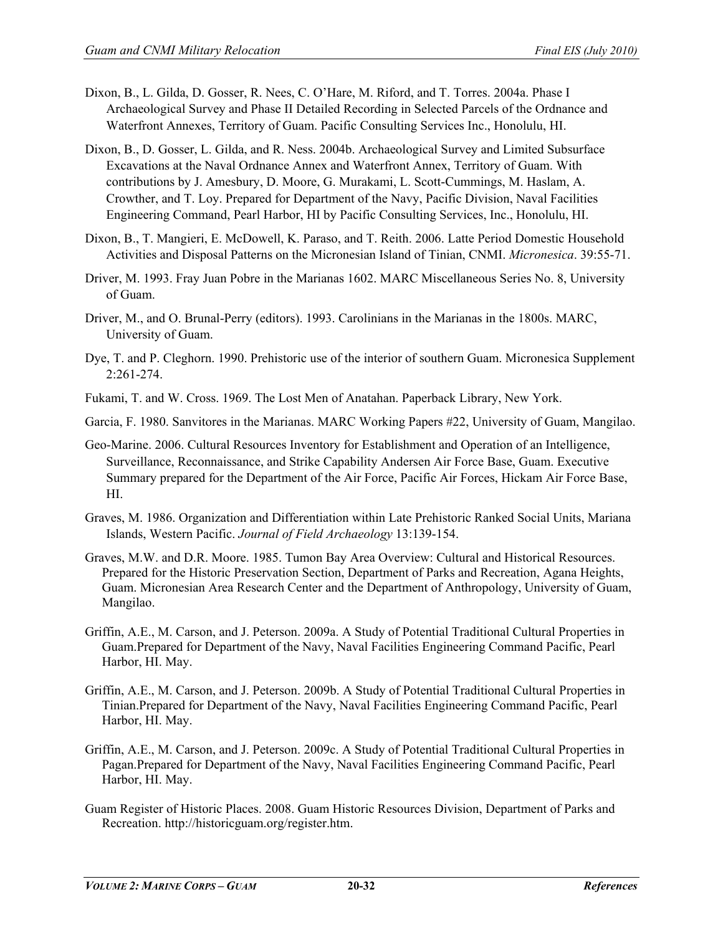- Dixon, B., L. Gilda, D. Gosser, R. Nees, C. O'Hare, M. Riford, and T. Torres. 2004a. Phase I Archaeological Survey and Phase II Detailed Recording in Selected Parcels of the Ordnance and Waterfront Annexes, Territory of Guam. Pacific Consulting Services Inc., Honolulu, HI.
- Dixon, B., D. Gosser, L. Gilda, and R. Ness. 2004b. Archaeological Survey and Limited Subsurface Excavations at the Naval Ordnance Annex and Waterfront Annex, Territory of Guam. With contributions by J. Amesbury, D. Moore, G. Murakami, L. Scott-Cummings, M. Haslam, A. Crowther, and T. Loy. Prepared for Department of the Navy, Pacific Division, Naval Facilities Engineering Command, Pearl Harbor, HI by Pacific Consulting Services, Inc., Honolulu, HI.
- Dixon, B., T. Mangieri, E. McDowell, K. Paraso, and T. Reith. 2006. Latte Period Domestic Household Activities and Disposal Patterns on the Micronesian Island of Tinian, CNMI. *Micronesica*. 39:55-71.
- Driver, M. 1993. Fray Juan Pobre in the Marianas 1602. MARC Miscellaneous Series No. 8, University of Guam.
- Driver, M., and O. Brunal-Perry (editors). 1993. Carolinians in the Marianas in the 1800s. MARC, University of Guam.
- Dye, T. and P. Cleghorn. 1990. Prehistoric use of the interior of southern Guam. Micronesica Supplement 2:261-274.
- Fukami, T. and W. Cross. 1969. The Lost Men of Anatahan. Paperback Library, New York.
- Garcia, F. 1980. Sanvitores in the Marianas. MARC Working Papers #22, University of Guam, Mangilao.
- Geo-Marine. 2006. Cultural Resources Inventory for Establishment and Operation of an Intelligence, Surveillance, Reconnaissance, and Strike Capability Andersen Air Force Base, Guam. Executive Summary prepared for the Department of the Air Force, Pacific Air Forces, Hickam Air Force Base, HI.
- Graves, M. 1986. Organization and Differentiation within Late Prehistoric Ranked Social Units, Mariana Islands, Western Pacific. *Journal of Field Archaeology* 13:139-154.
- Graves, M.W. and D.R. Moore. 1985. Tumon Bay Area Overview: Cultural and Historical Resources. Prepared for the Historic Preservation Section, Department of Parks and Recreation, Agana Heights, Guam. Micronesian Area Research Center and the Department of Anthropology, University of Guam, Mangilao.
- Griffin, A.E., M. Carson, and J. Peterson. 2009a. A Study of Potential Traditional Cultural Properties in Guam.Prepared for Department of the Navy, Naval Facilities Engineering Command Pacific, Pearl Harbor, HI. May.
- Griffin, A.E., M. Carson, and J. Peterson. 2009b. A Study of Potential Traditional Cultural Properties in Tinian.Prepared for Department of the Navy, Naval Facilities Engineering Command Pacific, Pearl Harbor, HI. May.
- Griffin, A.E., M. Carson, and J. Peterson. 2009c. A Study of Potential Traditional Cultural Properties in Pagan.Prepared for Department of the Navy, Naval Facilities Engineering Command Pacific, Pearl Harbor, HI. May.
- Guam Register of Historic Places. 2008. Guam Historic Resources Division, Department of Parks and Recreation. http://historicguam.org/register.htm.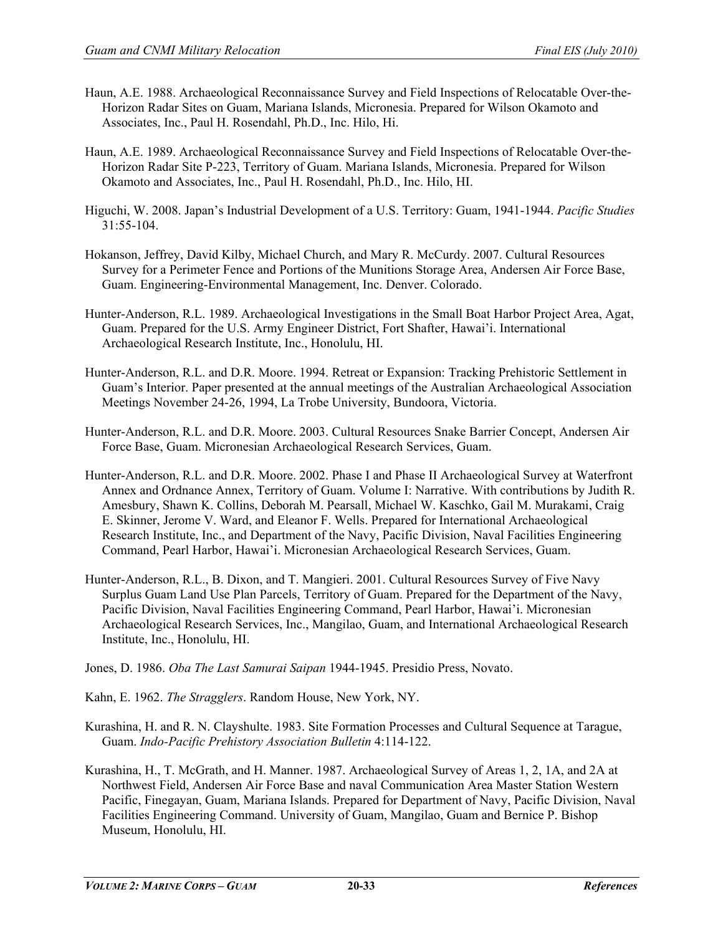- Haun, A.E. 1988. Archaeological Reconnaissance Survey and Field Inspections of Relocatable Over-the-Horizon Radar Sites on Guam, Mariana Islands, Micronesia. Prepared for Wilson Okamoto and Associates, Inc., Paul H. Rosendahl, Ph.D., Inc. Hilo, Hi.
- Haun, A.E. 1989. Archaeological Reconnaissance Survey and Field Inspections of Relocatable Over-the-Horizon Radar Site P-223, Territory of Guam. Mariana Islands, Micronesia. Prepared for Wilson Okamoto and Associates, Inc., Paul H. Rosendahl, Ph.D., Inc. Hilo, HI.
- Higuchi, W. 2008. Japan's Industrial Development of a U.S. Territory: Guam, 1941-1944. *Pacific Studies* 31:55-104.
- Hokanson, Jeffrey, David Kilby, Michael Church, and Mary R. McCurdy. 2007. Cultural Resources Survey for a Perimeter Fence and Portions of the Munitions Storage Area, Andersen Air Force Base, Guam. Engineering-Environmental Management, Inc. Denver. Colorado.
- Hunter-Anderson, R.L. 1989. Archaeological Investigations in the Small Boat Harbor Project Area, Agat, Guam. Prepared for the U.S. Army Engineer District, Fort Shafter, Hawai'i. International Archaeological Research Institute, Inc., Honolulu, HI.
- Hunter-Anderson, R.L. and D.R. Moore. 1994. Retreat or Expansion: Tracking Prehistoric Settlement in Guam's Interior. Paper presented at the annual meetings of the Australian Archaeological Association Meetings November 24-26, 1994, La Trobe University, Bundoora, Victoria.
- Hunter-Anderson, R.L. and D.R. Moore. 2003. Cultural Resources Snake Barrier Concept, Andersen Air Force Base, Guam. Micronesian Archaeological Research Services, Guam.
- Hunter-Anderson, R.L. and D.R. Moore. 2002. Phase I and Phase II Archaeological Survey at Waterfront Annex and Ordnance Annex, Territory of Guam. Volume I: Narrative. With contributions by Judith R. Amesbury, Shawn K. Collins, Deborah M. Pearsall, Michael W. Kaschko, Gail M. Murakami, Craig E. Skinner, Jerome V. Ward, and Eleanor F. Wells. Prepared for International Archaeological Research Institute, Inc., and Department of the Navy, Pacific Division, Naval Facilities Engineering Command, Pearl Harbor, Hawai'i. Micronesian Archaeological Research Services, Guam.
- Hunter-Anderson, R.L., B. Dixon, and T. Mangieri. 2001. Cultural Resources Survey of Five Navy Surplus Guam Land Use Plan Parcels, Territory of Guam. Prepared for the Department of the Navy, Pacific Division, Naval Facilities Engineering Command, Pearl Harbor, Hawai'i. Micronesian Archaeological Research Services, Inc., Mangilao, Guam, and International Archaeological Research Institute, Inc., Honolulu, HI.
- Jones, D. 1986. *Oba The Last Samurai Saipan* 1944-1945. Presidio Press, Novato.
- Kahn, E. 1962. *The Stragglers*. Random House, New York, NY.
- Kurashina, H. and R. N. Clayshulte. 1983. Site Formation Processes and Cultural Sequence at Tarague, Guam. *Indo-Pacific Prehistory Association Bulletin* 4:114-122.
- Kurashina, H., T. McGrath, and H. Manner. 1987. Archaeological Survey of Areas 1, 2, 1A, and 2A at Northwest Field, Andersen Air Force Base and naval Communication Area Master Station Western Pacific, Finegayan, Guam, Mariana Islands. Prepared for Department of Navy, Pacific Division, Naval Facilities Engineering Command. University of Guam, Mangilao, Guam and Bernice P. Bishop Museum, Honolulu, HI.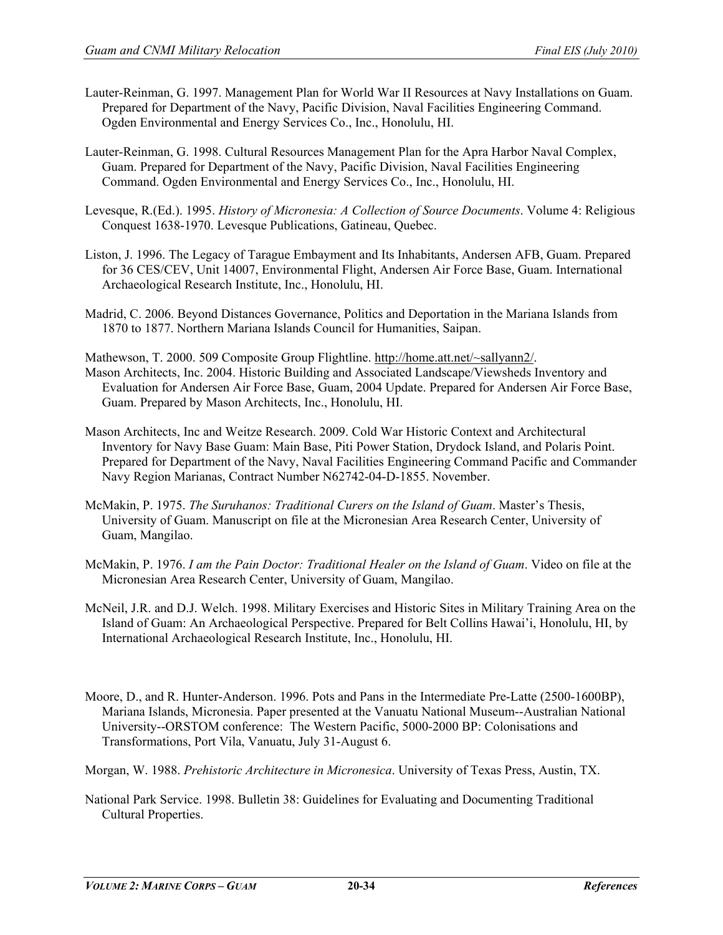- Lauter-Reinman, G. 1997. Management Plan for World War II Resources at Navy Installations on Guam. Prepared for Department of the Navy, Pacific Division, Naval Facilities Engineering Command. Ogden Environmental and Energy Services Co., Inc., Honolulu, HI.
- Lauter-Reinman, G. 1998. Cultural Resources Management Plan for the Apra Harbor Naval Complex, Guam. Prepared for Department of the Navy, Pacific Division, Naval Facilities Engineering Command. Ogden Environmental and Energy Services Co., Inc., Honolulu, HI.
- Levesque, R.(Ed.). 1995. *History of Micronesia: A Collection of Source Documents*. Volume 4: Religious Conquest 1638-1970. Levesque Publications, Gatineau, Quebec.
- Liston, J. 1996. The Legacy of Tarague Embayment and Its Inhabitants, Andersen AFB, Guam. Prepared for 36 CES/CEV, Unit 14007, Environmental Flight, Andersen Air Force Base, Guam. International Archaeological Research Institute, Inc., Honolulu, HI.
- Madrid, C. 2006. Beyond Distances Governance, Politics and Deportation in the Mariana Islands from 1870 to 1877. Northern Mariana Islands Council for Humanities, Saipan.

Mathewson, T. 2000. 509 Composite Group Flightline. [http://home.att.net/~sallyann2/.](http://home.att.net/~sallyann2/)

- Mason Architects, Inc. 2004. Historic Building and Associated Landscape/Viewsheds Inventory and Evaluation for Andersen Air Force Base, Guam, 2004 Update. Prepared for Andersen Air Force Base, Guam. Prepared by Mason Architects, Inc., Honolulu, HI.
- Mason Architects, Inc and Weitze Research. 2009. Cold War Historic Context and Architectural Inventory for Navy Base Guam: Main Base, Piti Power Station, Drydock Island, and Polaris Point. Prepared for Department of the Navy, Naval Facilities Engineering Command Pacific and Commander Navy Region Marianas, Contract Number N62742-04-D-1855. November.
- McMakin, P. 1975. *The Suruhanos: Traditional Curers on the Island of Guam*. Master's Thesis, University of Guam. Manuscript on file at the Micronesian Area Research Center, University of Guam, Mangilao.
- McMakin, P. 1976. *I am the Pain Doctor: Traditional Healer on the Island of Guam*. Video on file at the Micronesian Area Research Center, University of Guam, Mangilao.
- McNeil, J.R. and D.J. Welch. 1998. Military Exercises and Historic Sites in Military Training Area on the Island of Guam: An Archaeological Perspective. Prepared for Belt Collins Hawai'i, Honolulu, HI, by International Archaeological Research Institute, Inc., Honolulu, HI.
- Moore, D., and R. Hunter-Anderson. 1996. Pots and Pans in the Intermediate Pre-Latte (2500-1600BP), Mariana Islands, Micronesia. Paper presented at the Vanuatu National Museum--Australian National University--ORSTOM conference: The Western Pacific, 5000-2000 BP: Colonisations and Transformations, Port Vila, Vanuatu, July 31-August 6.
- Morgan, W. 1988. *Prehistoric Architecture in Micronesica*. University of Texas Press, Austin, TX.
- National Park Service. 1998. Bulletin 38: Guidelines for Evaluating and Documenting Traditional Cultural Properties.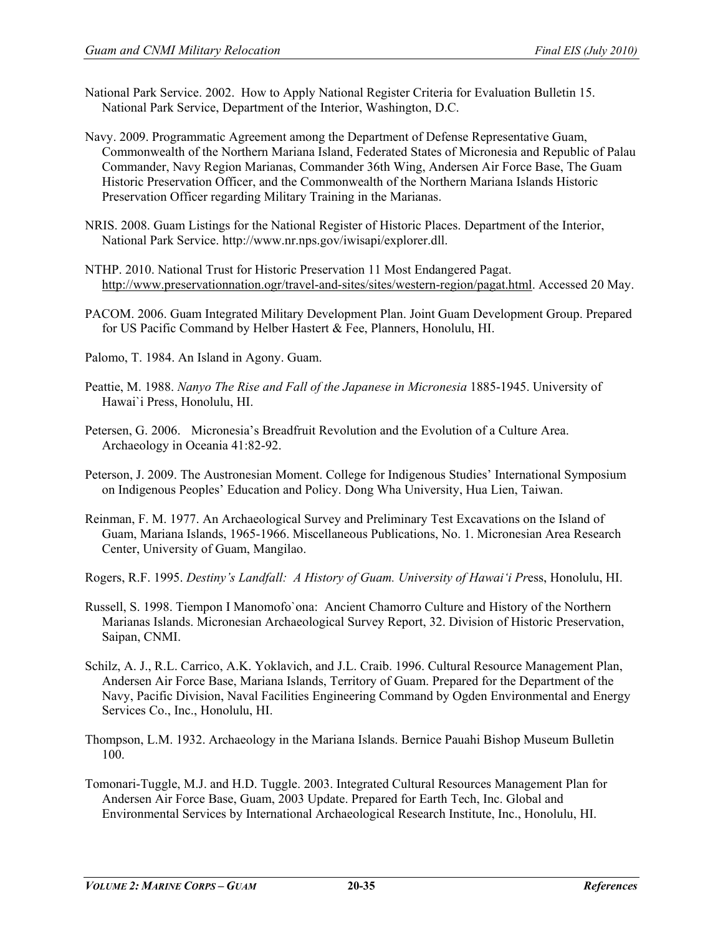- National Park Service. 2002. How to Apply National Register Criteria for Evaluation Bulletin 15. National Park Service, Department of the Interior, Washington, D.C.
- Navy. 2009. Programmatic Agreement among the Department of Defense Representative Guam, Commonwealth of the Northern Mariana Island, Federated States of Micronesia and Republic of Palau Commander, Navy Region Marianas, Commander 36th Wing, Andersen Air Force Base, The Guam Historic Preservation Officer, and the Commonwealth of the Northern Mariana Islands Historic Preservation Officer regarding Military Training in the Marianas.
- NRIS. 2008. Guam Listings for the National Register of Historic Places. Department of the Interior, National Park Service. http://www.nr.nps.gov/iwisapi/explorer.dll.
- NTHP. 2010. National Trust for Historic Preservation 11 Most Endangered Pagat. [http://www.preservationnation.ogr/travel-and-sites/sites/western-region/pagat.html.](http://www.preservationnation.ogr/travel-and-sites/sites/western-region/pagat.html) Accessed 20 May.
- PACOM. 2006. Guam Integrated Military Development Plan. Joint Guam Development Group. Prepared for US Pacific Command by Helber Hastert & Fee, Planners, Honolulu, HI.
- Palomo, T. 1984. An Island in Agony. Guam.
- Peattie, M. 1988. *Nanyo The Rise and Fall of the Japanese in Micronesia* 1885-1945. University of Hawai`i Press, Honolulu, HI.
- Petersen, G. 2006. Micronesia's Breadfruit Revolution and the Evolution of a Culture Area. Archaeology in Oceania 41:82-92.
- Peterson, J. 2009. The Austronesian Moment. College for Indigenous Studies' International Symposium on Indigenous Peoples' Education and Policy. Dong Wha University, Hua Lien, Taiwan.
- Reinman, F. M. 1977. An Archaeological Survey and Preliminary Test Excavations on the Island of Guam, Mariana Islands, 1965-1966. Miscellaneous Publications, No. 1. Micronesian Area Research Center, University of Guam, Mangilao.
- Rogers, R.F. 1995. *Destiny's Landfall: A History of Guam. University of Hawai'i Pr*ess, Honolulu, HI.
- Russell, S. 1998. Tiempon I Manomofo`ona: Ancient Chamorro Culture and History of the Northern Marianas Islands. Micronesian Archaeological Survey Report, 32. Division of Historic Preservation, Saipan, CNMI.
- Schilz, A. J., R.L. Carrico, A.K. Yoklavich, and J.L. Craib. 1996. Cultural Resource Management Plan, Andersen Air Force Base, Mariana Islands, Territory of Guam. Prepared for the Department of the Navy, Pacific Division, Naval Facilities Engineering Command by Ogden Environmental and Energy Services Co., Inc., Honolulu, HI.
- Thompson, L.M. 1932. Archaeology in the Mariana Islands. Bernice Pauahi Bishop Museum Bulletin 100.
- Tomonari-Tuggle, M.J. and H.D. Tuggle. 2003. Integrated Cultural Resources Management Plan for Andersen Air Force Base, Guam, 2003 Update. Prepared for Earth Tech, Inc. Global and Environmental Services by International Archaeological Research Institute, Inc., Honolulu, HI.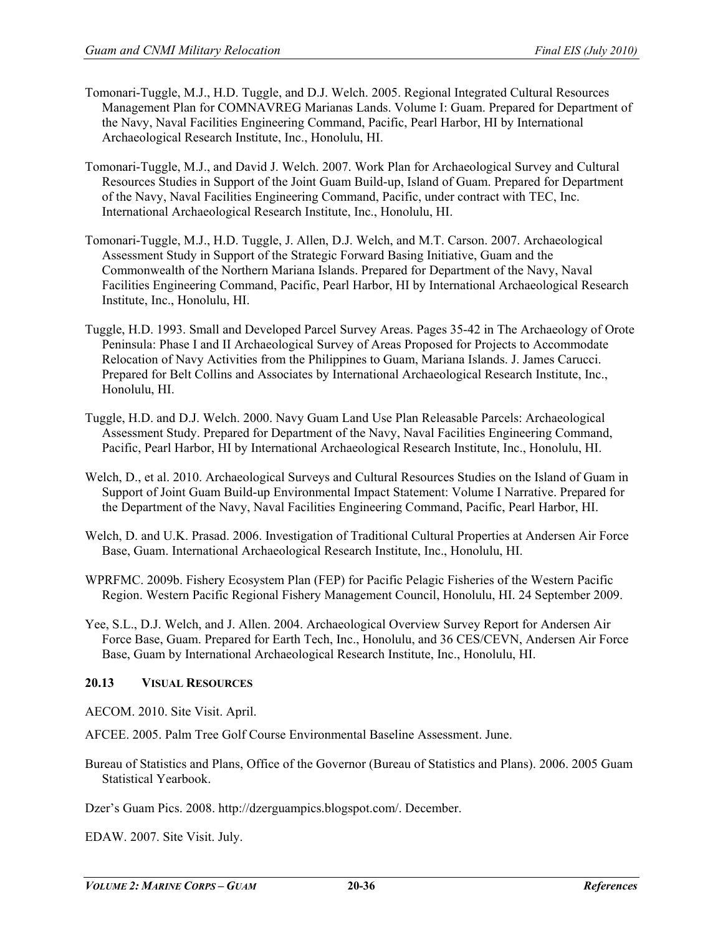- Tomonari-Tuggle, M.J., H.D. Tuggle, and D.J. Welch. 2005. Regional Integrated Cultural Resources Management Plan for COMNAVREG Marianas Lands. Volume I: Guam. Prepared for Department of the Navy, Naval Facilities Engineering Command, Pacific, Pearl Harbor, HI by International Archaeological Research Institute, Inc., Honolulu, HI.
- Tomonari-Tuggle, M.J., and David J. Welch. 2007. Work Plan for Archaeological Survey and Cultural Resources Studies in Support of the Joint Guam Build-up, Island of Guam. Prepared for Department of the Navy, Naval Facilities Engineering Command, Pacific, under contract with TEC, Inc. International Archaeological Research Institute, Inc., Honolulu, HI.
- Tomonari-Tuggle, M.J., H.D. Tuggle, J. Allen, D.J. Welch, and M.T. Carson. 2007. Archaeological Assessment Study in Support of the Strategic Forward Basing Initiative, Guam and the Commonwealth of the Northern Mariana Islands. Prepared for Department of the Navy, Naval Facilities Engineering Command, Pacific, Pearl Harbor, HI by International Archaeological Research Institute, Inc., Honolulu, HI.
- Tuggle, H.D. 1993. Small and Developed Parcel Survey Areas. Pages 35-42 in The Archaeology of Orote Peninsula: Phase I and II Archaeological Survey of Areas Proposed for Projects to Accommodate Relocation of Navy Activities from the Philippines to Guam, Mariana Islands. J. James Carucci. Prepared for Belt Collins and Associates by International Archaeological Research Institute, Inc., Honolulu, HI.
- Tuggle, H.D. and D.J. Welch. 2000. Navy Guam Land Use Plan Releasable Parcels: Archaeological Assessment Study. Prepared for Department of the Navy, Naval Facilities Engineering Command, Pacific, Pearl Harbor, HI by International Archaeological Research Institute, Inc., Honolulu, HI.
- Welch, D., et al. 2010. Archaeological Surveys and Cultural Resources Studies on the Island of Guam in Support of Joint Guam Build-up Environmental Impact Statement: Volume I Narrative. Prepared for the Department of the Navy, Naval Facilities Engineering Command, Pacific, Pearl Harbor, HI.
- Welch, D. and U.K. Prasad. 2006. Investigation of Traditional Cultural Properties at Andersen Air Force Base, Guam. International Archaeological Research Institute, Inc., Honolulu, HI.
- WPRFMC. 2009b. Fishery Ecosystem Plan (FEP) for Pacific Pelagic Fisheries of the Western Pacific Region. Western Pacific Regional Fishery Management Council, Honolulu, HI. 24 September 2009.
- Yee, S.L., D.J. Welch, and J. Allen. 2004. Archaeological Overview Survey Report for Andersen Air Force Base, Guam. Prepared for Earth Tech, Inc., Honolulu, and 36 CES/CEVN, Andersen Air Force Base, Guam by International Archaeological Research Institute, Inc., Honolulu, HI.

# **20.13 VISUAL RESOURCES**

AECOM. 2010. Site Visit. April.

AFCEE. 2005. Palm Tree Golf Course Environmental Baseline Assessment. June.

Bureau of Statistics and Plans, Office of the Governor (Bureau of Statistics and Plans). 2006. 2005 Guam Statistical Yearbook.

Dzer's Guam Pics. 2008. [http://dzerguampics.blogspot.com/.](http://dzerguampics.blogspot.com/) December.

EDAW. 2007. Site Visit. July.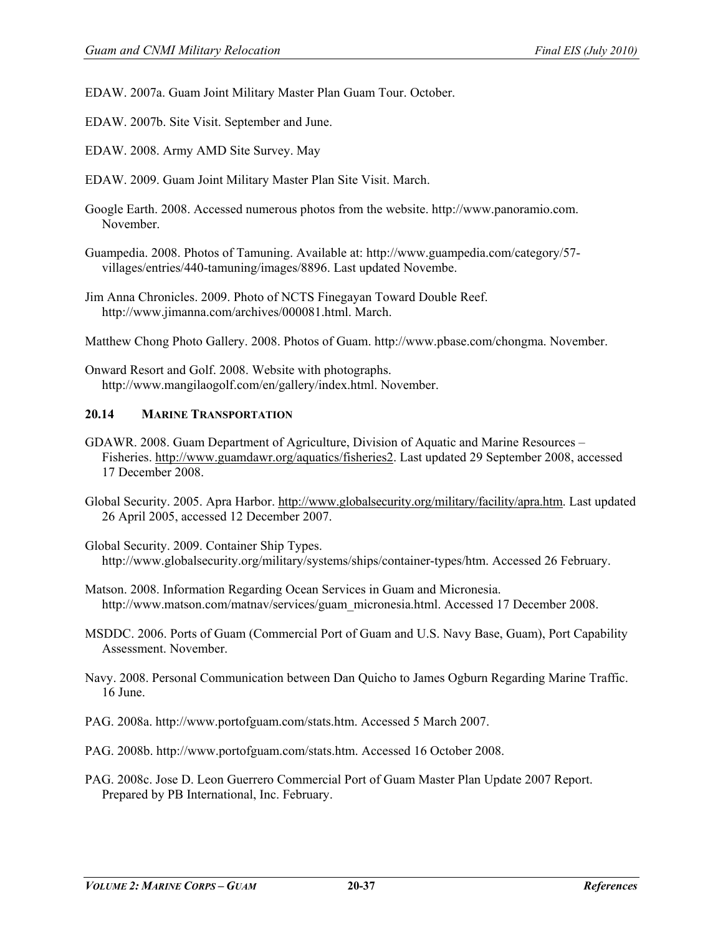EDAW. 2007a. Guam Joint Military Master Plan Guam Tour. October.

EDAW. 2007b. Site Visit. September and June.

EDAW. 2008. Army AMD Site Survey. May

EDAW. 2009. Guam Joint Military Master Plan Site Visit. March.

Google Earth. 2008. Accessed numerous photos from the website. http://www.panoramio.com. November.

Guampedia. 2008. Photos of Tamuning. Available at: http://www.guampedia.com/category/57 villages/entries/440-tamuning/images/8896. Last updated Novembe.

Jim Anna Chronicles. 2009. Photo of NCTS Finegayan Toward Double Reef. [http://www.jimanna.com/archives/000081.html.](http://www.jimanna.com/archives/000081.html) March.

Matthew Chong Photo Gallery. 2008. Photos of Guam. http://www.pbase.com/chongma. November.

Onward Resort and Golf. 2008. Website with photographs. http://www.mangilaogolf.com/en/gallery/index.html. November.

#### **20.14 MARINE TRANSPORTATION**

GDAWR. 2008. Guam Department of Agriculture, Division of Aquatic and Marine Resources – Fisheries. [http://www.guamdawr.org/aquatics/fisheries2.](http://www.guamdawr.org/aquatics/fisheries2) Last updated 29 September 2008, accessed 17 December 2008.

Global Security. 2005. Apra Harbor. [http://www.globalsecurity.org/military/facility/apra.htm.](http://www.globalsecurity.org/military/facility/apra.htm) Last updated 26 April 2005, accessed 12 December 2007.

Global Security. 2009. Container Ship Types. http://www.globalsecurity.org/military/systems/ships/container-types/htm. Accessed 26 February.

- Matson. 2008. Information Regarding Ocean Services in Guam and Micronesia. http://www.matson.com/matnav/services/guam\_micronesia.html. Accessed 17 December 2008.
- MSDDC. 2006. Ports of Guam (Commercial Port of Guam and U.S. Navy Base, Guam), Port Capability Assessment. November.
- Navy. 2008. Personal Communication between Dan Quicho to James Ogburn Regarding Marine Traffic. 16 June.
- PAG. 2008a. http://www.portofguam.com/stats.htm. Accessed 5 March 2007.
- PAG. 2008b. http://www.portofguam.com/stats.htm. Accessed 16 October 2008.
- PAG. 2008c. Jose D. Leon Guerrero Commercial Port of Guam Master Plan Update 2007 Report. Prepared by PB International, Inc. February.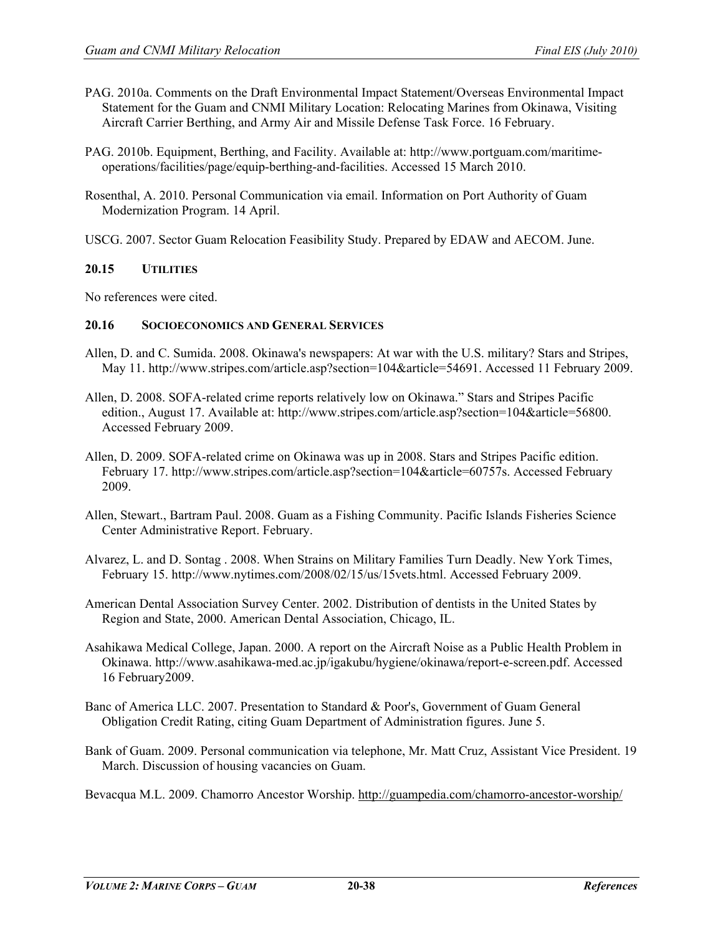- PAG. 2010a. Comments on the Draft Environmental Impact Statement/Overseas Environmental Impact Statement for the Guam and CNMI Military Location: Relocating Marines from Okinawa, Visiting Aircraft Carrier Berthing, and Army Air and Missile Defense Task Force. 16 February.
- PAG. 2010b. Equipment, Berthing, and Facility. Available at: [http://www.portguam.com/maritime](http://www.portguam.com/maritime-operations/facilities/page/equip-berthing-and-facilities)[operations/facilities/page/equip-berthing-and-facilities.](http://www.portguam.com/maritime-operations/facilities/page/equip-berthing-and-facilities) Accessed 15 March 2010.
- Rosenthal, A. 2010. Personal Communication via email. Information on Port Authority of Guam Modernization Program. 14 April.
- USCG. 2007. Sector Guam Relocation Feasibility Study. Prepared by EDAW and AECOM. June.

#### **20.15 UTILITIES**

No references were cited.

# **20.16 SOCIOECONOMICS AND GENERAL SERVICES**

- Allen, D. and C. Sumida. 2008. Okinawa's newspapers: At war with the U.S. military? Stars and Stripes, May 11. http://www.stripes.com/article.asp?section=104&article=54691. Accessed 11 February 2009.
- Allen, D. 2008. SOFA-related crime reports relatively low on Okinawa." Stars and Stripes Pacific edition., August 17. Available at: http://www.stripes.com/article.asp?section=104&article=56800. Accessed February 2009.
- Allen, D. 2009. SOFA-related crime on Okinawa was up in 2008. Stars and Stripes Pacific edition. February 17. http://www.stripes.com/article.asp?section=104&article=60757s. Accessed February 2009.
- Allen, Stewart., Bartram Paul. 2008. Guam as a Fishing Community. Pacific Islands Fisheries Science Center Administrative Report. February.
- Alvarez, L. and D. Sontag . 2008. When Strains on Military Families Turn Deadly. New York Times, February 15. [http://www.nytimes.com/2008/02/15/us/15vets.html.](http://www.nytimes.com/2008/02/15/us/15vets.html) Accessed February 2009.
- American Dental Association Survey Center. 2002. Distribution of dentists in the United States by Region and State, 2000. American Dental Association, Chicago, IL.
- Asahikawa Medical College, Japan. 2000. A report on the Aircraft Noise as a Public Health Problem in Okinawa. http://www.asahikawa-med.ac.jp/igakubu/hygiene/okinawa/report-e-screen.pdf. Accessed 16 February2009.
- Banc of America LLC. 2007. Presentation to Standard & Poor's, Government of Guam General Obligation Credit Rating, citing Guam Department of Administration figures. June 5.
- Bank of Guam. 2009. Personal communication via telephone, Mr. Matt Cruz, Assistant Vice President. 19 March. Discussion of housing vacancies on Guam.

Bevacqua M.L. 2009. Chamorro Ancestor Worship.<http://guampedia.com/chamorro-ancestor-worship/>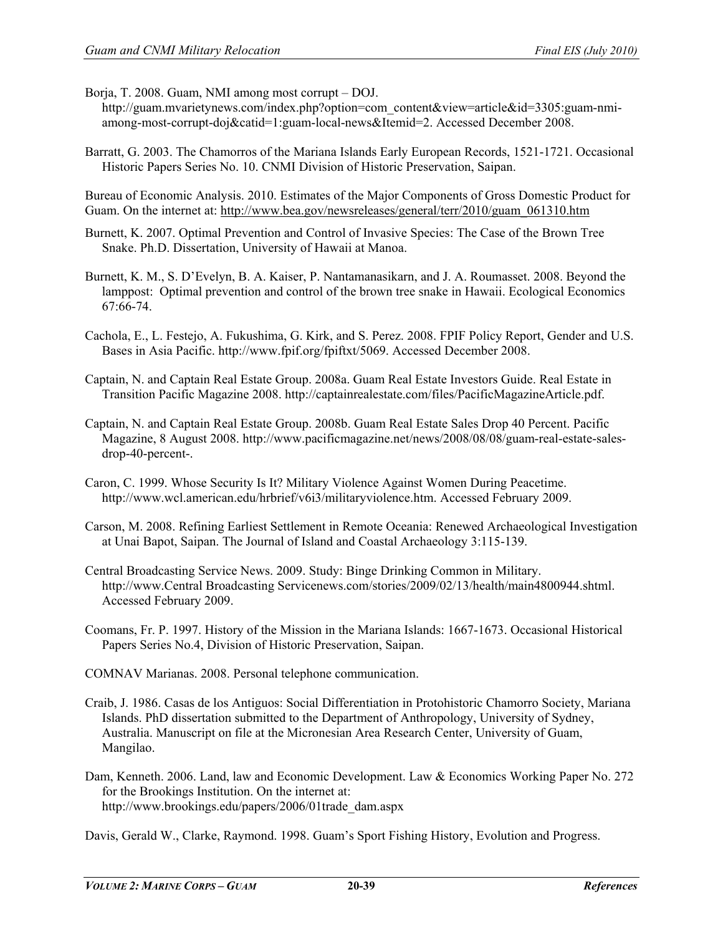Borja, T. 2008. Guam, NMI among most corrupt – DOJ.

http://guam.mvarietynews.com/index.php?option=com\_content&view=article&id=3305:guam-nmiamong-most-corrupt-doj&catid=1:guam-local-news&Itemid=2. Accessed December 2008.

Barratt, G. 2003. The Chamorros of the Mariana Islands Early European Records, 1521-1721. Occasional Historic Papers Series No. 10. CNMI Division of Historic Preservation, Saipan.

Bureau of Economic Analysis. 2010. Estimates of the Major Components of Gross Domestic Product for Guam. On the internet at: [http://www.bea.gov/newsreleases/general/terr/2010/guam\\_061310.htm](http://www.bea.gov/newsreleases/general/terr/2010/guam_061310.htm)

- Burnett, K. 2007. Optimal Prevention and Control of Invasive Species: The Case of the Brown Tree Snake. Ph.D. Dissertation, University of Hawaii at Manoa.
- Burnett, K. M., S. D'Evelyn, B. A. Kaiser, P. Nantamanasikarn, and J. A. Roumasset. 2008. Beyond the lamppost: Optimal prevention and control of the brown tree snake in Hawaii. Ecological Economics 67:66-74.
- Cachola, E., L. Festejo, A. Fukushima, G. Kirk, and S. Perez. 2008. FPIF Policy Report, Gender and U.S. Bases in Asia Pacific. [http://www.fpif.org/fpiftxt/5069.](http://www.fpif.org/fpiftxt/5069) Accessed December 2008.
- Captain, N. and Captain Real Estate Group. 2008a. Guam Real Estate Investors Guide. Real Estate in Transition Pacific Magazine 2008. http://captainrealestate.com/files/PacificMagazineArticle.pdf.
- Captain, N. and Captain Real Estate Group. 2008b. Guam Real Estate Sales Drop 40 Percent. Pacific Magazine, 8 August 2008. http://www.pacificmagazine.net/news/2008/08/08/guam-real-estate-salesdrop-40-percent-.
- Caron, C. 1999. Whose Security Is It? Military Violence Against Women During Peacetime. [http://www.wcl.american.edu/hrbrief/v6i3/militaryviolence.htm.](http://www.wcl.american.edu/hrbrief/v6i3/militaryviolence.htm) Accessed February 2009.
- Carson, M. 2008. Refining Earliest Settlement in Remote Oceania: Renewed Archaeological Investigation at Unai Bapot, Saipan. The Journal of Island and Coastal Archaeology 3:115-139.
- Central Broadcasting Service News. 2009. Study: Binge Drinking Common in Military. http://www.Central Broadcasting Servicenews.com/stories/2009/02/13/health/main4800944.shtml. Accessed February 2009.
- Coomans, Fr. P. 1997. History of the Mission in the Mariana Islands: 1667-1673. Occasional Historical Papers Series No.4, Division of Historic Preservation, Saipan.

COMNAV Marianas. 2008. Personal telephone communication.

- Craib, J. 1986. Casas de los Antiguos: Social Differentiation in Protohistoric Chamorro Society, Mariana Islands. PhD dissertation submitted to the Department of Anthropology, University of Sydney, Australia. Manuscript on file at the Micronesian Area Research Center, University of Guam, Mangilao.
- Dam, Kenneth. 2006. Land, law and Economic Development. Law & Economics Working Paper No. 272 for the Brookings Institution. On the internet at: [http://www.brookings.edu/papers/2006/01trade\\_dam.aspx](http://www.brookings.edu/papers/2006/01trade_dam.aspx)

Davis, Gerald W., Clarke, Raymond. 1998. Guam's Sport Fishing History, Evolution and Progress.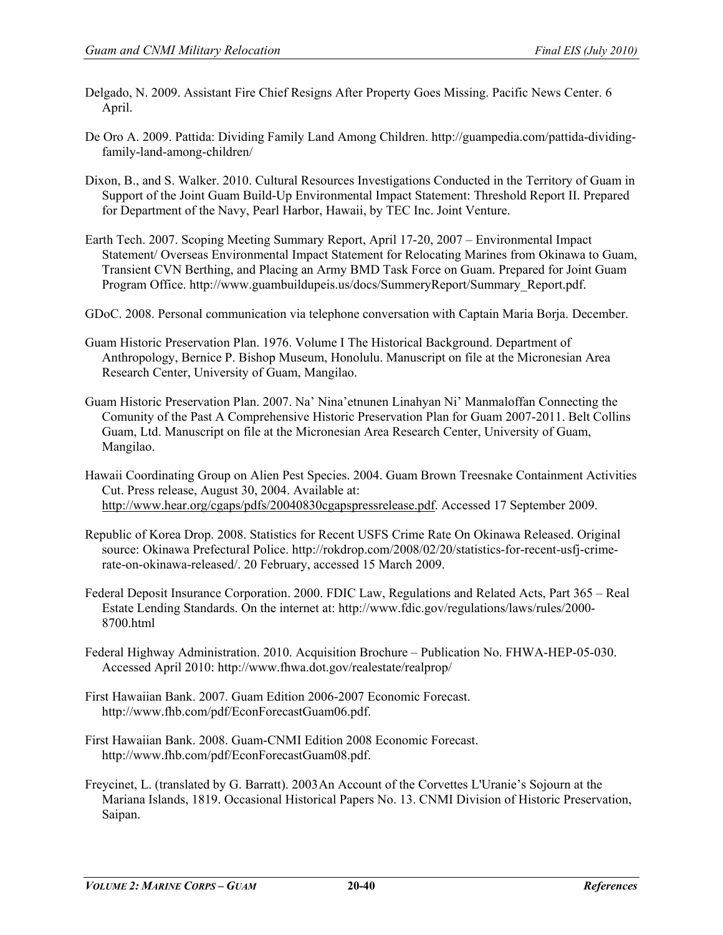- Delgado, N. 2009. Assistant Fire Chief Resigns After Property Goes Missing. Pacific News Center. 6 April.
- De Oro A. 2009. Pattida: Dividing Family Land Among Children. [http://guampedia.com/pattida-dividing](http://guampedia.com/pattida-dividing-family-land-among-children/)[family-land-among-children/](http://guampedia.com/pattida-dividing-family-land-among-children/)
- Dixon, B., and S. Walker. 2010. Cultural Resources Investigations Conducted in the Territory of Guam in Support of the Joint Guam Build-Up Environmental Impact Statement: Threshold Report II. Prepared for Department of the Navy, Pearl Harbor, Hawaii, by TEC Inc. Joint Venture.
- Earth Tech. 2007. Scoping Meeting Summary Report, April 17-20, 2007 Environmental Impact Statement/ Overseas Environmental Impact Statement for Relocating Marines from Okinawa to Guam, Transient CVN Berthing, and Placing an Army BMD Task Force on Guam. Prepared for Joint Guam Program Office. http://www.guambuildupeis.us/docs/SummeryReport/Summary\_Report.pdf.
- GDoC. 2008. Personal communication via telephone conversation with Captain Maria Borja. December.
- Guam Historic Preservation Plan. 1976. Volume I The Historical Background. Department of Anthropology, Bernice P. Bishop Museum, Honolulu. Manuscript on file at the Micronesian Area Research Center, University of Guam, Mangilao.
- Guam Historic Preservation Plan. 2007. Na' Nina'etnunen Linahyan Ni' Manmaloffan Connecting the Comunity of the Past A Comprehensive Historic Preservation Plan for Guam 2007-2011. Belt Collins Guam, Ltd. Manuscript on file at the Micronesian Area Research Center, University of Guam, Mangilao.
- Hawaii Coordinating Group on Alien Pest Species. 2004. Guam Brown Treesnake Containment Activities Cut. Press release, August 30, 2004. Available at: [http://www.hear.org/cgaps/pdfs/20040830cgapspressrelease.pdf.](http://www.hear.org/cgaps/pdfs/20040830cgapspressrelease.pdf) Accessed 17 September 2009.
- Republic of Korea Drop. 2008. Statistics for Recent USFS Crime Rate On Okinawa Released. Original source: Okinawa Prefectural Police. http://rokdrop.com/2008/02/20/statistics-for-recent-usfj-crimerate-on-okinawa-released/. 20 February, accessed 15 March 2009.
- Federal Deposit Insurance Corporation. 2000. FDIC Law, Regulations and Related Acts, Part 365 Real Estate Lending Standards. On the internet at: [http://www.fdic.gov/regulations/laws/rules/2000-](http://www.fdic.gov/regulations/laws/rules/2000-8700.html) [8700.html](http://www.fdic.gov/regulations/laws/rules/2000-8700.html)
- Federal Highway Administration. 2010. Acquisition Brochure Publication No. FHWA-HEP-05-030. Accessed April 2010: http://www.fhwa.dot.gov/realestate/realprop/
- First Hawaiian Bank. 2007. Guam Edition 2006-2007 Economic Forecast. http://www.fhb.com/pdf/EconForecastGuam06.pdf.
- First Hawaiian Bank. 2008. Guam-CNMI Edition 2008 Economic Forecast. http://www.fhb.com/pdf/EconForecastGuam08.pdf.
- Freycinet, L. (translated by G. Barratt). 2003An Account of the Corvettes L'Uranie's Sojourn at the Mariana Islands, 1819. Occasional Historical Papers No. 13. CNMI Division of Historic Preservation, Saipan.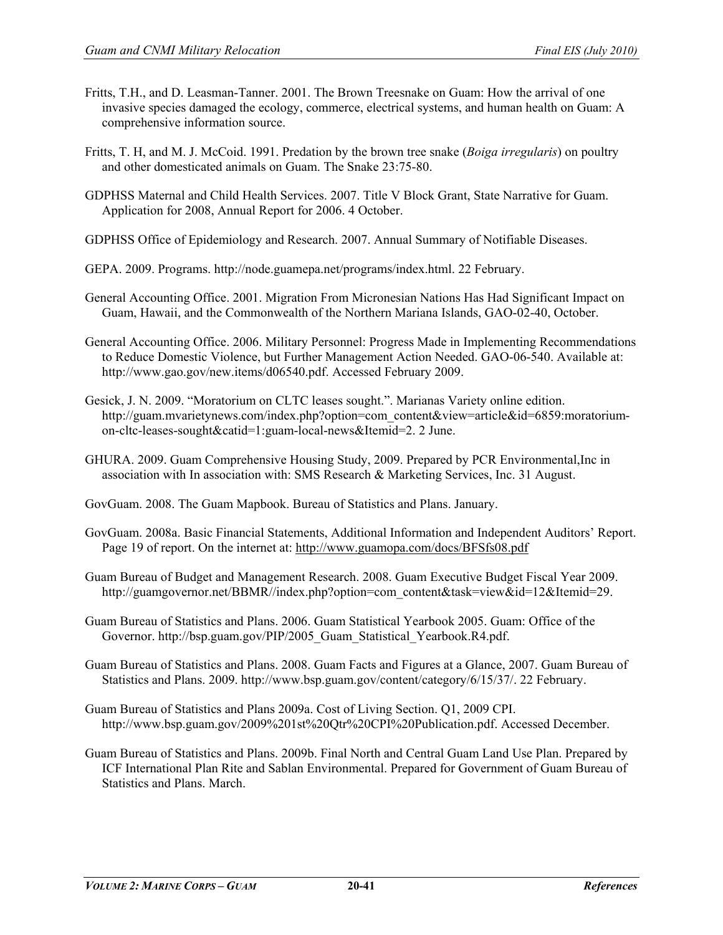- Fritts, T.H., and D. Leasman-Tanner. 2001. The Brown Treesnake on Guam: How the arrival of one invasive species damaged the ecology, commerce, electrical systems, and human health on Guam: A comprehensive information source.
- Fritts, T. H, and M. J. McCoid. 1991. Predation by the brown tree snake (*Boiga irregularis*) on poultry and other domesticated animals on Guam. The Snake 23:75-80.
- GDPHSS Maternal and Child Health Services. 2007. Title V Block Grant, State Narrative for Guam. Application for 2008, Annual Report for 2006. 4 October.
- GDPHSS Office of Epidemiology and Research. 2007. Annual Summary of Notifiable Diseases.
- GEPA. 2009. Programs. http://node.guamepa.net/programs/index.html. 22 February.
- General Accounting Office. 2001. Migration From Micronesian Nations Has Had Significant Impact on Guam, Hawaii, and the Commonwealth of the Northern Mariana Islands, GAO-02-40, October.
- General Accounting Office. 2006. Military Personnel: Progress Made in Implementing Recommendations to Reduce Domestic Violence, but Further Management Action Needed. GAO-06-540. Available at: [http://www.gao.gov/new.items/d06540.pdf.](http://www.gao.gov/new.items/d06540.pdf) Accessed February 2009.
- Gesick, J. N. 2009. "Moratorium on CLTC leases sought.". Marianas Variety online edition. http://guam.mvarietynews.com/index.php?option=com\_content&view=article&id=6859:moratoriumon-cltc-leases-sought&catid=1:guam-local-news&Itemid=2. 2 June.
- GHURA. 2009. Guam Comprehensive Housing Study, 2009. Prepared by PCR Environmental,Inc in association with In association with: SMS Research & Marketing Services, Inc. 31 August.
- GovGuam. 2008. The Guam Mapbook. Bureau of Statistics and Plans. January.
- GovGuam. 2008a. Basic Financial Statements, Additional Information and Independent Auditors' Report. Page 19 of report. On the internet at:<http://www.guamopa.com/docs/BFSfs08.pdf>
- Guam Bureau of Budget and Management Research. 2008. Guam Executive Budget Fiscal Year 2009. [http://guamgovernor.net/BBMR//index.php?option=com\\_content&task=view&id=12&Itemid=29.](http://guamgovernor.net/BBMR/index.php?option=com_content&task=view&id=12&Itemid=29)
- Guam Bureau of Statistics and Plans. 2006. Guam Statistical Yearbook 2005. Guam: Office of the Governor. http://bsp.guam.gov/PIP/2005\_Guam\_Statistical\_Yearbook.R4.pdf.
- Guam Bureau of Statistics and Plans. 2008. Guam Facts and Figures at a Glance, 2007. Guam Bureau of Statistics and Plans. 2009. http://www.bsp.guam.gov/content/category/6/15/37/. 22 February.
- Guam Bureau of Statistics and Plans 2009a. Cost of Living Section. Q1, 2009 CPI. http://www.bsp.guam.gov/2009%201st%20Qtr%20CPI%20Publication.pdf. Accessed December.
- Guam Bureau of Statistics and Plans. 2009b. Final North and Central Guam Land Use Plan. Prepared by ICF International Plan Rite and Sablan Environmental. Prepared for Government of Guam Bureau of Statistics and Plans. March.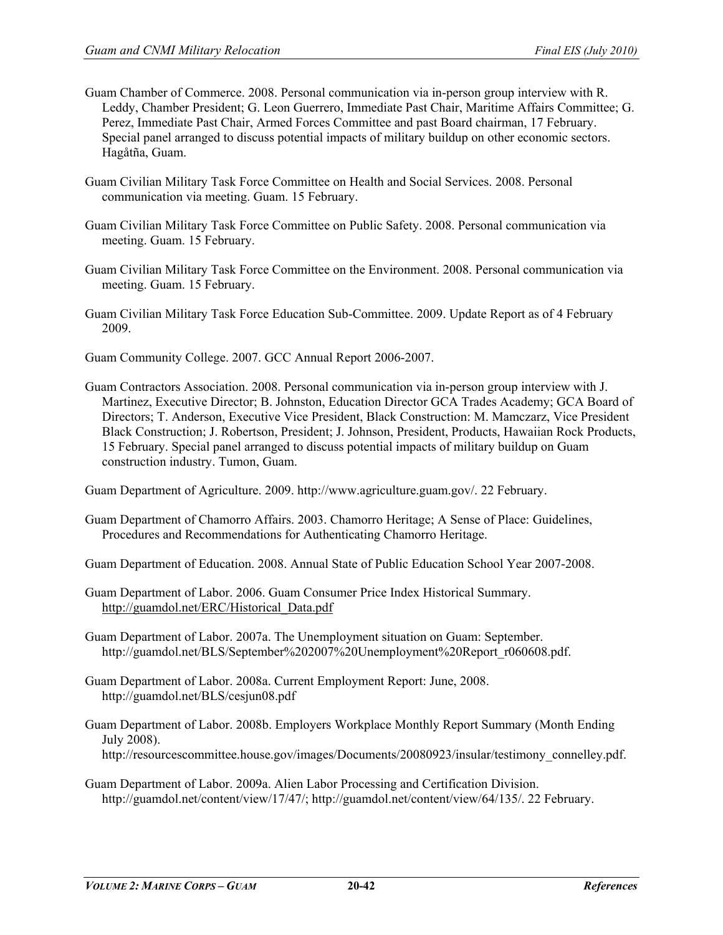- Guam Chamber of Commerce. 2008. Personal communication via in-person group interview with R. Leddy, Chamber President; G. Leon Guerrero, Immediate Past Chair, Maritime Affairs Committee; G. Perez, Immediate Past Chair, Armed Forces Committee and past Board chairman, 17 February. Special panel arranged to discuss potential impacts of military buildup on other economic sectors. Hagåtña, Guam.
- Guam Civilian Military Task Force Committee on Health and Social Services. 2008. Personal communication via meeting. Guam. 15 February.
- Guam Civilian Military Task Force Committee on Public Safety. 2008. Personal communication via meeting. Guam. 15 February.
- Guam Civilian Military Task Force Committee on the Environment. 2008. Personal communication via meeting. Guam. 15 February.
- Guam Civilian Military Task Force Education Sub-Committee. 2009. Update Report as of 4 February 2009.

Guam Community College. 2007. GCC Annual Report 2006-2007.

Guam Contractors Association. 2008. Personal communication via in-person group interview with J. Martinez, Executive Director; B. Johnston, Education Director GCA Trades Academy; GCA Board of Directors; T. Anderson, Executive Vice President, Black Construction: M. Mamczarz, Vice President Black Construction; J. Robertson, President; J. Johnson, President, Products, Hawaiian Rock Products, 15 February. Special panel arranged to discuss potential impacts of military buildup on Guam construction industry. Tumon, Guam.

Guam Department of Agriculture. 2009. [http://www.agriculture.guam.gov/.](http://www.agriculture.guam.gov/) 22 February.

Guam Department of Chamorro Affairs. 2003. Chamorro Heritage; A Sense of Place: Guidelines, Procedures and Recommendations for Authenticating Chamorro Heritage.

Guam Department of Education. 2008. Annual State of Public Education School Year 2007-2008.

Guam Department of Labor. 2006. Guam Consumer Price Index Historical Summary. [http://guamdol.net/ERC/Historical\\_Data.pdf](http://guamdol.net/ERC/Historical_Data.pdf)

Guam Department of Labor. 2007a. The Unemployment situation on Guam: September. http://guamdol.net/BLS/September%202007%20Unemployment%20Report\_r060608.pdf.

Guam Department of Labor. 2008a. Current Employment Report: June, 2008. http://guamdol.net/BLS/cesjun08.pdf

Guam Department of Labor. 2008b. Employers Workplace Monthly Report Summary (Month Ending July 2008). http://resourcescommittee.house.gov/images/Documents/20080923/insular/testimony\_connelley.pdf.

Guam Department of Labor. 2009a. Alien Labor Processing and Certification Division. http://guamdol.net/content/view/17/47/; [http://guamdol.net/content/view/64/135/.](http://guamdol.net/content/view/64/135/) 22 February.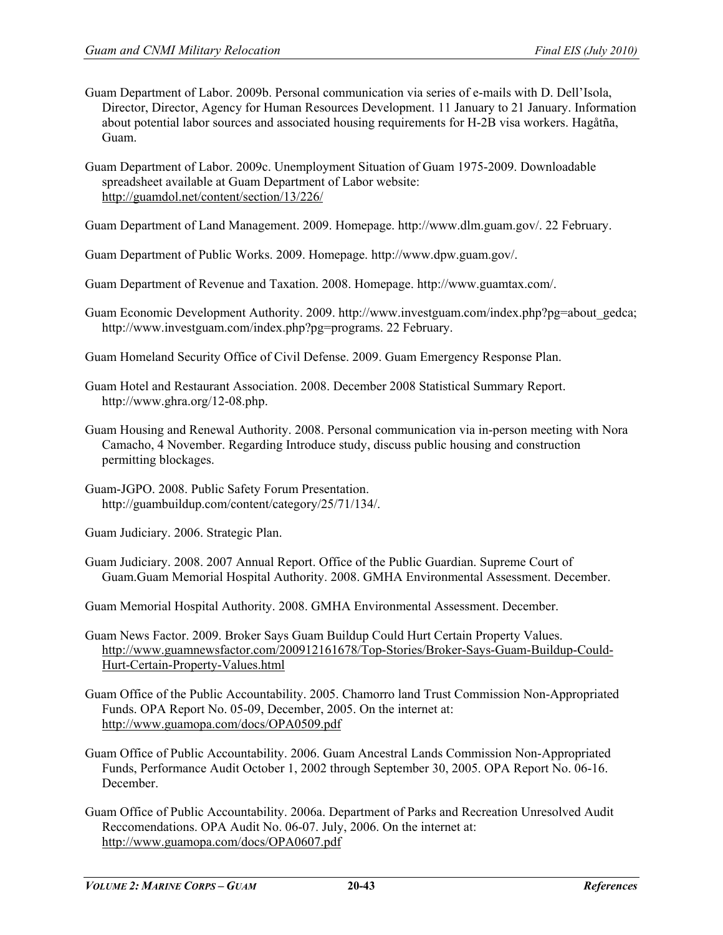- Guam Department of Labor. 2009b. Personal communication via series of e-mails with D. Dell'Isola, Director, Director, Agency for Human Resources Development. 11 January to 21 January. Information about potential labor sources and associated housing requirements for H-2B visa workers. Hagåtña, Guam.
- Guam Department of Labor. 2009c. Unemployment Situation of Guam 1975-2009. Downloadable spreadsheet available at Guam Department of Labor website: <http://guamdol.net/content/section/13/226/>

Guam Department of Land Management. 2009. Homepage. [http://www.dlm.guam.gov/.](http://www.dlm.guam.gov/) 22 February.

Guam Department of Public Works. 2009. Homepage. http://www.dpw.guam.gov/.

Guam Department of Revenue and Taxation. 2008. Homepage. http://www.guamtax.com/.

- Guam Economic Development Authority. 2009. [http://www.investguam.com/index.php?pg=about\\_gedca;](http://www.investguam.com/index.php?pg=about_gedca) [http://www.investguam.com/index.php?pg=programs.](http://www.investguam.com/index.php?pg=programs) 22 February.
- Guam Homeland Security Office of Civil Defense. 2009. Guam Emergency Response Plan.
- Guam Hotel and Restaurant Association. 2008. December 2008 Statistical Summary Report. http://www.ghra.org/12-08.php.
- Guam Housing and Renewal Authority. 2008. Personal communication via in-person meeting with Nora Camacho, 4 November. Regarding Introduce study, discuss public housing and construction permitting blockages.
- Guam-JGPO. 2008. Public Safety Forum Presentation. [http://guambuildup.com/content/category/25/71/134/.](http://guambuildup.com/content/category/25/71/134/)

Guam Judiciary. 2006. Strategic Plan.

Guam Judiciary. 2008. 2007 Annual Report. Office of the Public Guardian. Supreme Court of Guam.Guam Memorial Hospital Authority. 2008. GMHA Environmental Assessment. December.

Guam Memorial Hospital Authority. 2008. GMHA Environmental Assessment. December.

- Guam News Factor. 2009. Broker Says Guam Buildup Could Hurt Certain Property Values. [http://www.guamnewsfactor.com/200912161678/Top-Stories/Broker-Says-Guam-Buildup-Could-](http://www.guamnewsfactor.com/200912161678/Top-Stories/Broker-Says-Guam-Buildup-Could-Hurt-Certain-Property-Values.html)[Hurt-Certain-Property-Values.html](http://www.guamnewsfactor.com/200912161678/Top-Stories/Broker-Says-Guam-Buildup-Could-Hurt-Certain-Property-Values.html)
- Guam Office of the Public Accountability. 2005. Chamorro land Trust Commission Non-Appropriated Funds. OPA Report No. 05-09, December, 2005. On the internet at: <http://www.guamopa.com/docs/OPA0509.pdf>
- Guam Office of Public Accountability. 2006. Guam Ancestral Lands Commission Non-Appropriated Funds, Performance Audit October 1, 2002 through September 30, 2005. OPA Report No. 06-16. December.
- Guam Office of Public Accountability. 2006a. Department of Parks and Recreation Unresolved Audit Reccomendations. OPA Audit No. 06-07. July, 2006. On the internet at: <http://www.guamopa.com/docs/OPA0607.pdf>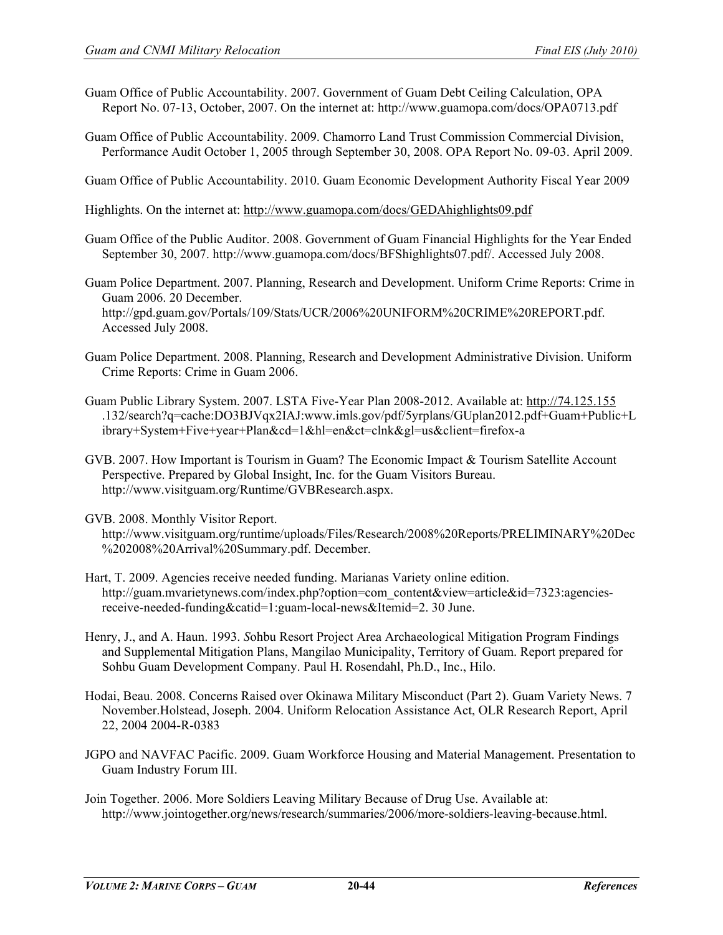- Guam Office of Public Accountability. 2007. Government of Guam Debt Ceiling Calculation, OPA Report No. 07-13, October, 2007. On the internet at: http://www.guamopa.com/docs/OPA0713.pdf
- Guam Office of Public Accountability. 2009. Chamorro Land Trust Commission Commercial Division, Performance Audit October 1, 2005 through September 30, 2008. OPA Report No. 09-03. April 2009.

Guam Office of Public Accountability. 2010. Guam Economic Development Authority Fiscal Year 2009

Highlights. On the internet at:<http://www.guamopa.com/docs/GEDAhighlights09.pdf>

- Guam Office of the Public Auditor. 2008. Government of Guam Financial Highlights for the Year Ended September 30, 2007. http://www.guamopa.com/docs/BFShighlights07.pdf/. Accessed July 2008.
- Guam Police Department. 2007. Planning, Research and Development. Uniform Crime Reports: Crime in Guam 2006. 20 December. http://gpd.guam.gov/Portals/109/Stats/UCR/2006%20UNIFORM%20CRIME%20REPORT.pdf. Accessed July 2008.
- Guam Police Department. 2008. Planning, Research and Development Administrative Division. Uniform Crime Reports: Crime in Guam 2006.
- Guam Public Library System. 2007. LSTA Five-Year Plan 2008-2012. Available at: [http://74.125.155](http://74.125.0.155/) .132/search?q=cache:DO3BJVqx2IAJ:www.imls.gov/pdf/5yrplans/GUplan2012.pdf+Guam+Public+L ibrary+System+Five+year+Plan&cd=1&hl=en&ct=clnk&gl=us&client=firefox-a
- GVB. 2007. How Important is Tourism in Guam? The Economic Impact & Tourism Satellite Account Perspective. Prepared by Global Insight, Inc. for the Guam Visitors Bureau. http://www.visitguam.org/Runtime/GVBResearch.aspx.
- GVB. 2008. Monthly Visitor Report.

http://www.visitguam.org/runtime/uploads/Files/Research/2008%20Reports/PRELIMINARY%20Dec %202008%20Arrival%20Summary.pdf. December.

- Hart, T. 2009. Agencies receive needed funding. Marianas Variety online edition. http://guam.mvarietynews.com/index.php?option=com\_content&view=article&id=7323:agenciesreceive-needed-funding&catid=1:guam-local-news&Itemid=2. 30 June.
- Henry, J., and A. Haun. 1993. *S*ohbu Resort Project Area Archaeological Mitigation Program Findings and Supplemental Mitigation Plans, Mangilao Municipality, Territory of Guam. Report prepared for Sohbu Guam Development Company. Paul H. Rosendahl, Ph.D., Inc., Hilo.
- Hodai, Beau. 2008. Concerns Raised over Okinawa Military Misconduct (Part 2). Guam Variety News. 7 November.Holstead, Joseph. 2004. Uniform Relocation Assistance Act, OLR Research Report, April 22, 2004 2004-R-0383
- JGPO and NAVFAC Pacific. 2009. Guam Workforce Housing and Material Management. Presentation to Guam Industry Forum III.
- Join Together. 2006. More Soldiers Leaving Military Because of Drug Use. Available at: [http://www.jointogether.org/news/research/summaries/2006/more-soldiers-leaving-because.html.](http://www.jointogether.org/news/research/summaries/2006/more-soldiers-leaving-because.html)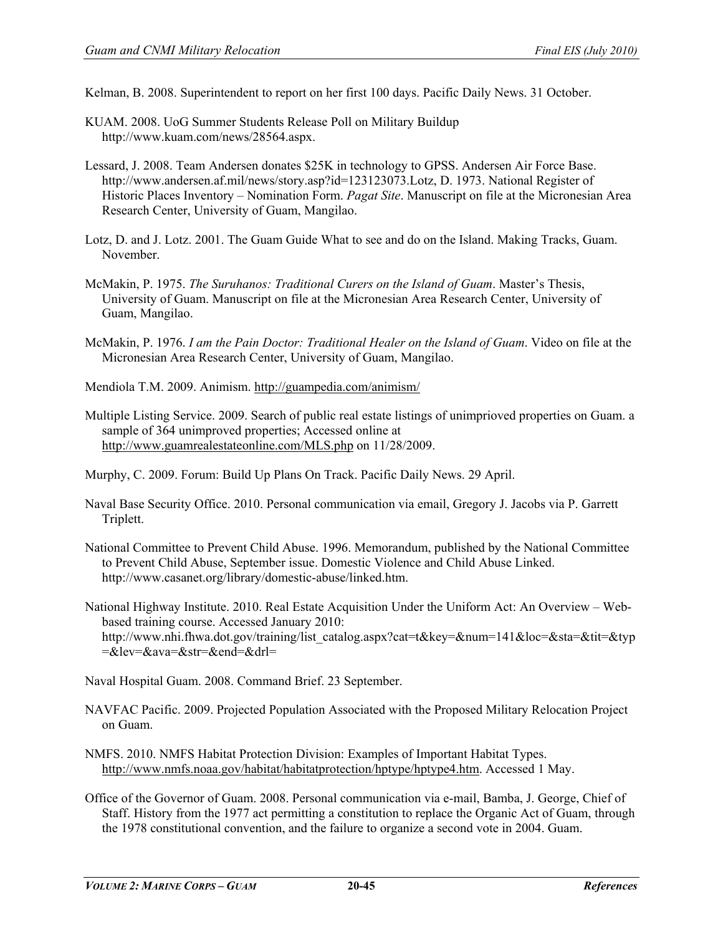Kelman, B. 2008. Superintendent to report on her first 100 days. Pacific Daily News. 31 October.

- KUAM. 2008. UoG Summer Students Release Poll on Military Buildup http://www.kuam.com/news/28564.aspx.
- Lessard, J. 2008. Team Andersen donates \$25K in technology to GPSS. Andersen Air Force Base. [http://www.andersen.af.mil/news/story.asp?id=123123073.](http://www.andersen.af.mil/news/story.asp?id=123123073)Lotz, D. 1973. National Register of Historic Places Inventory – Nomination Form. *Pagat Site*. Manuscript on file at the Micronesian Area Research Center, University of Guam, Mangilao.
- Lotz, D. and J. Lotz. 2001. The Guam Guide What to see and do on the Island. Making Tracks, Guam. November.
- McMakin, P. 1975. *The Suruhanos: Traditional Curers on the Island of Guam*. Master's Thesis, University of Guam. Manuscript on file at the Micronesian Area Research Center, University of Guam, Mangilao.
- McMakin, P. 1976. *I am the Pain Doctor: Traditional Healer on the Island of Guam*. Video on file at the Micronesian Area Research Center, University of Guam, Mangilao.
- Mendiola T.M. 2009. Animism.<http://guampedia.com/animism/>
- Multiple Listing Service. 2009. Search of public real estate listings of unimprioved properties on Guam. a sample of 364 unimproved properties; Accessed online at <http://www.guamrealestateonline.com/MLS.php> on 11/28/2009.
- Murphy, C. 2009. Forum: Build Up Plans On Track. Pacific Daily News. 29 April.
- Naval Base Security Office. 2010. Personal communication via email, Gregory J. Jacobs via P. Garrett Triplett.
- National Committee to Prevent Child Abuse. 1996. Memorandum, published by the National Committee to Prevent Child Abuse, September issue. Domestic Violence and Child Abuse Linked. [http://www.casanet.org/library/domestic-abuse/linked.htm.](http://www.casanet.org/library/domestic-abuse/linked.htm)
- National Highway Institute. 2010. Real Estate Acquisition Under the Uniform Act: An Overview Webbased training course. Accessed January 2010: http://www.nhi.fhwa.dot.gov/training/list\_catalog.aspx?cat=t&key=&num=141&loc=&sta=&tit=&typ  $=\&\text{lev}=\&\text{ava}=\&\text{str}=\&\text{end}=\&\text{dr}$

Naval Hospital Guam. 2008. Command Brief. 23 September.

- NAVFAC Pacific. 2009. Projected Population Associated with the Proposed Military Relocation Project on Guam.
- NMFS. 2010. NMFS Habitat Protection Division: Examples of Important Habitat Types. [http://www.nmfs.noaa.gov/habitat/habitatprotection/hptype/hptype4.htm.](http://www.nmfs.noaa.gov/habitat/habitatprotection/hptype/hptype4.htm) Accessed 1 May.
- Office of the Governor of Guam. 2008. Personal communication via e-mail, Bamba, J. George, Chief of Staff. History from the 1977 act permitting a constitution to replace the Organic Act of Guam, through the 1978 constitutional convention, and the failure to organize a second vote in 2004. Guam.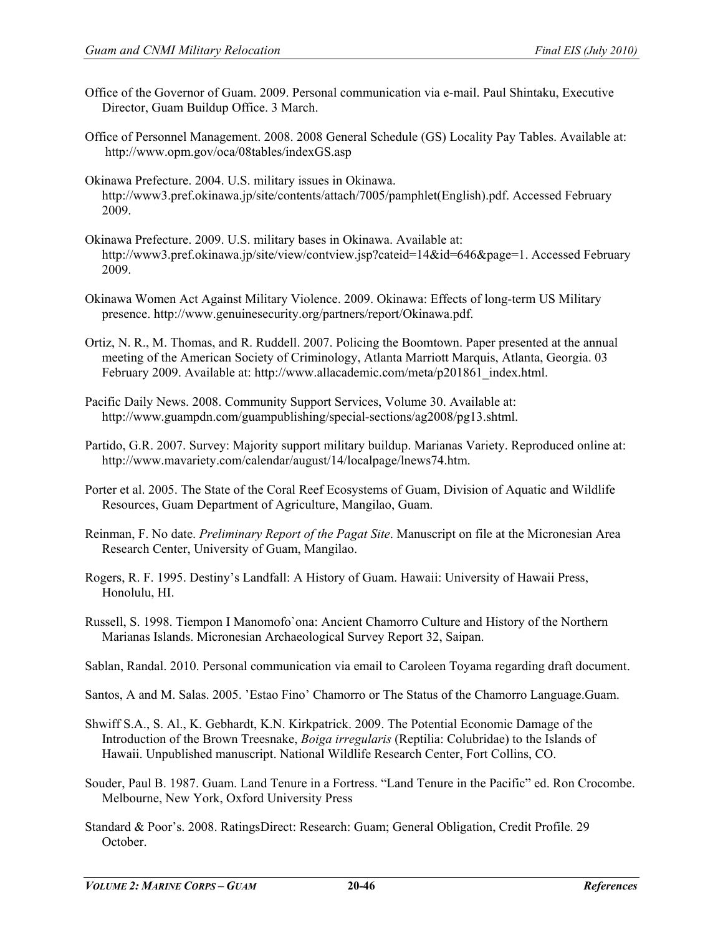- [Office of the Governor of Guam. 2009. Personal communication via e-mail. Paul Shintaku, Executive](mailto:paul.shintaku@guam.gov)  [Director, Guam Buildup Office. 3 March.](mailto:paul.shintaku@guam.gov)
- Office of Personnel Management. 2008. 2008 General Schedule (GS) Locality Pay Tables. Available at: http://www.opm.gov/oca/08tables/indexGS.asp
- Okinawa Prefecture. 2004. U.S. military issues in Okinawa. http://www3.pref.okinawa.jp/site/contents/attach/7005/pamphlet(English).pdf. Accessed February 2009.
- Okinawa Prefecture. 2009. U.S. military bases in Okinawa. Available at: http://www3.pref.okinawa.jp/site/view/contview.jsp?cateid=14&id=646&page=1. Accessed February 2009.
- Okinawa Women Act Against Military Violence. 2009. Okinawa: Effects of long-term US Military presence. http://www.genuinesecurity.org/partners/report/Okinawa.pdf.
- Ortiz, N. R., M. Thomas, and R. Ruddell. 2007. Policing the Boomtown. Paper presented at the annual meeting of the American Society of Criminology, Atlanta Marriott Marquis, Atlanta, Georgia. 03 February 2009. Available at: http://www.allacademic.com/meta/p201861\_index.html.
- Pacific Daily News. 2008. Community Support Services, Volume 30. Available at: http://www.guampdn.com/guampublishing/special-sections/ag2008/pg13.shtml.
- Partido, G.R. 2007. Survey: Majority support military buildup. Marianas Variety. Reproduced online at: [http://www.mavariety.com/calendar/august/14/localpage/lnews74.htm.](http://www.mavariety.com/calendar/august/14/localpage/lnews74.htm)
- Porter et al. 2005. The State of the Coral Reef Ecosystems of Guam, Division of Aquatic and Wildlife Resources, Guam Department of Agriculture, Mangilao, Guam.
- Reinman, F. No date. *Preliminary Report of the Pagat Site*. Manuscript on file at the Micronesian Area Research Center, University of Guam, Mangilao.
- Rogers, R. F. 1995. Destiny's Landfall: A History of Guam. Hawaii: University of Hawaii Press, Honolulu, HI.
- Russell, S. 1998. Tiempon I Manomofo`ona: Ancient Chamorro Culture and History of the Northern Marianas Islands. Micronesian Archaeological Survey Report 32, Saipan.
- Sablan, Randal. 2010. Personal communication via email to Caroleen Toyama regarding draft document.
- Santos, A and M. Salas. 2005. 'Estao Fino' Chamorro or The Status of the Chamorro Language.Guam.
- Shwiff S.A., S. Al., K. Gebhardt, K.N. Kirkpatrick. 2009. The Potential Economic Damage of the Introduction of the Brown Treesnake, *Boiga irregularis* (Reptilia: Colubridae) to the Islands of Hawaii. Unpublished manuscript. National Wildlife Research Center, Fort Collins, CO.
- Souder, Paul B. 1987. Guam. Land Tenure in a Fortress. "Land Tenure in the Pacific" ed. Ron Crocombe. Melbourne, New York, Oxford University Press
- Standard & Poor's. 2008. RatingsDirect: Research: Guam; General Obligation, Credit Profile. 29 October.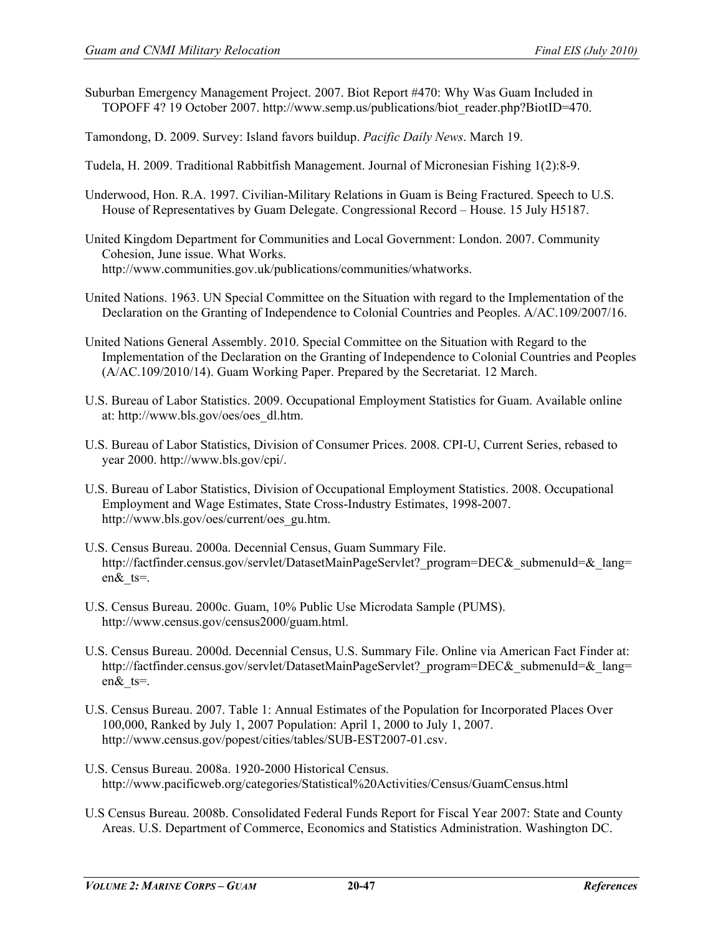Suburban Emergency Management Project. 2007. Biot Report #470: Why Was Guam Included in TOPOFF 4? 19 October 2007. [http://www.semp.us/publications/biot\\_reader.php?BiotID=470.](http://www.semp.us/publications/biot_reader.php?BiotID=470)

Tamondong, D. 2009. Survey: Island favors buildup. *Pacific Daily News*. March 19.

- Tudela, H. 2009. Traditional Rabbitfish Management. Journal of Micronesian Fishing 1(2):8-9.
- Underwood, Hon. R.A. 1997. Civilian-Military Relations in Guam is Being Fractured. Speech to U.S. House of Representatives by Guam Delegate. Congressional Record – House. 15 July H5187.
- United Kingdom Department for Communities and Local Government: London. 2007. Community Cohesion, June issue. What Works. [http://www.communities.gov.uk/publications/communities/whatworks.](http://www.communities.gov.uk/publications/communities/whatworks)
- United Nations. 1963. UN Special Committee on the Situation with regard to the Implementation of the Declaration on the Granting of Independence to Colonial Countries and Peoples. A/AC.109/2007/16.
- United Nations General Assembly. 2010. Special Committee on the Situation with Regard to the Implementation of the Declaration on the Granting of Independence to Colonial Countries and Peoples (A/AC.109/2010/14). Guam Working Paper. Prepared by the Secretariat. 12 March.
- U.S. Bureau of Labor Statistics. 2009. Occupational Employment Statistics for Guam. Available online at: http://www.bls.gov/oes/oes\_dl.htm.
- U.S. Bureau of Labor Statistics, Division of Consumer Prices. 2008. CPI-U, Current Series, rebased to year 2000. http://www.bls.gov/cpi/.
- U.S. Bureau of Labor Statistics, Division of Occupational Employment Statistics. 2008. Occupational Employment and Wage Estimates, State Cross-Industry Estimates, 1998-2007. http://www.bls.gov/oes/current/oes\_gu.htm.
- U.S. Census Bureau. 2000a. Decennial Census, Guam Summary File. http://factfinder.census.gov/servlet/DatasetMainPageServlet? program=DEC& submenuId=& lang= en&\_ts=.
- U.S. Census Bureau. 2000c. Guam, 10% Public Use Microdata Sample (PUMS). [http://www.census.gov/census2000/guam.html.](http://www.census.gov/census2000/guam.html)
- U.S. Census Bureau. 2000d. Decennial Census, U.S. Summary File. Online via American Fact Finder at: http://factfinder.census.gov/servlet/DatasetMainPageServlet? program=DEC& submenuId=& lang= en&\_ts=.
- U.S. Census Bureau. 2007. Table 1: Annual Estimates of the Population for Incorporated Places Over 100,000, Ranked by July 1, 2007 Population: April 1, 2000 to July 1, 2007. http://www.census.gov/popest/cities/tables/SUB-EST2007-01.csv.
- U.S. Census Bureau. 2008a. 1920-2000 Historical Census. http://www.pacificweb.org/categories/Statistical%20Activities/Census/GuamCensus.html
- U.S Census Bureau. 2008b. Consolidated Federal Funds Report for Fiscal Year 2007: State and County Areas. U.S. Department of Commerce, Economics and Statistics Administration. Washington DC.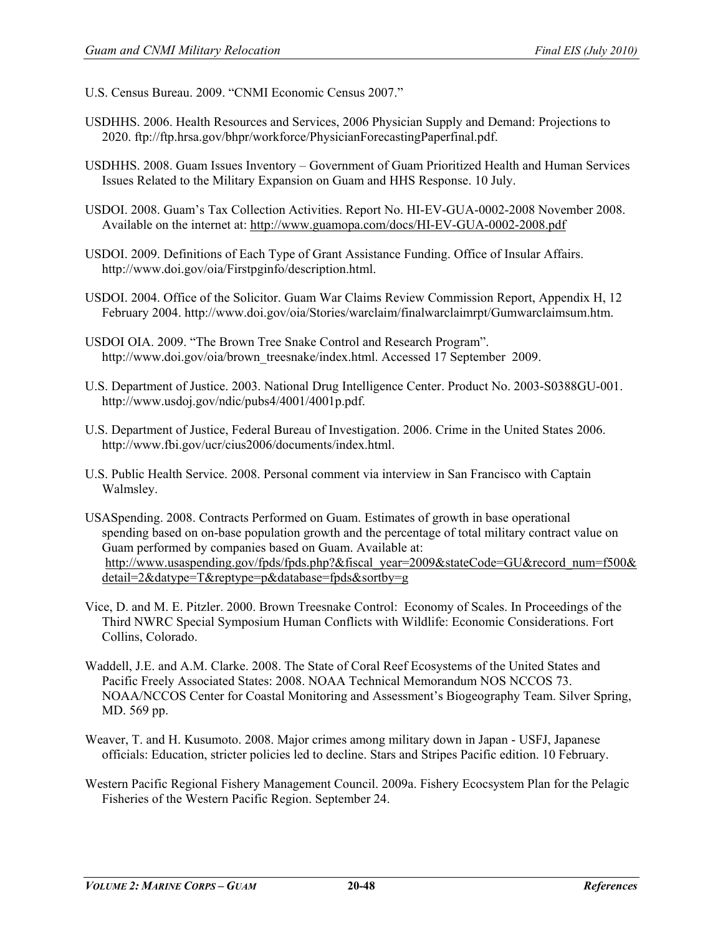- U.S. Census Bureau. 2009. "CNMI Economic Census 2007."
- USDHHS. 2006. Health Resources and Services, 2006 Physician Supply and Demand: Projections to 2020. ftp://ftp.hrsa.gov/bhpr/workforce/PhysicianForecastingPaperfinal.pdf.
- USDHHS. 2008. Guam Issues Inventory Government of Guam Prioritized Health and Human Services Issues Related to the Military Expansion on Guam and HHS Response. 10 July.
- USDOI. 2008. Guam's Tax Collection Activities. Report No. HI-EV-GUA-0002-2008 November 2008. Available on the internet at:<http://www.guamopa.com/docs/HI-EV-GUA-0002-2008.pdf>
- USDOI. 2009. Definitions of Each Type of Grant Assistance Funding. Office of Insular Affairs. http://www.doi.gov/oia/Firstpginfo/description.html.

USDOI. 2004. Office of the Solicitor. Guam War Claims Review Commission Report, Appendix H, 12 February 2004. http://www.doi.gov/oia/Stories/warclaim/finalwarclaimrpt/Gumwarclaimsum.htm.

- USDOI OIA. 2009. "The Brown Tree Snake Control and Research Program". http://www.doi.gov/oia/brown\_treesnake/index.html. Accessed 17 September 2009.
- U.S. Department of Justice. 2003. National Drug Intelligence Center. Product No. 2003-S0388GU-001. http://www.usdoj.gov/ndic/pubs4/4001/4001p.pdf.
- U.S. Department of Justice, Federal Bureau of Investigation. 2006. Crime in the United States 2006. http://www.fbi.gov/ucr/cius2006/documents/index.html.
- U.S. Public Health Service. 2008. Personal comment via interview in San Francisco with Captain Walmsley.
- USASpending. 2008. Contracts Performed on Guam. Estimates of growth in base operational spending based on on-base population growth and the percentage of total military contract value on Guam performed by companies based on Guam. Available at: [http://www.usaspending.gov/fpds/fpds.php?&fiscal\\_year=2009&stateCode=GU&record\\_num=f500&](http://www.usaspending.gov/fpds/fpds.php?&fiscal_year=2009&stateCode=GU&record_num=f500&detail=2&datype=T&reptype=p&database=fpds&sortby=g) [detail=2&datype=T&reptype=p&database=fpds&sortby=g](http://www.usaspending.gov/fpds/fpds.php?&fiscal_year=2009&stateCode=GU&record_num=f500&detail=2&datype=T&reptype=p&database=fpds&sortby=g)
- Vice, D. and M. E. Pitzler. 2000. Brown Treesnake Control: Economy of Scales. In Proceedings of the Third NWRC Special Symposium Human Conflicts with Wildlife: Economic Considerations. Fort Collins, Colorado.
- Waddell, J.E. and A.M. Clarke. 2008. The State of Coral Reef Ecosystems of the United States and Pacific Freely Associated States: 2008. NOAA Technical Memorandum NOS NCCOS 73. NOAA/NCCOS Center for Coastal Monitoring and Assessment's Biogeography Team. Silver Spring, MD. 569 pp.
- Weaver, T. and H. Kusumoto. 2008. Major crimes among military down in Japan USFJ, Japanese officials: Education, stricter policies led to decline. Stars and Stripes Pacific edition. 10 February.
- Western Pacific Regional Fishery Management Council. 2009a. Fishery Ecocsystem Plan for the Pelagic Fisheries of the Western Pacific Region. September 24.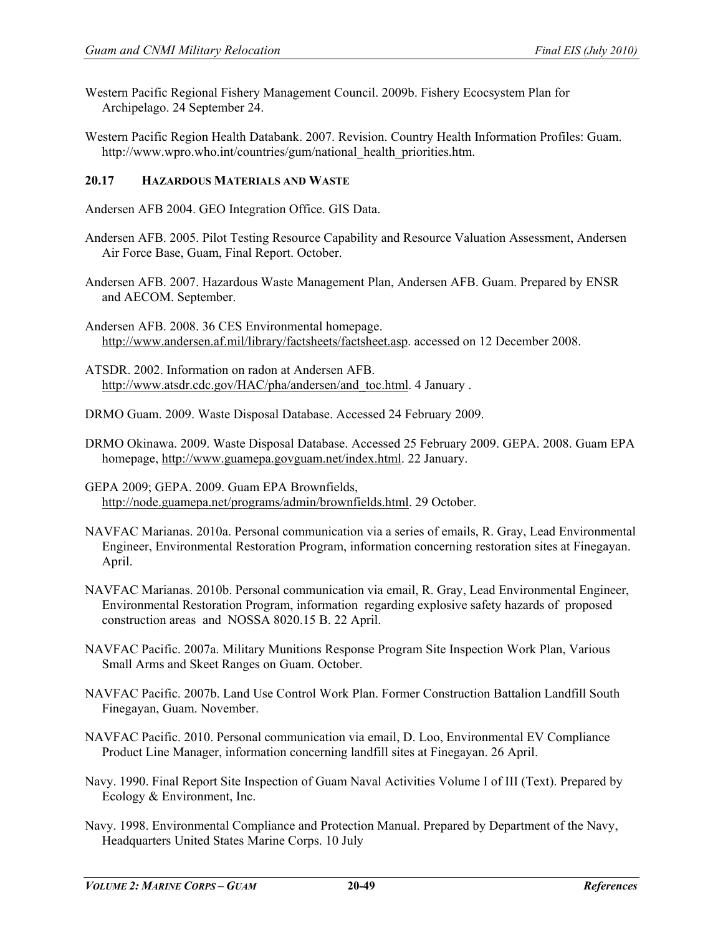- Western Pacific Regional Fishery Management Council. 2009b. Fishery Ecocsystem Plan for Archipelago. 24 September 24.
- Western Pacific Region Health Databank. 2007. Revision. Country Health Information Profiles: Guam. http://www.wpro.who.int/countries/gum/national\_health\_priorities.htm.

#### **20.17 HAZARDOUS MATERIALS AND WASTE**

Andersen AFB 2004. GEO Integration Office. GIS Data.

- Andersen AFB. 2005. Pilot Testing Resource Capability and Resource Valuation Assessment, Andersen Air Force Base, Guam, Final Report. October.
- Andersen AFB. 2007. Hazardous Waste Management Plan, Andersen AFB. Guam. Prepared by ENSR and AECOM. September.

Andersen AFB. 2008. 36 CES Environmental homepage. [http://www.andersen.af.mil/library/factsheets/factsheet.asp.](http://www.andersen.af.mil/library/factsheets/factsheet.asp) accessed on 12 December 2008.

ATSDR. 2002. Information on radon at Andersen AFB. [http://www.atsdr.cdc.gov/HAC/pha/andersen/and\\_toc.html.](http://www.atsdr.cdc.gov/HAC/pha/andersen/and_toc.html) 4 January .

DRMO Guam. 2009. Waste Disposal Database. Accessed 24 February 2009.

DRMO Okinawa. 2009. Waste Disposal Database. Accessed 25 February 2009. GEPA. 2008. Guam EPA homepage, [http://www.guamepa.govguam.net/index.html.](http://www.guamepa.govguam.net/index.html) 22 January.

GEPA 2009; GEPA. 2009. Guam EPA Brownfields, [http://node.guamepa.net/programs/admin/brownfields.html.](http://node.guamepa.net/programs/admin/brownfields.html) 29 October.

- NAVFAC Marianas. 2010a. Personal communication via a series of emails, R. Gray, Lead Environmental Engineer, Environmental Restoration Program, information concerning restoration sites at Finegayan. April.
- NAVFAC Marianas. 2010b. Personal communication via email, R. Gray, Lead Environmental Engineer, Environmental Restoration Program, information regarding explosive safety hazards of proposed construction areas and NOSSA 8020.15 B. 22 April.
- NAVFAC Pacific. 2007a. Military Munitions Response Program Site Inspection Work Plan, Various Small Arms and Skeet Ranges on Guam. October.
- NAVFAC Pacific. 2007b. Land Use Control Work Plan. Former Construction Battalion Landfill South Finegayan, Guam. November.
- NAVFAC Pacific. 2010. Personal communication via email, D. Loo, Environmental EV Compliance Product Line Manager, information concerning landfill sites at Finegayan. 26 April.
- Navy. 1990. Final Report Site Inspection of Guam Naval Activities Volume I of III (Text). Prepared by Ecology & Environment, Inc.
- Navy. 1998. Environmental Compliance and Protection Manual. Prepared by Department of the Navy, Headquarters United States Marine Corps. 10 July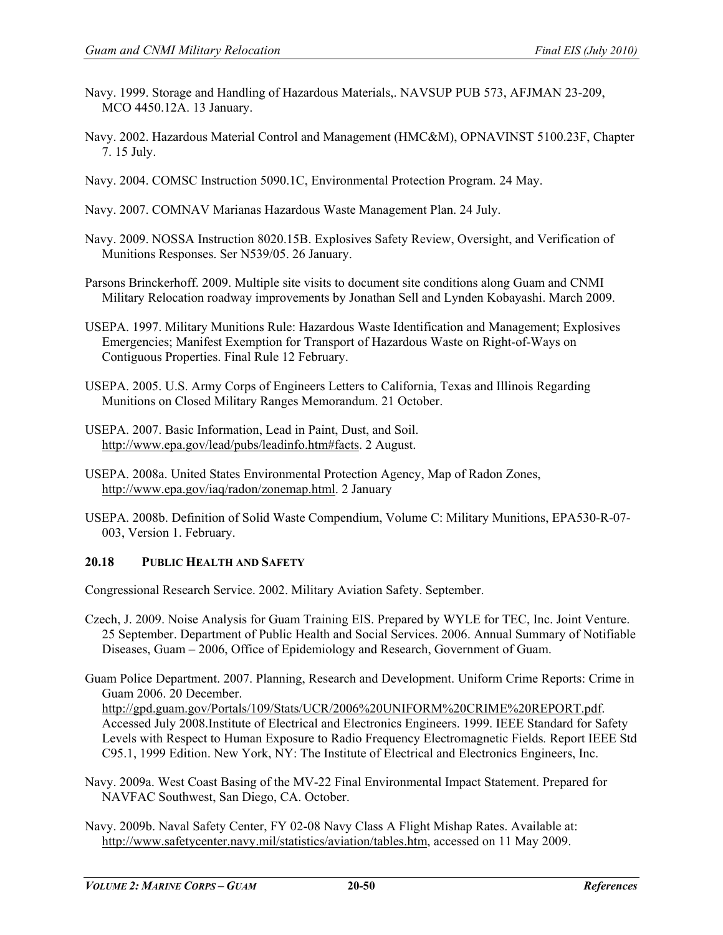- Navy. 1999. Storage and Handling of Hazardous Materials,. NAVSUP PUB 573, AFJMAN 23-209, MCO 4450.12A. 13 January.
- Navy. 2002. Hazardous Material Control and Management (HMC&M), OPNAVINST 5100.23F, Chapter 7. 15 July.
- Navy. 2004. COMSC Instruction 5090.1C, Environmental Protection Program. 24 May.
- Navy. 2007. COMNAV Marianas Hazardous Waste Management Plan. 24 July.
- Navy. 2009. NOSSA Instruction 8020.15B. Explosives Safety Review, Oversight, and Verification of Munitions Responses. Ser N539/05. 26 January.
- Parsons Brinckerhoff. 2009. Multiple site visits to document site conditions along Guam and CNMI Military Relocation roadway improvements by Jonathan Sell and Lynden Kobayashi. March 2009.
- USEPA. 1997. Military Munitions Rule: Hazardous Waste Identification and Management; Explosives Emergencies; Manifest Exemption for Transport of Hazardous Waste on Right-of-Ways on Contiguous Properties. Final Rule 12 February.
- USEPA. 2005. U.S. Army Corps of Engineers Letters to California, Texas and Illinois Regarding Munitions on Closed Military Ranges Memorandum. 21 October.
- USEPA. 2007. Basic Information, Lead in Paint, Dust, and Soil. [http://www.epa.gov/lead/pubs/leadinfo.htm#facts.](http://www.epa.gov/lead/pubs/leadinfo.htm#facts) 2 August.
- USEPA. 2008a. United States Environmental Protection Agency, Map of Radon Zones, [http://www.epa.gov/iaq/radon/zonemap.html.](http://www.epa.gov/iaq/radon/zonemap.html) 2 January
- USEPA. 2008b. Definition of Solid Waste Compendium, Volume C: Military Munitions, EPA530-R-07- 003, Version 1. February.

# **20.18 PUBLIC HEALTH AND SAFETY**

Congressional Research Service. 2002. Military Aviation Safety. September.

- Czech, J. 2009. Noise Analysis for Guam Training EIS. Prepared by WYLE for TEC, Inc. Joint Venture. 25 September. Department of Public Health and Social Services. 2006. Annual Summary of Notifiable Diseases, Guam – 2006, Office of Epidemiology and Research, Government of Guam.
- Guam Police Department. 2007. Planning, Research and Development. Uniform Crime Reports: Crime in Guam 2006. 20 December. [http://gpd.guam.gov/Portals/109/Stats/UCR/2006%20UNIFORM%20CRIME%20REPORT.pdf.](http://gpd.guam.gov/Portals/109/Stats/UCR/2006%20UNIFORM%20CRIME%20REPORT.pdf) Accessed July 2008.Institute of Electrical and Electronics Engineers. 1999. IEEE Standard for Safety Levels with Respect to Human Exposure to Radio Frequency Electromagnetic Fields*.* Report IEEE Std C95.1, 1999 Edition. New York, NY: The Institute of Electrical and Electronics Engineers, Inc.
- Navy. 2009a. West Coast Basing of the MV-22 Final Environmental Impact Statement. Prepared for NAVFAC Southwest, San Diego, CA. October.
- Navy. 2009b. Naval Safety Center, FY 02-08 Navy Class A Flight Mishap Rates. Available at: [http://www.safetycenter.navy.mil/statistics/aviation/tables.htm,](http://www.safetycenter.navy.mil/statistics/aviation/tables.htm) accessed on 11 May 2009.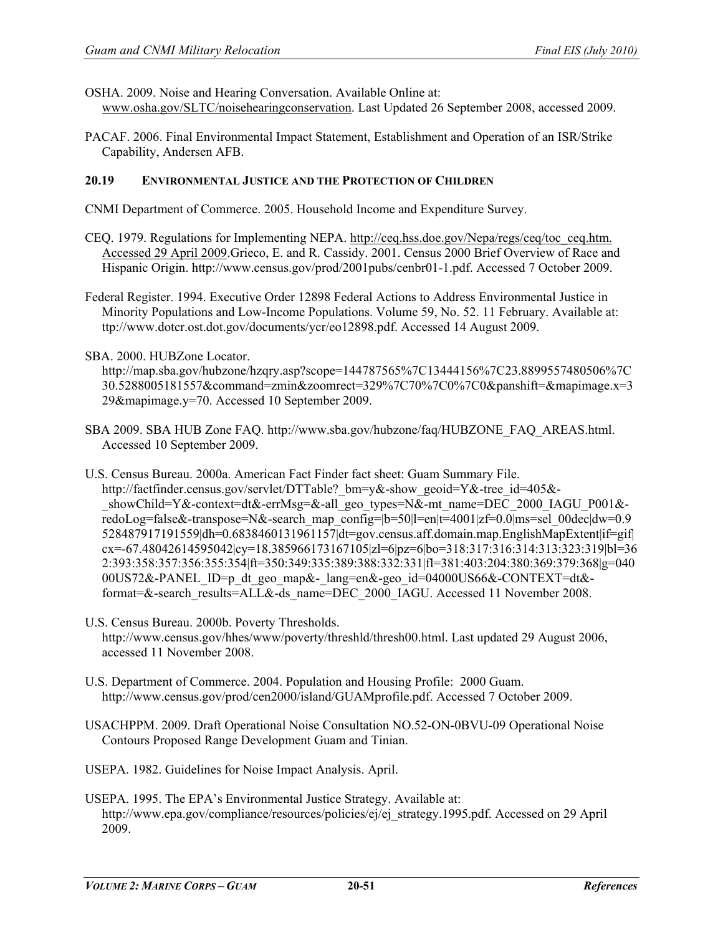OSHA. 2009. Noise and Hearing Conversation. Available Online at:

- [www.osha.gov/SLTC/noisehearingconservation.](http://www.osha.gov/SLTC/noisehearingconservation) Last Updated 26 September 2008, accessed 2009.
- PACAF. 2006. Final Environmental Impact Statement, Establishment and Operation of an ISR/Strike Capability, Andersen AFB.

#### **20.19 ENVIRONMENTAL JUSTICE AND THE PROTECTION OF CHILDREN**

- CNMI Department of Commerce. 2005. Household Income and Expenditure Survey.
- CEQ. 1979. Regulations for Implementing NEPA. [http://ceq.hss.doe.gov/Nepa/regs/ceq/toc\\_ceq.htm.](http://ceq.hss.doe.gov/Nepa/regs/ceq/toc_ceq.htm.%20Accessed%2029%20April%202009)  [Accessed 29 April 2009.](http://ceq.hss.doe.gov/Nepa/regs/ceq/toc_ceq.htm.%20Accessed%2029%20April%202009)Grieco, E. and R. Cassidy. 2001. Census 2000 Brief Overview of Race and Hispanic Origin. [http://www.census.gov/prod/2001pubs/cenbr01-1.pdf. Accessed 7 October 2009.](http://www.census.gov/prod/2001pubs/cenbr01-1.pdf.%20Accessed%207%20October%202009)
- Federal Register. 1994. Executive Order 12898 Federal Actions to Address Environmental Justice in Minority Populations and Low-Income Populations. Volume 59, No. 52. 11 February. Available at: ttp://www.dotcr.ost.dot.gov/documents/ycr/eo12898.pdf. Accessed 14 August 2009.
- SBA. 2000. HUBZone Locator.

[http://map.sba.gov/hubzone/hzqry.asp?scope=144787565%7C13444156%7C23.8899557480506%7C](http://map.sba.gov/hubzone/hzqry.asp?scope=144787565%7C13444156%7C23.8899557480506%7C30.5288005181557&command=zmin&zoomrect=329%7C70%7C0%7C0&panshift=&mapimage.x=329&mapimage.y=70) [30.5288005181557&command=zmin&zoomrect=329%7C70%7C0%7C0&panshift=&mapimage.x=3](http://map.sba.gov/hubzone/hzqry.asp?scope=144787565%7C13444156%7C23.8899557480506%7C30.5288005181557&command=zmin&zoomrect=329%7C70%7C0%7C0&panshift=&mapimage.x=329&mapimage.y=70) [29&mapimage.y=70.](http://map.sba.gov/hubzone/hzqry.asp?scope=144787565%7C13444156%7C23.8899557480506%7C30.5288005181557&command=zmin&zoomrect=329%7C70%7C0%7C0&panshift=&mapimage.x=329&mapimage.y=70) Accessed 10 September 2009.

- SBA 2009. SBA HUB Zone FAQ. [http://www.sba.gov/hubzone/faq/HUBZONE\\_FAQ\\_AREAS.html.](http://www.sba.gov/hubzone/faq/HUBZONE_FAQ_AREAS.html) Accessed 10 September 2009.
- U.S. Census Bureau. 2000a. American Fact Finder fact sheet: Guam Summary File. http://factfinder.census.gov/servlet/DTTable? bm=y&-show\_geoid=Y&-tree\_id=405&-\_showChild=Y&-context=dt&-errMsg=&-all\_geo\_types=N&-mt\_name=DEC\_2000\_IAGU\_P001&redoLog=false&-transpose=N&-search\_map\_config=|b=50|l=en|t=4001|zf=0.0|ms=sel\_00dec|dw=0.9 528487917191559|dh=0.6838460131961157|dt=gov.census.aff.domain.map.EnglishMapExtent|if=gif| cx=-67.48042614595042|cy=18.385966173167105|zl=6|pz=6|bo=318:317:316:314:313:323:319|bl=36 2:393:358:357:356:355:354|ft=350:349:335:389:388:332:331|fl=381:403:204:380:369:379:368|g=040 00US72&-PANEL\_ID=p\_dt\_geo\_map&-\_lang=en&-geo\_id=04000US66&-CONTEXT=dt& format=&-search\_results=ALL&-ds\_name=DEC\_2000\_IAGU. Accessed 11 November 2008.
- U.S. Census Bureau. 2000b. Poverty Thresholds. http://www.census.gov/hhes/www/poverty/threshld/thresh00.html. Last updated 29 August 2006, accessed 11 November 2008.
- U.S. Department of Commerce. 2004. Population and Housing Profile: 2000 Guam. http://www.census.gov/prod/cen2000/island/GUAMprofile.pdf. Accessed 7 October 2009.
- USACHPPM. 2009. Draft Operational Noise Consultation NO.52-ON-0BVU-09 Operational Noise Contours Proposed Range Development Guam and Tinian.
- USEPA. 1982. Guidelines for Noise Impact Analysis. April.
- USEPA. 1995. The EPA's Environmental Justice Strategy. Available at: [http://www.epa.gov/compliance/resources/policies/ej/ej\\_strategy.1995.pdf.](http://www.epa.gov/compliance/resources/policies/ej/ej_strategy.1995.pdf) Accessed on 29 April 2009.